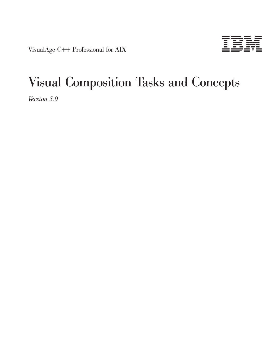VisualAge C++ Professional for AIX



# Visual Composition Tasks and Concepts

*Version 5.0*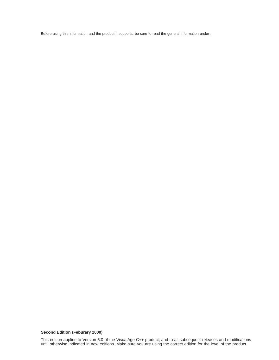Before using this information and the product it supports, be sure to read the general information under .

#### **Second Edition (Feburary 2000)**

This edition applies to Version 5.0 of the VisualAge C++ product, and to all subsequent releases and modifications until otherwise indicated in new editions. Make sure you are using the correct edition for the level of the product.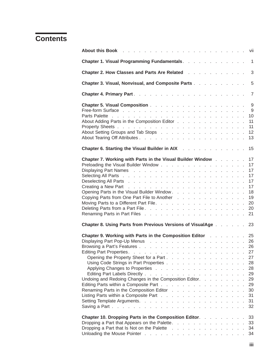# **Contents**

| Chapter 1. Visual Programming Fundamentals.                                                                                                                                                                                                                                                                                             |  |  |  | $\overline{\phantom{0}}$ 1                                     |
|-----------------------------------------------------------------------------------------------------------------------------------------------------------------------------------------------------------------------------------------------------------------------------------------------------------------------------------------|--|--|--|----------------------------------------------------------------|
| Chapter 2. How Classes and Parts Are Related                                                                                                                                                                                                                                                                                            |  |  |  | 3                                                              |
| Chapter 3. Visual, Nonvisual, and Composite Parts                                                                                                                                                                                                                                                                                       |  |  |  | 5                                                              |
|                                                                                                                                                                                                                                                                                                                                         |  |  |  | $\overline{7}$                                                 |
| About Adding Parts in the Composition Editor<br>About Setting Groups and Tab Stops                                                                                                                                                                                                                                                      |  |  |  | 9<br>- 9<br>10<br>11<br>11<br>12<br>13                         |
| Chapter 6. Starting the Visual Builder in AIX All Allender All Allender And Allender Allender Allender Allender                                                                                                                                                                                                                         |  |  |  | 15                                                             |
| Chapter 7. Working with Parts in the Visual Builder Window<br>Opening Parts in the Visual Builder Window.<br>Copying Parts from One Part File to Another<br>Moving Parts to a Different Part File.                                                                                                                                      |  |  |  | 17<br>17<br>17<br>17<br>17<br>17<br>18<br>19<br>20<br>20<br>21 |
| <b>Chapter 8. Using Parts from Previous Versions of VisualAge No. 1. 1. 1. 23</b>                                                                                                                                                                                                                                                       |  |  |  |                                                                |
| <b>Chapter 9. Working with Parts in the Composition Editor [1] Allen Lines 25 Chapter 9. Working with Parts in the Composition Editor</b><br>Opening the Property Sheet for a Part 27<br>Using Code Strings in Part Properties 28<br>Undoing and Redoing Changes in the Composition Editor.<br>Renaming Parts in the Composition Editor |  |  |  | 27<br>28<br>29<br>29<br>29<br>30<br>31<br>31<br>32             |
| Chapter 10. Dropping Parts in the Composition Editor.<br>Dropping a Part that Appears on the Palette. 33<br>Dropping a Part that Is Not on the Palette                                                                                                                                                                                  |  |  |  | 33<br>-34<br>34                                                |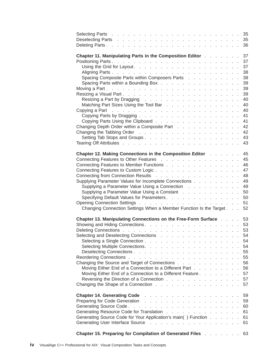| Chapter 11. Manipulating Parts in the Composition Editor 37                                                                                                                                                                    |  |  |    |
|--------------------------------------------------------------------------------------------------------------------------------------------------------------------------------------------------------------------------------|--|--|----|
|                                                                                                                                                                                                                                |  |  |    |
|                                                                                                                                                                                                                                |  |  |    |
|                                                                                                                                                                                                                                |  |  |    |
| Spacing Composite Parts within Composers Parts 38                                                                                                                                                                              |  |  |    |
| Spacing Parts within a Bounding Box 39                                                                                                                                                                                         |  |  |    |
|                                                                                                                                                                                                                                |  |  |    |
|                                                                                                                                                                                                                                |  |  |    |
| Resizing a Part by Dragging research and research and research and research and research and research and research and research and research and research and research and research and research and research and research and |  |  |    |
| Matching Part Sizes Using the Tool Bar 40                                                                                                                                                                                      |  |  |    |
| Copying a Part research and research a series and research and research and 40                                                                                                                                                 |  |  |    |
|                                                                                                                                                                                                                                |  |  |    |
| Copying Parts Using the Clipboard 41                                                                                                                                                                                           |  |  |    |
| Changing Depth Order within a Composite Part 42                                                                                                                                                                                |  |  |    |
|                                                                                                                                                                                                                                |  |  |    |
|                                                                                                                                                                                                                                |  |  |    |
|                                                                                                                                                                                                                                |  |  |    |
|                                                                                                                                                                                                                                |  |  |    |
| Chapter 12. Making Connections in the Composition Editor Natal 2016 12: 10: 45                                                                                                                                                 |  |  |    |
| Connecting Features to Other Features 45                                                                                                                                                                                       |  |  |    |
| Connecting Features to Member Functions 46                                                                                                                                                                                     |  |  |    |
| Connecting Features to Custom Logic 47                                                                                                                                                                                         |  |  |    |
| Connecting from Connection Results 48                                                                                                                                                                                          |  |  |    |
| Supplying Parameter Values for Incomplete Connections 49                                                                                                                                                                       |  |  |    |
| Supplying a Parameter Value Using a Connection 49                                                                                                                                                                              |  |  |    |
| Supplying a Parameter Value Using a Constant 50                                                                                                                                                                                |  |  |    |
| Specifying Default Values for Parameters. 50                                                                                                                                                                                   |  |  |    |
|                                                                                                                                                                                                                                |  |  |    |
| Changing Connection Settings When a Member Function Is the Target 52                                                                                                                                                           |  |  |    |
|                                                                                                                                                                                                                                |  |  |    |
| Chapter 13. Manipulating Connections on the Free-Form Surface 53                                                                                                                                                               |  |  |    |
|                                                                                                                                                                                                                                |  |  |    |
|                                                                                                                                                                                                                                |  |  |    |
|                                                                                                                                                                                                                                |  |  |    |
|                                                                                                                                                                                                                                |  |  |    |
| Selecting and Deselecting Connections                                                                                                                                                                                          |  |  | 54 |
|                                                                                                                                                                                                                                |  |  | 54 |
|                                                                                                                                                                                                                                |  |  | 54 |
|                                                                                                                                                                                                                                |  |  | 55 |
|                                                                                                                                                                                                                                |  |  | 55 |
| Changing the Source and Target of Connections                                                                                                                                                                                  |  |  | 56 |
| Moving Either End of a Connection to a Different Part                                                                                                                                                                          |  |  | 56 |
| Moving Either End of a Connection to a Different Feature                                                                                                                                                                       |  |  | 57 |
| Reversing the Direction of a Connection                                                                                                                                                                                        |  |  | 57 |
| Changing the Shape of a Connection                                                                                                                                                                                             |  |  | 57 |
|                                                                                                                                                                                                                                |  |  |    |
|                                                                                                                                                                                                                                |  |  | 59 |
|                                                                                                                                                                                                                                |  |  | 59 |
|                                                                                                                                                                                                                                |  |  | 60 |
|                                                                                                                                                                                                                                |  |  | 61 |
| Generating Source Code for Your Application's main() Function                                                                                                                                                                  |  |  | 61 |
|                                                                                                                                                                                                                                |  |  | 61 |
|                                                                                                                                                                                                                                |  |  |    |
| Chapter 15. Preparing for Compilation of Generated Files                                                                                                                                                                       |  |  | 63 |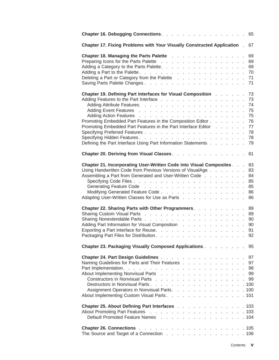| Chapter 17. Fixing Problems with Your Visually Constructed Application.                                                                                                                                                                                                                                                                               | 67                               |
|-------------------------------------------------------------------------------------------------------------------------------------------------------------------------------------------------------------------------------------------------------------------------------------------------------------------------------------------------------|----------------------------------|
| <b>Chapter 18. Managing the Parts Palette</b><br>Deleting a Part or Category from the Palette                                                                                                                                                                                                                                                         | 69<br>69<br>69<br>70<br>71<br>71 |
| Chapter 19. Defining Part Interfaces for Visual Composition 73<br>Promoting Embedded Part Features in the Composition Editor 76<br>Promoting Embedded Part Features in the Part Interface Editor 77<br>Defining the Part Interface Using Part Information Statements                                                                                  | 73<br>74<br>75<br>75<br>78<br>79 |
| Chapter 20. Deriving from Visual Classes. 81                                                                                                                                                                                                                                                                                                          |                                  |
| Chapter 21. Incorporating User-Written Code into Visual Composites. 83<br>Using Handwritten Code from Previous Versions of VisualAge 83<br>Assembling a Part from Generated and User-Written Code 84<br>Modifying Generated Feature Code<br>Adapting User-Written Classes for Use as Parts 86<br>Chapter 22. Sharing Parts with Other Programmers. 89 | 85<br>86                         |
| Adding Part Information for Visual Composition 90<br>Exporting a Part Interface for Reuse. 91<br>Packaging Part Files for Distribution. 92                                                                                                                                                                                                            |                                  |
| <b>Chapter 23. Packaging Visually Composed Applications Actual Lines 35 State 23. Packaging Visually Composed Applications Act 2018</b>                                                                                                                                                                                                               |                                  |
| Naming Guidelines for Parts and Their Features 97<br>About Implementing Nonvisual Parts 99<br>Constructors in Nonvisual Parts 99<br>Assignment Operators in Nonvisual Parts. 100<br>About Implementing Custom Visual Parts 101                                                                                                                        |                                  |
| <b>Chapter 25. About Defining Part Interfaces [16] Algebra 20. According Line 20. According Chapter 25. According D</b><br>Default Promoted Feature Names 104                                                                                                                                                                                         |                                  |
| The Source and Target of a Connection 106                                                                                                                                                                                                                                                                                                             |                                  |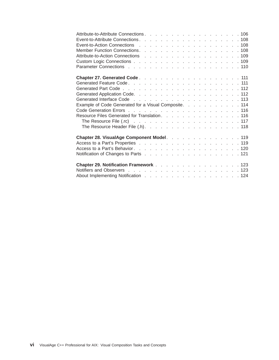| Attribute-to-Attribute Connections. 106               |  |  |  |  |  |  |  |  |  |  |
|-------------------------------------------------------|--|--|--|--|--|--|--|--|--|--|
|                                                       |  |  |  |  |  |  |  |  |  |  |
|                                                       |  |  |  |  |  |  |  |  |  |  |
|                                                       |  |  |  |  |  |  |  |  |  |  |
| Example of Code Generated for a Visual Composite. 114 |  |  |  |  |  |  |  |  |  |  |
| Resource Files Generated for Translation. 116         |  |  |  |  |  |  |  |  |  |  |
|                                                       |  |  |  |  |  |  |  |  |  |  |
| The Resource Header File $(h)$ . 118                  |  |  |  |  |  |  |  |  |  |  |
| Chapter 28. VisualAge Component Model. 119            |  |  |  |  |  |  |  |  |  |  |
|                                                       |  |  |  |  |  |  |  |  |  |  |
|                                                       |  |  |  |  |  |  |  |  |  |  |
| Chapter 29. Notification Framework 123                |  |  |  |  |  |  |  |  |  |  |
|                                                       |  |  |  |  |  |  |  |  |  |  |
|                                                       |  |  |  |  |  |  |  |  |  |  |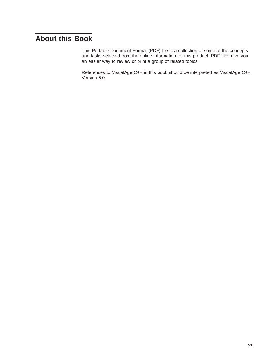# <span id="page-6-0"></span>**About this Book**

This Portable Document Format (PDF) file is a collection of some of the concepts and tasks selected from the online information for this product. PDF files give you an easier way to review or print a group of related topics.

References to VisualAge C++ in this book should be interpreted as VisualAge C++, Version 5.0.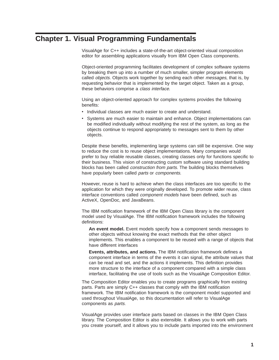# <span id="page-8-0"></span>**Chapter 1. Visual Programming Fundamentals**

VisualAge for C++ includes a state-of-the-art object-oriented visual composition editor for assembling applications visually from IBM Open Class components.

Object-oriented programming facilitates development of complex software systems by breaking them up into a number of much smaller, simpler program elements called *objects*. Objects work together by sending each other *messages*, that is, by requesting behavior that is implemented by the target object. Taken as a group, these behaviors comprise a class interface.

Using an object-oriented approach for complex systems provides the following benefits:

- Individual classes are much easier to create and understand.
- Systems are much easier to maintain and enhance. Object implementations can be modified individually without modifying the rest of the system, as long as the objects continue to respond appropriately to messages sent to them by other objects.

Despite these benefits, implementing large systems can still be expensive. One way to reduce the cost is to reuse object implementations. Many companies would prefer to buy reliable reusable classes, creating classes only for functions specific to their business. This vision of constructing custom software using standard building blocks has been called *construction from parts*. The building blocks themselves have popularly been called parts or components.

However, reuse is hard to achieve when the class interfaces are too specific to the application for which they were originally developed. To promote wider reuse, class interface conventions called *component models* have been defined, such as ActiveX, OpenDoc, and JavaBeans.

The IBM notification framework of the IBM Open Class library is the component model used by VisualAge. The IBM notification framework includes the following definitions:

**An event model.** Event models specify how a component sends messages to other objects without knowing the exact methods that the other object implements. This enables a component to be reused with a range of objects that have different interfaces

**Events, attributes, and actions.** The IBM notification framework defines a component interface in terms of the events it can signal, the attribute values that can be read and set, and the actions it implements. This definition provides more structure to the interface of a component compared with a simple class interface, facilitating the use of tools such as the VisualAge Composition Editor.

The Composition Editor enables you to create programs graphically from existing parts. Parts are simply C++ classes that comply with the IBM notification framework. The IBM notification framework is the component model supported and used throughout VisualAge, so this documentation will refer to VisualAge components as parts.

VisualAge provides user interface parts based on classes in the IBM Open Class library. The Composition Editor is also extensible. It allows you to work with parts you create yourself, and it allows you to include parts imported into the environment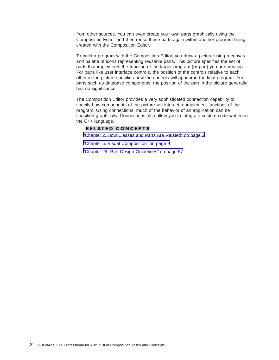from other sources. You can even create your own parts graphically using the Composition Editor and then reuse these parts again within another program being created with the Composition Editor.

To build a program with the Composition Editor, you draw a picture using a canvas and palette of icons representing reusable parts. This picture specifies the set of parts that implements the function of the larger program (or part) you are creating. For parts like user interface controls, the position of the controls relative to each other in the picture specifies how the controls will appear in the final program. For parts such as database components, the position of the part in the picture generally has no significance.

The Composition Editor provides a very sophisticated connection capability to specify how components of the picture will interact to implement functions of the program. Using connections, much of the behavior of an application can be specified graphically. Connections also allow you to integrate custom code written in the C++ language.

## **RELATED CONCEPTS**

["Chapter 2. How Classes and Parts Are Related" on page 3](#page-10-0)

["Chapter 5. Visual Composition" on page 9](#page-16-0)

["Chapter 24. Part Design Guidelines" on page 97](#page-104-0)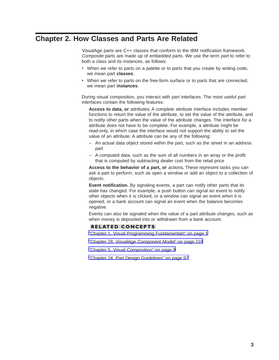# <span id="page-10-0"></span>**Chapter 2. How Classes and Parts Are Related**

VisualAge parts are C++ classes that conform to the IBM notification framework. Composite parts are made up of embedded parts. We use the term part to refer to both a class and its instances, as follows:

- When we refer to parts on a palette or to parts that you create by writing code, we mean part **classes**.
- When we refer to parts on the free-form surface or to parts that are connected, we mean part **instances**.

During visual composition, you interact with part interfaces. The most useful part interfaces contain the following features:

**Access to data, or** attributes**.** A complete attribute interface includes member functions to return the value of the attribute, to set the value of the attribute, and to notify other parts when the value of the attribute changes. The interface for a attribute does not have to be complete. For example, a attribute might be read-only, in which case the interface would not support the ability to set the value of an attribute. A attribute can be any of the following:

- An actual data object stored within the part, such as the street in an address part
- A computed data, such as the sum of all numbers in an array or the profit that is computed by subtracting dealer cost from the retail price

**Access to the behavior of a part, or** actions**.** These represent tasks you can ask a part to perform, such as open a window or add an object to a collection of objects.

**Event notification.** By signaling events, a part can notify other parts that its state has changed. For example, a push button can signal an event to notify other objects when it is clicked, or a window can signal an event when it is opened, or a bank account can signal an event when the balance becomes negative.

Events can also be signaled when the value of a part attribute changes, such as when money is deposited into or withdrawn from a bank account.

#### **RELATED CONCEPTS**

["Chapter 1. Visual Programming Fundamentals" on page 1](#page-8-0)

["Chapter 28. VisualAge Component Model" on page 119](#page-126-0)

["Chapter 5. Visual Composition" on page 9](#page-16-0)

["Chapter 24. Part Design Guidelines" on page 97](#page-104-0)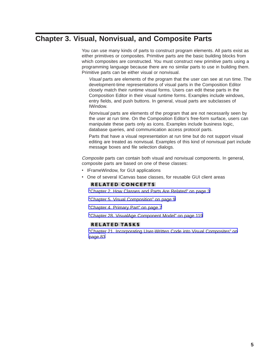# <span id="page-12-0"></span>**Chapter 3. Visual, Nonvisual, and Composite Parts**

You can use many kinds of parts to construct program elements. All parts exist as either primitives or composites. Primitive parts are the basic building blocks from which composites are constructed. You must construct new primitive parts using a programming language because there are no similar parts to use in building them. Primitive parts can be either visual or nonvisual.

Visual parts are elements of the program that the user can see at run time. The development-time representations of visual parts in the Composition Editor closely match their runtime visual forms. Users can edit these parts in the Composition Editor in their visual runtime forms. Examples include windows, entry fields, and push buttons. In general, visual parts are subclasses of IWindow.

Nonvisual parts are elements of the program that are not necessarily seen by the user at run time. On the Composition Editor's free-form surface, users can manipulate these parts only as icons. Examples include business logic, database queries, and communication access protocol parts.

Parts that have a visual representation at run time but do not support visual editing are treated as nonvisual. Examples of this kind of nonvisual part include message boxes and file selection dialogs.

Composite parts can contain both visual and nonvisual components. In general, composite parts are based on one of these classes:

- IFrameWindow, for GUI applications
- One of several ICanvas base classes, for reusable GUI client areas

#### **RELATED CONCEPTS**

["Chapter 2. How Classes and Parts Are Related" on page 3](#page-10-0)

["Chapter 5. Visual Composition" on page 9](#page-16-0)

["Chapter 4. Primary Part" on page 7](#page-14-0)

["Chapter 28. VisualAge Component Model" on page 119](#page-126-0)

#### **RELATED TASKS**

["Chapter 21. Incorporating User-Written Code into Visual Composites" on](#page-90-0) [page 83](#page-90-0)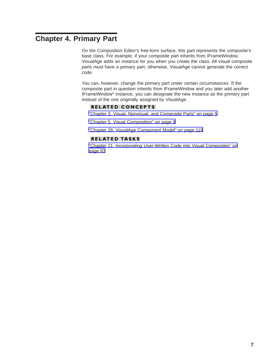# <span id="page-14-0"></span>**Chapter 4. Primary Part**

On the Composition Editor's free-form surface, this part represents the composite's base class. For example, if your composite part inherits from IFrameWindow, VisualAge adds an instance for you when you create the class. All visual composite parts must have a primary part; otherwise, VisualAge cannot generate the correct code.

You can, however, change the primary part under certain circumstances. If the composite part in question inherits from IFrameWindow and you later add another IFrameWindow\* instance, you can designate the new instance as the primary part instead of the one originally assigned by VisualAge.

#### **RELATED CONCEPTS**

["Chapter 3. Visual, Nonvisual, and Composite Parts" on page 5](#page-12-0)

["Chapter 5. Visual Composition" on page 9](#page-16-0)

["Chapter 28. VisualAge Component Model" on page 119](#page-126-0)

## **RELATED TASKS**

["Chapter 21. Incorporating User-Written Code into Visual Composites" on](#page-90-0) [page 83](#page-90-0)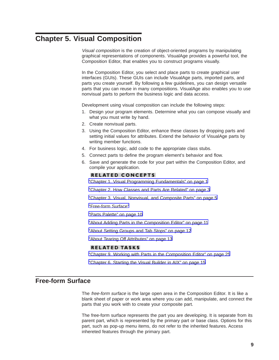# <span id="page-16-0"></span>**Chapter 5. Visual Composition**

Visual composition is the creation of object-oriented programs by manipulating graphical representations of components. VisualAge provides a powerful tool, the Composition Editor, that enables you to construct programs visually.

In the Composition Editor, you select and place parts to create graphical user interfaces (GUIs). These GUIs can include VisualAge parts, imported parts, and parts you create yourself. By following a few guidelines, you can design versatile parts that you can reuse in many compositions. VisualAge also enables you to use nonvisual parts to perform the business logic and data access.

Development using visual composition can include the following steps:

- 1. Design your program elements. Determine what you can compose visually and what you must write by hand.
- 2. Create nonvisual parts.
- 3. Using the Composition Editor, enhance these classes by dropping parts and setting initial values for attributes. Extend the behavior of VisualAge parts by writing member functions.
- 4. For business logic, add code to the appropriate class stubs.
- 5. Connect parts to define the program element's behavior and flow.
- 6. Save and generate the code for your part within the Composition Editor, and compile your application.

#### **RELATED CONCEPTS**

["Chapter 1. Visual Programming Fundamentals" on page 1](#page-8-0)

["Chapter 2. How Classes and Parts Are Related" on page 3](#page-10-0)

["Chapter 3. Visual, Nonvisual, and Composite Parts" on page 5](#page-12-0)

"Free-form Surface"

["Parts Palette" on page 10](#page-17-0)

["About Adding Parts in the Composition Editor" on page 11](#page-18-0)

["About Setting Groups and Tab Stops" on page 12](#page-19-0)

["About Tearing Off Attributes" on page 13](#page-20-0)

#### **RELATED TASKS**

["Chapter 9. Working with Parts in the Composition Editor" on page 25](#page-32-0)

["Chapter 6. Starting the Visual Builder in AIX" on page 15](#page-22-0)

# **Free-form Surface**

The *free-form surface* is the large open area in the Composition Editor. It is like a blank sheet of paper or work area where you can add, manipulate, and connect the parts that you work with to create your composite part.

The free-form surface represents the part you are developing. It is separate from its parent part, which is represented by the primary part or base class. Options for this part, such as pop-up menu items, do not refer to the inherited features. Access inhereted features through the primary part.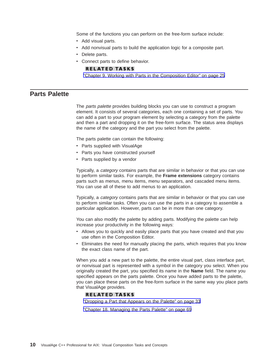<span id="page-17-0"></span>Some of the functions you can perform on the free-form surface include:

- Add visual parts.
- Add nonvisual parts to build the application logic for a composite part.
- Delete parts.
- Connect parts to define behavior.

#### **RELATED TASKS**

["Chapter 9. Working with Parts in the Composition Editor" on page 25](#page-32-0)

## **Parts Palette**

The *parts palette* provides building blocks you can use to construct a program element. It consists of several categories, each one containing a set of parts. You can add a part to your program element by selecting a category from the palette and then a part and dropping it on the free-form surface. The status area displays the name of the category and the part you select from the palette.

The parts palette can contain the following:

- Parts supplied with VisualAge
- Parts you have constructed yourself
- Parts supplied by a vendor

Typically, a *category* contains parts that are similar in behavior or that you can use to perform similar tasks. For example, the **Frame extensions** category contains parts such as menus, menu items, menu separators, and cascaded menu items. You can use all of these to add menus to an application.

Typically, a *category* contains parts that are similar in behavior or that you can use to perform similar tasks. Often you can use the parts in a category to assemble a particular application. However, parts can be in more than one category.

You can also modify the palette by adding parts. Modifying the palette can help increase your productivity in the following ways:

- Allows you to quickly and easily place parts that you have created and that you use often in the Composition Editor.
- Eliminates the need for manually placing the parts, which requires that you know the exact class name of the part.

When you add a new part to the palette, the entire visual part, class interface part, or nonvisual part is represented with a symbol in the category you select. When you originally created the part, you specified its name in the **Name** field. The name you specified appears on the parts palette. Once you have added parts to the palette, you can place these parts on the free-form surface in the same way you place parts that VisualAge provides.

#### **RELATED TASKS**

["Dropping a Part that Appears on the Palette" on page 33](#page-40-0)

["Chapter 18. Managing the Parts Palette" on page 69](#page-76-0)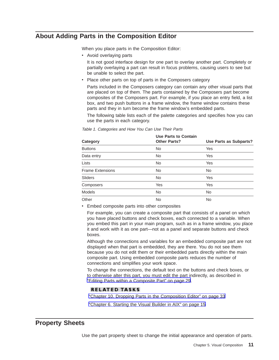# <span id="page-18-0"></span>**About Adding Parts in the Composition Editor**

When you place parts in the Composition Editor:

• Avoid overlaying parts

It is not good interface design for one part to overlay another part. Completely or partially overlaying a part can result in focus problems, causing users to see but be unable to select the part.

• Place other parts on top of parts in the Composers category

Parts included in the Composers category can contain any other visual parts that are placed on top of them. The parts contained by the Composers part become composites of the Composers part. For example, if you place an entry field, a list box, and two push buttons in a frame window, the frame window contains these parts and they in turn become the frame window's embedded parts.

The following table lists each of the palette categories and specifies how you can use the parts in each category.

| Category                | <b>Use Parts to Contain</b><br><b>Other Parts?</b> | Use Parts as Subparts? |
|-------------------------|----------------------------------------------------|------------------------|
| <b>Buttons</b>          | <b>No</b>                                          | Yes                    |
| Data entry              | <b>No</b>                                          | Yes                    |
| Lists                   | <b>No</b>                                          | Yes                    |
| <b>Frame Extensions</b> | <b>No</b>                                          | <b>No</b>              |
| Sliders                 | <b>No</b>                                          | Yes                    |
| Composers               | Yes                                                | Yes                    |
| <b>Models</b>           | <b>No</b>                                          | <b>No</b>              |
| Other                   | <b>No</b>                                          | <b>No</b>              |

Table 1. Categories and How You Can Use Their Parts

• Embed composite parts into other composites

For example, you can create a composite part that consists of a panel on which you have placed buttons and check boxes, each connected to a variable. When you embed this part in your main program, such as in a frame window, you place it and work with it as one part—not as a panel and separate buttons and check boxes.

Although the connections and variables for an embedded composite part are not displayed when that part is embedded, they are there. You do not see them because you do not edit them or their embedded parts directly within the main composite part. Using embedded composite parts reduces the number of connections and simplifies your work space.

To change the connections, the default text on the buttons and check boxes, or to otherwise alter this part, you must edit the part indirectly, as described in ["Editing Parts within a Composite Part" on page 29](#page-36-0).

## **RELATED TASKS**

["Chapter 10. Dropping Parts in the Composition Editor" on page 33](#page-40-0)

["Chapter 6. Starting the Visual Builder in AIX" on page 15](#page-22-0)

# **Property Sheets**

Use the part property sheet to change the initial appearance and operation of parts.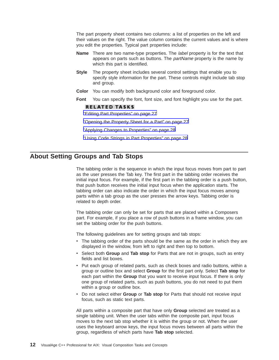<span id="page-19-0"></span>The part property sheet contains two columns: a list of properties on the left and their values on the right. The value column contains the current values and is where you edit the properties. Typical part properties include:

- **Name** There are two name-type properties. The label property is for the text that appears on parts such as buttons. The *partName* property is the name by which this part is identified.
- **Style** The property sheet includes several control settings that enable you to specify style information for the part. These controls might include tab stop and group.
- **Color** You can modify both background color and foreground color.
- **Font** You can specify the font, font size, and font highlight you use for the part.

#### **RELATED TASKS**

["Editing Part Properties" on page 27](#page-34-0)

["Opening the Property Sheet for a Part" on page 27](#page-34-0)

["Applying Changes to Properties" on page 28](#page-35-0)

["Using Code Strings in Part Properties" on page 28](#page-35-0)

# **About Setting Groups and Tab Stops**

The tabbing order is the sequence in which the input focus moves from part to part as the user presses the Tab key. The first part in the tabbing order receives the initial input focus. For example, if the first part in the tabbing order is a push button, that push button receives the initial input focus when the application starts. The tabbing order can also indicate the order in which the input focus moves among parts within a tab group as the user presses the arrow keys. Tabbing order is related to depth order.

The tabbing order can only be set for parts that are placed within a Composers part. For example, if you place a row of push buttons in a frame window, you can set the tabbing order for the push buttons.

The following guidelines are for setting groups and tab stops:

- The tabbing order of the parts should be the same as the order in which they are displayed in the window, from left to right and then top to bottom.
- Select both **Group** and **Tab stop** for Parts that are not in groups, such as entry fields and list boxes.
- Put each group of related parts, such as check boxes and radio buttons, within a group or outline box and select **Group** for the first part only. Select **Tab stop** for each part within the **Group** that you want to receive input focus. If there is only one group of related parts, such as push buttons, you do not need to put them within a group or outline box.
- v Do not select either **Group** or **Tab stop** for Parts that should not receive input focus, such as static text parts.

All parts within a composite part that have only **Group** selected are treated as a single tabbing unit. When the user tabs within the composite part, input focus moves to the next tab stop whether it is within the group or not. When the user uses the keyboard arrow keys, the input focus moves between all parts within the group, regardless of which parts have **Tab stop** selected.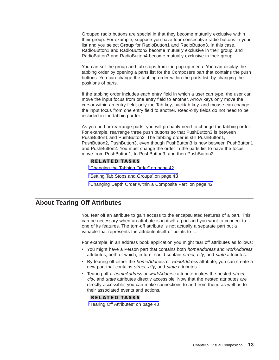<span id="page-20-0"></span>Grouped radio buttons are special in that they become mutually exclusive within their group. For example, suppose you have four consecutive radio buttons in your list and you select **Group** for RadioButton1 and RadioButton3. In this case, RadioButton1 and RadioButton2 become mutually exclusive in their group, and RadioButton3 and RadioButton4 become mutually exclusive in their group.

You can set the group and tab stops from the pop-up menu. You can display the tabbing order by opening a parts list for the Composers part that contains the push buttons. You can change the tabbing order within the parts list, by changing the positions of parts.

If the tabbing order includes each entry field in which a user can type, the user can move the input focus from one entry field to another. Arrow keys only move the cursor within an entry field; only the Tab key, backtab key, and mouse can change the input focus from one entry field to another. Read-only fields do not need to be included in the tabbing order.

As you add or rearrange parts, you will probably need to change the tabbing order. For example, rearrange three push buttons so that PushButton3 is between PushButton1 and PushButton2. The tabbing order is still PushButton1, PushButton2, PushButton3, even though PushButton3 is now between PushButton1 and PushButton2. You must change the order in the parts list to have the focus move from PushButton1, to PushButton3, and then PushButton2.

#### **RELATED TASKS**

["Changing the Tabbing Order" on page 42](#page-49-0)

["Setting Tab Stops and Groups" on page 43](#page-50-0)

["Changing Depth Order within a Composite Part" on page 42](#page-49-0)

## **About Tearing Off Attributes**

You tear off an attribute to gain access to the encapsulated features of a part. This can be necessary when an attribute is in itself a part and you want to connect to one of its features. The torn-off attribute is not actually a separate part but a variable that represents the attribute itself or points to it.

For example, in an address book application you might tear off attributes as follows:

- You might have a Person part that contains both *homeAddress* and workAddress attributes, both of which, in turn, could contain street, city, and state attributes.
- By tearing off either the *homeAddress* or *workAddress* attribute, you can create a new part that contains street, city, and state attributes.
- Tearing off a *homeAddress* or *workAddress* attribute makes the nested *street*, city, and state attributes directly accessible. Now that the nested attributes are directly accessible, you can make connections to and from them, as well as to their associated events and actions.

#### **RELATED TASKS**

["Tearing Off Attributes" on page 43](#page-50-0)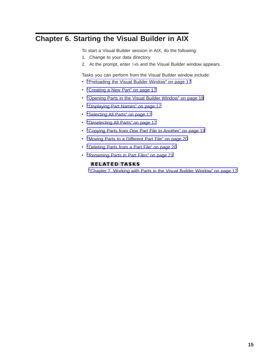# <span id="page-22-0"></span>**Chapter 6. Starting the Visual Builder in AIX**

To start a Visual Builder session in AIX, do the following:

- 1. Change to your data directory
- 2. At the prompt, enter ivb and the Visual Builder window appears.

Tasks you can perform from the Visual Builder window include:

- ["Preloading the Visual Builder Window" on page 17](#page-24-0)
- ["Creating a New Part" on page 17](#page-24-0)
- ["Opening Parts in the Visual Builder Window" on page 18](#page-25-0)
- ["Displaying Part Names" on page 17](#page-24-0)
- ["Selecting All Parts" on page 17](#page-24-0)
- ["Deselecting All Parts" on page 17](#page-24-0)
- ["Copying Parts from One Part File to Another" on page 19](#page-26-0)
- ["Moving Parts to a Different Part File" on page 20](#page-27-0)
- ["Deleting Parts from a Part File" on page 20](#page-27-0)
- ["Renaming Parts in Part Files" on page 21](#page-28-0)

## **RELATED TASKS**

["Chapter 7. Working with Parts in the Visual Builder Window" on page 17](#page-24-0)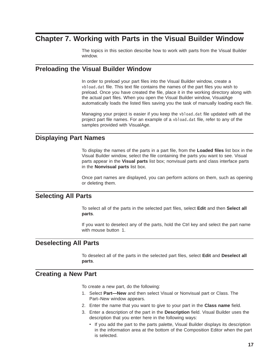# <span id="page-24-0"></span>**Chapter 7. Working with Parts in the Visual Builder Window**

The topics in this section describe how to work with parts from the Visual Builder window.

# **Preloading the Visual Builder Window**

In order to preload your part files into the Visual Builder window, create a vbload.dat file. This text file contains the names of the part files you wish to preload. Once you have created the file, place it in the working directory along with the actual part files. When you open the Visual Builder window, VisualAge automatically loads the listed files saving you the task of manually loading each file.

Managing your project is easier if you keep the vbload.dat file updated with all the project part file names. For an example of a vbload.dat file, refer to any of the samples provided with VisualAge.

# **Displaying Part Names**

To display the names of the parts in a part file, from the **Loaded files** list box in the Visual Builder window, select the file containing the parts you want to see. Visual parts appear in the **Visual parts** list box; nonvisual parts and class interface parts in the **Nonvisual parts** list box.

Once part names are displayed, you can perform actions on them, such as opening or deleting them.

# **Selecting All Parts**

To select all of the parts in the selected part files, select **Edit** and then **Select all parts**.

If you want to deselect any of the parts, hold the Ctrl key and select the part name with mouse button 1.

## **Deselecting All Parts**

To deselect all of the parts in the selected part files, select **Edit** and **Deselect all parts**.

# **Creating a New Part**

To create a new part, do the following:

- 1. Select **Part—New** and then select Visual or Nonvisual part or Class. The Part–New window appears.
- 2. Enter the name that you want to give to your part in the **Class name** field.
- 3. Enter a description of the part in the **Description** field. Visual Builder uses the description that you enter here in the following ways:
	- If you add the part to the parts palette, Visual Builder displays its description in the information area at the bottom of the Composition Editor when the part is selected.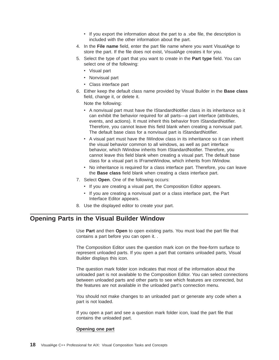- If you export the information about the part to a .vbe file, the description is included with the other information about the part.
- <span id="page-25-0"></span>4. In the **File name** field, enter the part file name where you want VisualAge to store the part. If the file does not exist, VisualAge creates it for you.
- 5. Select the type of part that you want to create in the **Part type** field. You can select one of the following:
	- Visual part
	- Nonvisual part
	- Class interface part
- 6. Either keep the default class name provided by Visual Builder in the **Base class** field, change it, or delete it.

Note the following:

- A nonvisual part must have the IStandardNotifier class in its inheritance so it can exhibit the behavior required for all parts—a part interface (attributes, events, and actions). It must inherit this behavior from IStandardNotifier. Therefore, you cannot leave this field blank when creating a nonvisual part. The default base class for a nonvisual part is IStandardNotifier.
- A visual part must have the IWindow class in its inheritance so it can inherit the visual behavior common to all windows, as well as part interface behavior, which IWindow inherits from IStandardNotifier. Therefore, you cannot leave this field blank when creating a visual part. The default base class for a visual part is IFrameWindow, which inherits from IWindow.
- No inheritance is required for a class interface part. Therefore, you can leave the **Base class** field blank when creating a class interface part.
- 7. Select **Open**. One of the following occurs:
	- If you are creating a visual part, the Composition Editor appears.
	- If you are creating a nonvisual part or a class interface part, the Part Interface Editor appears.
- 8. Use the displayed editor to create your part.

# **Opening Parts in the Visual Builder Window**

Use **Part** and then **Open** to open existing parts. You must load the part file that contains a part before you can open it. .

The Composition Editor uses the question mark icon on the free-form surface to represent unloaded parts. If you open a part that contains unloaded parts, Visual Builder displays this icon.

The question mark folder icon indicates that most of the information about the unloaded part is not available to the Composition Editor. You can select connections between unloaded parts and other parts to see which features are connected, but the features are not available in the unloaded part's connection menu.

You should not make changes to an unloaded part or generate any code when a part is not loaded.

If you open a part and see a question mark folder icon, load the part file that contains the unloaded part.

#### **Opening one part**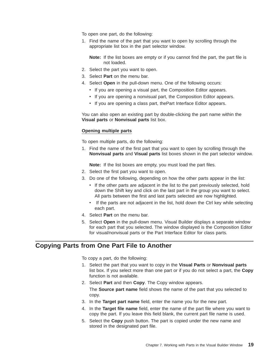<span id="page-26-0"></span>To open one part, do the following:

1. Find the name of the part that you want to open by scrolling through the appropriate list box in the part selector window.

**Note:** If the list boxes are empty or if you cannot find the part, the part file is not loaded.

- 2. Select the part you want to open.
- 3. Select **Part** on the menu bar.
- 4. Select **Open** in the pull-down menu. One of the following occurs:
	- If you are opening a visual part, the Composition Editor appears.
	- If you are opening a nonvisual part, the Composition Editor appears.
	- If you are opening a class part, the Part Interface Editor appears.

You can also open an existing part by double-clicking the part name within the **Visual parts** or **Nonvisual parts** list box.

#### **Opening multiple parts**

To open multiple parts, do the following:

1. Find the name of the first part that you want to open by scrolling through the **Nonvisual parts** and **Visual parts** list boxes shown in the part selector window.

**Note:** If the list boxes are empty, you must load the part files.

- 2. Select the first part you want to open.
- 3. Do one of the following, depending on how the other parts appear in the list:
	- v If the other parts are adjacent in the list to the part previously selected, hold down the Shift key and click on the last part in the group you want to select. All parts between the first and last parts selected are now highlighted.
	- If the parts are not adjacent in the list, hold down the Ctrl key while selecting each part.
- 4. Select **Part** on the menu bar.
- 5. Select **Open** in the pull-down menu. Visual Builder displays a separate window for each part that you selected. The window displayed is the Composition Editor for visual/nonvisual parts or the Part Interface Editor for class parts.

## **Copying Parts from One Part File to Another**

To copy a part, do the following:

- 1. Select the part that you want to copy in the **Visual Parts** or **Nonvisual parts** list box. If you select more than one part or if you do not select a part, the **Copy** function is not available.
- 2. Select **Part** and then **Copy**. The Copy window appears.

The **Source part name** field shows the name of the part that you selected to copy.

- 3. In the **Target part name** field, enter the name you for the new part.
- 4. In the **Target file name** field, enter the name of the part file where you want to copy the part. If you leave this field blank, the current part file name is used.
- 5. Select the **Copy** push button. The part is copied under the new name and stored in the designated part file.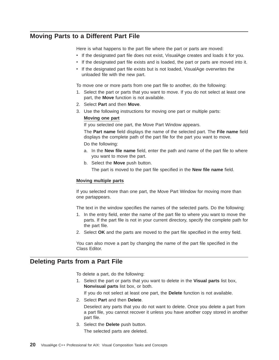# <span id="page-27-0"></span>**Moving Parts to a Different Part File**

Here is what happens to the part file where the part or parts are moved:

- If the designated part file does not exist, VisualAge creates and loads it for you.
- If the designated part file exists and is loaded, the part or parts are moved into it.
- If the designated part file exists but is not loaded, VisualAge overwrites the unloaded file with the new part.

To move one or more parts from one part file to another, do the following:

- 1. Select the part or parts that you want to move. If you do not select at least one part, the **Move** function is not available.
- 2. Select **Part** and then **Move**.
- 3. Use the following instructions for moving one part or multiple parts:
	- **Moving one part**

If you selected one part, the Move Part Window appears.

The **Part name** field displays the name of the selected part. The **File name** field displays the complete path of the part file for the part you want to move. Do the following:

- a. In the **New file name** field, enter the path and name of the part file to where you want to move the part.
- b. Select the **Move** push button.

The part is moved to the part file specified in the **New file name** field.

#### **Moving multiple parts**

If you selected more than one part, the Move Part Window for moving more than one partappears.

The text in the window specifies the names of the selected parts. Do the following:

- 1. In the entry field, enter the name of the part file to where you want to move the parts. If the part file is not in your current directory, specify the complete path for the part file.
- 2. Select **OK** and the parts are moved to the part file specified in the entry field.

You can also move a part by changing the name of the part file specified in the Class Editor.

# **Deleting Parts from a Part File**

To delete a part, do the following:

1. Select the part or parts that you want to delete in the **Visual parts** list box, **Nonvisual parts** list box, or both.

If you do not select at least one part, the **Delete** function is not available.

2. Select **Part** and then **Delete**.

Deselect any parts that you do not want to delete. Once you delete a part from a part file, you cannot recover it unless you have another copy stored in another part file.

3. Select the **Delete** push button.

The selected parts are deleted.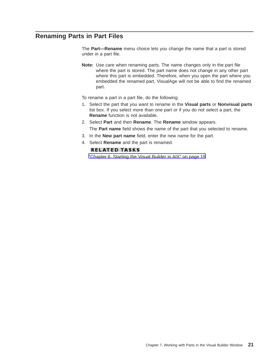# <span id="page-28-0"></span>**Renaming Parts in Part Files**

The **Part—Rename** menu choice lets you change the name that a part is stored under in a part file.

**Note:** Use care when renaming parts. The name changes only in the part file where the part is stored. The part name does not change in any other part where this part is embedded. Therefore, when you open the part where you embedded the renamed part, VisualAge will not be able to find the renamed part.

To rename a part in a part file, do the following:

- 1. Select the part that you want to rename in the **Visual parts** or **Nonvisual parts** list box. If you select more than one part or if you do not select a part, the **Rename** function is not available.
- 2. Select **Part** and then **Rename**. The **Rename** window appears. The **Part name** field shows the name of the part that you selected to rename.
- 3. In the **New part name** field, enter the new name for the part.
- 4. Select **Rename** and the part is renamed.

## **RELATED TASKS**

["Chapter 6. Starting the Visual Builder in AIX" on page 15](#page-22-0)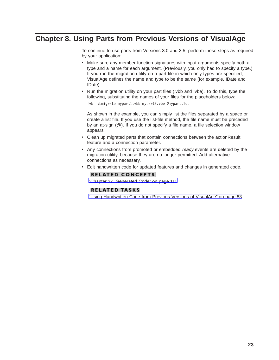# <span id="page-30-0"></span>**Chapter 8. Using Parts from Previous Versions of VisualAge**

To continue to use parts from Versions 3.0 and 3.5, perform these steps as required by your application:

- Make sure any member function signatures with input arguments specify both a type and a name for each argument. (Previously, you only had to specify a type.) If you run the migration utility on a part file in which only types are specified, VisualAge defines the name and type to be the same (for example, IDate and IDate).
- Run the migration utility on your part files (.vbb and .vbe). To do this, type the following, substituting the names of your files for the placeholders below:

ivb -vbmigrate mypart1.vbb mypart2.vbe @mypart.lst

As shown in the example, you can simply list the files separated by a space or create a list file. If you use the list-file method, the file name must be preceded by an at-sign (@). If you do not specify a file name, a file selection window appears.

- Clean up migrated parts that contain connections between the actionResult feature and a connection parameter.
- Any connections from promoted or embedded ready events are deleted by the migration utility, because they are no longer permitted. Add alternative connections as necessary.
- Edit handwritten code for updated features and changes in generated code.

## **RELATED CONCEPTS**

["Chapter 27. Generated Code" on page 111](#page-118-0)

## **RELATED TASKS**

["Using Handwritten Code from Previous Versions of VisualAge" on page 83](#page-90-0)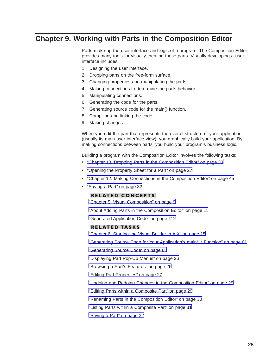# <span id="page-32-0"></span>**Chapter 9. Working with Parts in the Composition Editor**

Parts make up the user interface and logic of a program. The Composition Editor provides many tools for visually creating these parts. Visually developing a user interface includes:

- 1. Designing the user interface.
- 2. Dropping parts on the free-form surface.
- 3. Changing properties and manipulating the parts.
- 4. Making connections to determine the parts behavior.
- 5. Manipulating connections.
- 6. Generating the code for the parts.
- 7. Generating source code for the main() function.
- 8. Compiling and linking the code.
- 9. Making changes.

When you edit the part that represents the overall structure of your application (usually its main user interface view), you graphically build your application. By making connections between parts, you build your program's business logic.

Building a program with the Composition Editor involves the following tasks:

- ["Chapter 10. Dropping Parts in the Composition Editor" on page 33](#page-40-0)
- ["Opening the Property Sheet for a Part" on page 27](#page-34-0)
- ["Chapter 12. Making Connections in the Composition Editor" on page 45](#page-52-0)
- ["Saving a Part" on page 32](#page-39-0)

## **RELATED CONCEPTS**

["Chapter 5. Visual Composition" on page 9](#page-16-0)

["About Adding Parts in the Composition Editor" on page 11](#page-18-0)

["Generated Application Code" on page 112](#page-119-0)

#### **RELATED TASKS**

["Chapter 6. Starting the Visual Builder in AIX" on page 15](#page-22-0)

["Generating Source Code for Your Application's main\( \) Function" on page 61](#page-68-0)

["Generating Source Code" on page 60](#page-67-0)

["Displaying Part Pop-Up Menus" on page 26](#page-33-0)

["Browsing a Part's Features" on page 26](#page-33-0)

["Editing Part Properties" on page 27](#page-34-0)

["Undoing and Redoing Changes in the Composition Editor" on page 29](#page-36-0)

["Editing Parts within a Composite Part" on page 29](#page-36-0)

["Renaming Parts in the Composition Editor" on page 30](#page-37-0)

["Listing Parts within a Composite Part" on page 31](#page-38-0)

["Saving a Part" on page 32](#page-39-0)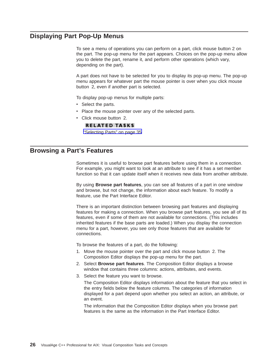# <span id="page-33-0"></span>**Displaying Part Pop-Up Menus**

To see a menu of operations you can perform on a part, click mouse button 2 on the part. The pop-up menu for the part appears. Choices on the pop-up menu allow you to delete the part, rename it, and perform other operations (which vary, depending on the part).

A part does not have to be selected for you to display its pop-up menu. The pop-up menu appears for whatever part the mouse pointer is over when you click mouse button 2, even if another part is selected.

To display pop-up menus for multiple parts:

- Select the parts.
- Place the mouse pointer over any of the selected parts.
- Click mouse button 2.

#### **RELATED TASKS**

["Selecting Parts" on page 35](#page-42-0)

## **Browsing a Part's Features**

Sometimes it is useful to browse part features before using them in a connection. For example, you might want to look at an attribute to see if it has a set member function so that it can update itself when it receives new data from another attribute.

By using **Browse part features**, you can see all features of a part in one window and browse, but not change, the information about each feature. To modify a feature, use the Part Interface Editor.

There is an important distinction between browsing part features and displaying features for making a connection. When you browse part features, you see all of its features, even if some of them are not available for connections. (This includes inherited features if the base parts are loaded.) When you display the connection menu for a part, however, you see only those features that are available for connections.

To browse the features of a part, do the following:

- 1. Move the mouse pointer over the part and click mouse button 2. The Composition Editor displays the pop-up menu for the part.
- 2. Select **Browse part features**. The Composition Editor displays a browse window that contains three columns: actions, attributes, and events.
- 3. Select the feature you want to browse.

The Composition Editor displays information about the feature that you select in the entry fields below the feature columns. The categories of information displayed for a part depend upon whether you select an action, an attribute, or an event.

The information that the Composition Editor displays when you browse part features is the same as the information in the Part Interface Editor.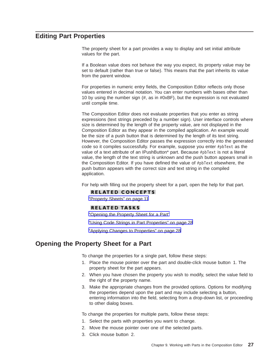# <span id="page-34-0"></span>**Editing Part Properties**

The property sheet for a part provides a way to display and set initial attribute values for the part.

If a Boolean value does not behave the way you expect, its property value may be set to default (rather than true or false). This means that the part inherits its value from the parent window.

For properties in numeric entry fields, the Composition Editor reflects only those values entered in decimal notation. You can enter numbers with bases other than 10 by using the number sign (#, as in #0xBF), but the expression is not evaluated until compile time.

The Composition Editor does not evaluate properties that you enter as string expressions (text strings preceded by a number sign). User interface controls where size is determined by the length of the property value, are not displayed in the Composition Editor as they appear in the compiled application. An example would be the size of a push button that is determined by the length of its text string. However, the Composition Editor passes the expression correctly into the generated code so it compiles successfully. For example, suppose you enter #pbText as the value of a text attribute of an IPushButton\* part. Because #pbText is not a literal value, the length of the text string is unknown and the push button appears small in the Composition Editor. If you have defined the value of #pbText elsewhere, the push button appears with the correct size and text string in the compiled application.

For help with filling out the property sheet for a part, open the help for that part.

#### **RELATED CONCEPTS**

["Property Sheets" on page 11](#page-18-0)

#### **RELATED TASKS**

"Opening the Property Sheet for a Part"

["Using Code Strings in Part Properties" on page 28](#page-35-0)

["Applying Changes to Properties" on page 28](#page-35-0)

# **Opening the Property Sheet for a Part**

To change the properties for a single part, follow these steps:

- 1. Place the mouse pointer over the part and double-click mouse button 1. The property sheet for the part appears.
- 2. When you have chosen the property you wish to modify, select the value field to the right of the property name.
- 3. Make the appropriate changes from the provided options. Options for modifying the properties depend upon the part and may include selecting a button, entering information into the field, selecting from a drop-down list, or proceeding to other dialog boxes.

To change the properties for multiple parts, follow these steps:

- 1. Select the parts with properties you want to change.
- 2. Move the mouse pointer over one of the selected parts.
- 3. Click mouse button 2.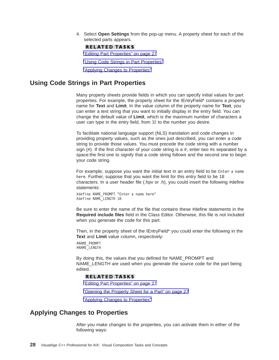<span id="page-35-0"></span>4. Select **Open Settings** from the pop-up menu. A property sheet for each of the selected parts appears.

#### **RELATED TASKS**

["Editing Part Properties" on page 27](#page-34-0)

"Using Code Strings in Part Properties"

"Applying Changes to Properties"

# **Using Code Strings in Part Properties**

Many property sheets provide fields in which you can specify initial values for part properties. For example, the property sheet for the IEntryField\* contains a property name for **Text** and **Limit**. In the value column of the property name for **Text**, you can enter a text string that you want to initially display in the entry field. You can change the default value of **Limit**, which is the maximum number of characters a user can type in the entry field, from 32 to the number you desire.

To facilitate national language support (NLS) translation and code changes in providing property values, such as the ones just described, you can enter a code string to provide those values. You must precede the code string with a number sign (#). If the first character of your code string is a #, enter two #s separated by a space:the first one to signify that a code string follows and the second one to begin your code string.

For example, suppose you want the initial text in an entry field to be Enter a name here. Further, suppose that you want the limit for this entry field to be 18 characters. In a user header file (.hpv or .h), you could insert the following #define statements:

#define NAME\_PROMPT "Enter a name here" #define NAME\_LENGTH 18

Be sure to enter the name of the file that contains these #define statements in the **Required include files** field in the Class Editor. Otherwise, this file is not included when you generate the code for this part.

Then, in the property sheet of the IEntryField\* you could enter the following in the **Text** and **Limit** value column, respectively:

#NAME\_PROMPT #NAME\_LENGTH

By doing this, the values that you defined for NAME\_PROMPT and NAME\_LENGTH are used when you generate the source code for the part being edited.

#### **RELATED TASKS**

["Editing Part Properties" on page 27](#page-34-0)

["Opening the Property Sheet for a Part" on page 27](#page-34-0)

"Applying Changes to Properties"

# **Applying Changes to Properties**

After you make changes to the properties, you can activate them in either of the following ways: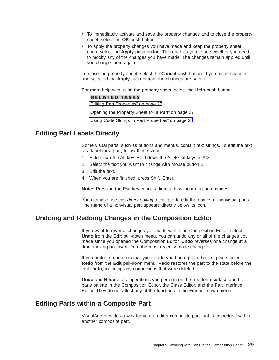- <span id="page-36-0"></span>• To immediately activate and save the property changes and to close the property sheet, select the **OK** push button.
- To apply the property changes you have made and keep the property sheet open, select the **Apply** push button. This enables you to see whether you need to modify any of the changes you have made. The changes remain applied until you change them again.

To close the property sheet, select the **Cancel** push button. If you made changes and selected the **Apply** push button, the changes are saved.

For more help with using the property sheet, select the **Help** push button.

### **RELATED TASKS**

["Editing Part Properties" on page 27](#page-34-0)

["Opening the Property Sheet for a Part" on page 27](#page-34-0)

["Using Code Strings in Part Properties" on page 28](#page-35-0)

## **Editing Part Labels Directly**

Some visual parts, such as buttons and menus, contain text strings. To edit the text of a label for a part, follow these steps:

- 1. Hold down the Alt key. Hold down the Alt + Ctrl keys in AIX.
- 2. Select the text you want to change with mouse button 1.
- 3. Edit the text.
- 4. When you are finished, press Shift+Enter.

**Note:** Pressing the Esc key cancels direct edit without making changes.

You can also use this *direct editing* technique to edit the names of nonvisual parts. The name of a nonvisual part appears directly below its icon.

## **Undoing and Redoing Changes in the Composition Editor**

If you want to reverse changes you made within the Composition Editor, select **Undo** from the **Edit** pull-down menu. You can undo any or all of the changes you made since you opened the Composition Editor. **Undo** reverses one change at a time, moving backward from the most recently made change.

If you undo an operation that you decide you had right in the first place, select **Redo** from the **Edit** pull-down menu. **Redo** restores the part to the state before the last **Undo**, including any connections that were deleted.

**Undo** and **Redo** affect operations you perform on the free-form surface and the parts palette in the Composition Editor, the Class Editor, and the Part Interface Editor. They do not affect any of the functions in the **File** pull-down menu.

## **Editing Parts within a Composite Part**

VisualAge provides a way for you to edit a composite part that is embedded within another composite part.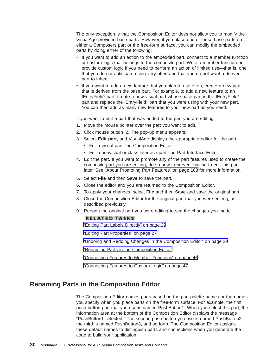The only exception is that the Composition Editor does not allow you to modify the VisualAge provided base parts. However, if you place one of these base parts on either a Composers part or the free-form surface, you can modify the embedded parts by doing either of the following:

- v If you want to add an action to the embedded part, connect to a member function or custom logic that belongs to the composite part. Write a member function or provide custom logic if you need to perform an action of limited use—that is, one that you do not anticipate using very often and that you do not want a derived part to inherit.
- v If you want to add a new feature that you plan to use often, create a new part that is derived from the base part. For example, to add a new feature to an IEntryField\* part, create a new visual part whose base part is the IEntryField\* part and replace the IEntryField\* part that you were using with your new part. You can then add as many new features to your new part as you need.

If you want to edit a part that was added to the part you are editing:

- 1. Move the mouse pointer over the part you want to edit.
- 2. Click mouse button 2. The pop-up menu appears.
- 3. Select **Edit part**, and VisualAge displays the appropriate editor for the part:
	- For a visual part, the Composition Editor
	- For a nonvisual or class interface part, the Part Interface Editor.
- 4. Edit the part. If you want to promote any of the part features used to create the composite part you are editing, do so now to prevent having to edit this part later. See ["About Promoting Part Features" on page 103](#page-110-0) for more information.
- 5. Select **File** and then **Save** to save the part.
- 6. Close the editor and you are returned to the Composition Editor.
- 7. To apply your changes, select **File** and then **Save** and save the original part.
- 8. Close the Composition Editor for the original part that you were editing, as described previously.
- 9. Reopen the original part you were editing to see the changes you made.

### **RELATED TASKS**

["Editing Part Labels Directly" on page 29](#page-36-0)

["Editing Part Properties" on page 27](#page-34-0)

["Undoing and Redoing Changes in the Composition Editor" on page 29](#page-36-0)

"Renaming Parts in the Composition Editor"

["Connecting Features to Member Functions" on page 46](#page-53-0)

["Connecting Features to Custom Logic" on page 47](#page-54-0)

## **Renaming Parts in the Composition Editor**

The Composition Editor names parts based on the part palette names or the names you specify when you place parts on the free-form surface. For example, the first push button part that you use is named PushButton1. When you select this part, the information area at the bottom of the Composition Editor displays the message "PushButton1 selected." The second push button you use is named PushButton2, the third is named PushButton3, and so forth. The Composition Editor assigns these default names to distinguish parts and connections when you generate the code to build your application.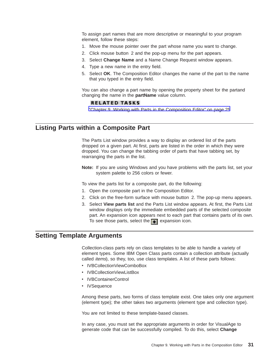<span id="page-38-0"></span>To assign part names that are more descriptive or meaningful to your program element, follow these steps:

- 1. Move the mouse pointer over the part whose name you want to change.
- 2. Click mouse button 2 and the pop-up menu for the part appears.
- 3. Select **Change Name** and a Name Change Request window appears.
- 4. Type a new name in the entry field.
- 5. Select **OK**. The Composition Editor changes the name of the part to the name that you typed in the entry field.

You can also change a part name by opening the property sheet for the partand changing the name in the **partName** value column.

#### **RELATED TASKS**

["Chapter 9. Working with Parts in the Composition Editor" on page 25](#page-32-0)

## **Listing Parts within a Composite Part**

The Parts List window provides a way to display an ordered list of the parts dropped on a given part. At first, parts are listed in the order in which they were dropped. You can change the tabbing order of parts that have tabbing set, by rearranging the parts in the list.

**Note:** If you are using Windows and you have problems with the parts list, set your system palette to 256 colors or fewer.

To view the parts list for a composite part, do the following:

- 1. Open the composite part in the Composition Editor.
- 2. Click on the free-form surface with mouse button 2. The pop-up menu appears.
- 3. Select **View parts list** and the Parts List window appears. At first, the Parts List window displays only the immediate embedded parts of the selected composite part. An expansion icon appears next to each part that contains parts of its own. To see those parts, select the  $\blacksquare$  expansion icon.

## **Setting Template Arguments**

Collection-class parts rely on class templates to be able to handle a variety of element types. Some IBM Open Class parts contain a collection attribute (actually called items), so they, too, use class templates. A list of these parts follows:

- IVBCollectionViewComboBox
- IVBCollectionViewListBox
- IVBContainerControl
- IVSequence

Among these parts, two forms of class template exist. One takes only one argument (element type); the other takes two arguments (element type and collection type).

You are not limited to these template-based classes.

In any case, you must set the appropriate arguments in order for VisualAge to generate code that can be successfully compiled. To do this, select **Change**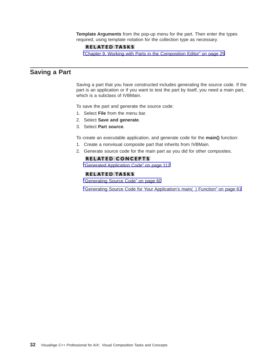**Template Arguments** from the pop-up menu for the part. Then enter the types required, using template notation for the collection type as necessary.

### **RELATED TASKS**

["Chapter 9. Working with Parts in the Composition Editor" on page 25](#page-32-0)

## **Saving a Part**

Saving a part that you have constructed includes generating the source code. If the part is an application or if you want to test the part by itself, you need a main part, which is a subclass of IVBMain.

To save the part and generate the source code:

- 1. Select **File** from the menu bar.
- 2. Select **Save and generate**.
- 3. Select **Part source**.

To create an executable application, and generate code for the **main()** function:

- 1. Create a nonvisual composite part that inherits from IVBMain.
- 2. Generate source code for the main part as you did for other composites.

### **RELATED CONCEPTS**

["Generated Application Code" on page 112](#page-119-0)

### **RELATED TASKS**

["Generating Source Code" on page 60](#page-67-0)

["Generating Source Code for Your Application's main\( \) Function" on page 61](#page-68-0)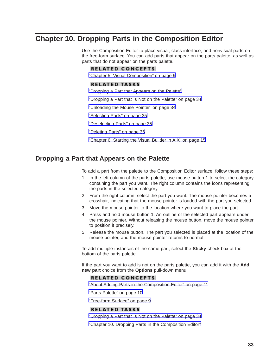# <span id="page-40-0"></span>**Chapter 10. Dropping Parts in the Composition Editor**

Use the Composition Editor to place visual, class interface, and nonvisual parts on the free-form surface. You can add parts that appear on the parts palette, as well as parts that do not appear on the parts palette.

## **RELATED CONCEPTS**

["Chapter 5. Visual Composition" on page 9](#page-16-0)

### **RELATED TASKS**

"Dropping a Part that Appears on the Palette"

["Dropping a Part that Is Not on the Palette" on page 34](#page-41-0)

["Unloading the Mouse Pointer" on page 34](#page-41-0)

["Selecting Parts" on page 35](#page-42-0)

["Deselecting Parts" on page 35](#page-42-0)

["Deleting Parts" on page 36](#page-43-0)

["Chapter 6. Starting the Visual Builder in AIX" on page 15](#page-22-0)

# **Dropping a Part that Appears on the Palette**

To add a part from the palette to the Composition Editor surface, follow these steps:

- 1. In the left column of the parts palette, use mouse button 1 to select the category containing the part you want. The right column contains the icons representing the parts in the selected category.
- 2. From the right column, select the part you want. The mouse pointer becomes a crosshair, indicating that the mouse pointer is loaded with the part you selected.
- 3. Move the mouse pointer to the location where you want to place the part.
- 4. Press and hold mouse button 1. An outline of the selected part appears under the mouse pointer. Without releasing the mouse button, move the mouse pointer to position it precisely.
- 5. Release the mouse button. The part you selected is placed at the location of the mouse pointer, and the mouse pointer returns to normal.

To add multiple instances of the same part, select the **Sticky** check box at the bottom of the parts palette.

If the part you want to add is not on the parts palette, you can add it with the **Add new part** choice from the **Options** pull-down menu.

### **RELATED CONCEPTS**

["About Adding Parts in the Composition Editor" on page 11](#page-18-0)

["Parts Palette" on page 10](#page-17-0)

["Free-form Surface" on page 9](#page-16-0)

## **RELATED TASKS**

["Dropping a Part that Is Not on the Palette" on page 34](#page-41-0)

"Chapter 10. Dropping Parts in the Composition Editor"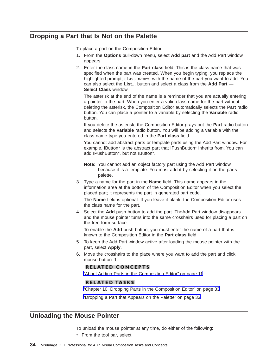## <span id="page-41-0"></span>**Dropping a Part that Is Not on the Palette**

To place a part on the Composition Editor:

- 1. From the **Options** pull-down menu, select **Add part** and the Add Part window appears.
- 2. Enter the class name in the **Part class** field. This is the class name that was specified when the part was created. When you begin typing, you replace the highlighted prompt, class name\*, with the name of the part you want to add. You can also select the **List...** button and select a class from the **Add Part — Select Class** window.

The asterisk at the end of the name is a reminder that you are actually entering a pointer to the part. When you enter a valid class name for the part without deleting the asterisk, the Composition Editor automatically selects the **Part** radio button. You can place a pointer to a variable by selecting the **Variable** radio button.

If you delete the asterisk, the Composition Editor grays out the **Part** radio button and selects the **Variable** radio button. You will be adding a variable with the class name type you entered in the **Part class** field.

You cannot add abstract parts or template parts using the Add Part window. For example, IButton\* is the abstract part that IPushButton\* inherits from. You can add IPushButton\*, but not IButton\*.

- **Note:** You cannot add an object factory part using the Add Part window because it is a template. You must add it by selecting it on the parts palette.
- 3. Type a name for the part in the **Name** field. This name appears in the information area at the bottom of the Composition Editor when you select the placed part; it represents the part in generated part code.

The **Name** field is optional. If you leave it blank, the Composition Editor uses the class name for the part.

4. Select the **Add** push button to add the part. TheAdd Part window disappears and the mouse pointer turns into the same crosshairs used for placing a part on the free-form surface.

To enable the **Add** push button, you must enter the name of a part that is known to the Composition Editor in the **Part class** field.

- 5. To keep the Add Part window active after loading the mouse pointer with the part, select **Apply**.
- 6. Move the crosshairs to the place where you want to add the part and click mouse button 1.

### **RELATED CONCEPTS**

["About Adding Parts in the Composition Editor" on page 11](#page-18-0)

#### **RELATED TASKS**

["Chapter 10. Dropping Parts in the Composition Editor" on page 33](#page-40-0)

["Dropping a Part that Appears on the Palette" on page 33](#page-40-0)

## **Unloading the Mouse Pointer**

To unload the mouse pointer at any time, do either of the following:

• From the tool bar, select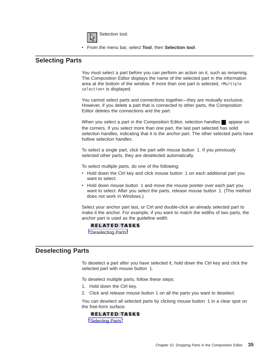

v From the menu bar, select **Tool**, then **Selection tool**.

## <span id="page-42-0"></span>**Selecting Parts**

You must select a part before you can perform an action on it, such as renaming. The Composition Editor displays the name of the selected part in the information area at the bottom of the window. If more than one part is selected, \*Multiple selection\* is displayed.

You cannot select parts and connections together—they are mutually exclusive. However, if you delete a part that is connected to other parts, the Composition Editor deletes the connections and the part.

When you select a part in the Composition Editor, selection handles  $\Box$  appear on the corners. If you select more than one part, the last part selected has solid selection handles, indicating that it is the *anchor* part. The other selected parts have hollow selection handles.

To select a single part, click the part with mouse button 1. If you previously selected other parts, they are deselected automatically.

To select multiple parts, do one of the following:

- Hold down the Ctrl key and click mouse button 1 on each additional part you want to select.
- Hold down mouse button 1 and move the mouse pointer over each part you want to select. After you select the parts, release mouse button 1. (This method does not work in Windows.)

Select your anchor part last, or Ctrl and double-click an already selected part to make it the anchor. For example, if you want to match the widths of two parts, the anchor part is used as the guideline width.

## **RELATED TASKS**

"Deselecting Parts"

## **Deselecting Parts**

To deselect a part after you have selected it, hold down the Ctrl key and click the selected part with mouse button 1.

To deselect multiple parts, follow these steps:

- 1. Hold down the Ctrl key.
- 2. Click and release mouse button 1 on all the parts you want to deselect.

You can deselect all selected parts by clicking mouse button 1 in a clear spot on the free-form surface.

### **RELATED TASKS**

"Selecting Parts"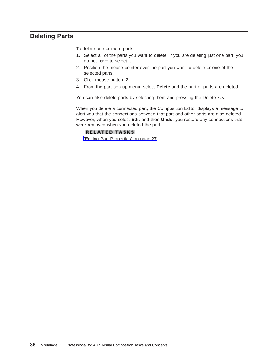## <span id="page-43-0"></span>**Deleting Parts**

To delete one or more parts :

- 1. Select all of the parts you want to delete. If you are deleting just one part, you do not have to select it.
- 2. Position the mouse pointer over the part you want to delete or one of the selected parts.
- 3. Click mouse button 2.
- 4. From the part pop-up menu, select **Delete** and the part or parts are deleted.

You can also delete parts by selecting them and pressing the Delete key.

When you delete a connected part, the Composition Editor displays a message to alert you that the connections between that part and other parts are also deleted. However, when you select **Edit** and then **Undo**, you restore any connections that were removed when you deleted the part.

### **RELATED TASKS**

["Editing Part Properties" on page 27](#page-34-0)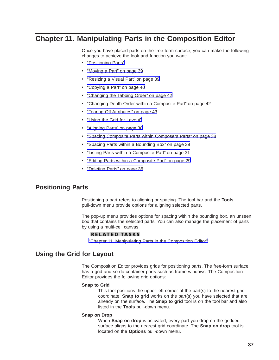# <span id="page-44-0"></span>**Chapter 11. Manipulating Parts in the Composition Editor**

Once you have placed parts on the free-form surface, you can make the following changes to achieve the look and function you want:

- "Positioning Parts"
- ["Moving a Part" on page 39](#page-46-0)
- ["Resizing a Visual Part" on page 39](#page-46-0)
- ["Copying a Part" on page 40](#page-47-0)
- ["Changing the Tabbing Order" on page 42](#page-49-0)
- ["Changing Depth Order within a Composite Part" on page 42](#page-49-0)
- ["Tearing Off Attributes" on page 43](#page-50-0)
- "Using the Grid for Layout"
- ["Aligning Parts" on page 38](#page-45-0)
- ["Spacing Composite Parts within Composers Parts" on page 38](#page-45-0)
- ["Spacing Parts within a Bounding Box" on page 39](#page-46-0)
- ["Listing Parts within a Composite Part" on page 31](#page-38-0)
- ["Editing Parts within a Composite Part" on page 29](#page-36-0)
- ["Deleting Parts" on page 36](#page-43-0)

## **Positioning Parts**

Positioning a part refers to aligning or spacing. The tool bar and the **Tools** pull-down menu provide options for aligning selected parts.

The pop-up menu provides options for spacing within the bounding box, an unseen box that contains the selected parts. You can also manage the placement of parts by using a multi-cell canvas.

#### **RELATED TASKS**

"Chapter 11. Manipulating Parts in the Composition Editor"

## **Using the Grid for Layout**

The Composition Editor provides grids for positioning parts. The free-form surface has a grid and so do container parts such as frame windows. The Composition Editor provides the following grid options:

#### **Snap to Grid**

This tool positions the upper left corner of the part(s) to the nearest grid coordinate. **Snap to grid** works on the part(s) you have selected that are already on the surface. The **Snap to grid** tool is on the tool bar and also listed in the **Tools** pull-down menu.

#### **Snap on Drop**

When **Snap on drop** is activated, every part you drop on the gridded surface aligns to the nearest grid coordinate. The **Snap on drop** tool is located on the **Options** pull-down menu.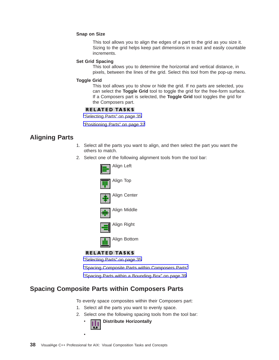#### <span id="page-45-0"></span>**Snap on Size**

This tool allows you to align the edges of a part to the grid as you size it. Sizing to the grid helps keep part dimensions in exact and easily countable increments.

#### **Set Grid Spacing**

This tool allows you to determine the horizontal and vertical distance, in pixels, between the lines of the grid. Select this tool from the pop-up menu.

#### **Toggle Grid**

This tool allows you to show or hide the grid. If no parts are selected, you can select the **Toggle Grid** tool to toggle the grid for the free-form surface. If a Composers part is selected, the **Toggle Grid** tool toggles the grid for the Composers part.

#### **RELATED TASKS**

["Selecting Parts" on page 35](#page-42-0)

["Positioning Parts" on page 37](#page-44-0)

## **Aligning Parts**

- 1. Select all the parts you want to align, and then select the part you want the others to match.
- 2. Select one of the following alignment tools from the tool bar:



## **RELATED TASKS**

["Selecting Parts" on page 35](#page-42-0)

"Spacing Composite Parts within Composers Parts"

["Spacing Parts within a Bounding Box" on page 39](#page-46-0)

## **Spacing Composite Parts within Composers Parts**

To evenly space composites within their Composers part:

- 1. Select all the parts you want to evenly space.
- 2. Select one the following spacing tools from the tool bar:



v

**38** VisualAge C++ Professional for AIX: Visual Composition Tasks and Concepts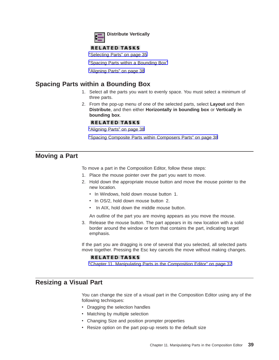

## **RELATED TASKS**

["Selecting Parts" on page 35](#page-42-0)

"Spacing Parts within a Bounding Box"

["Aligning Parts" on page 38](#page-45-0)

## <span id="page-46-0"></span>**Spacing Parts within a Bounding Box**

- 1. Select all the parts you want to evenly space. You must select a minimum of three parts.
- 2. From the pop-up menu of one of the selected parts, select **Layout** and then **Distribute**, and then either **Horizontally in bounding box** or **Vertically in bounding box**.

### **RELATED TASKS**

["Aligning Parts" on page 38](#page-45-0)

["Spacing Composite Parts within Composers Parts" on page 38](#page-45-0)

## **Moving a Part**

To move a part in the Composition Editor, follow these steps:

- 1. Place the mouse pointer over the part you want to move.
- 2. Hold down the appropriate mouse button and move the mouse pointer to the new location.
	- In Windows, hold down mouse button 1.
	- In OS/2, hold down mouse button 2.
	- In AIX, hold down the middle mouse button.

An outline of the part you are moving appears as you move the mouse.

3. Release the mouse button. The part appears in its new location with a solid border around the window or form that contains the part, indicating target emphasis.

If the part you are dragging is one of several that you selected, all selected parts move together. Pressing the Esc key cancels the move without making changes.

### **RELATED TASKS**

["Chapter 11. Manipulating Parts in the Composition Editor" on page 37](#page-44-0)

## **Resizing a Visual Part**

You can change the size of a visual part in the Composition Editor using any of the following techniques:

- Dragging the selection handles
- Matching by multiple selection
- Changing Size and position prompter properties
- Resize option on the part pop-up resets to the default size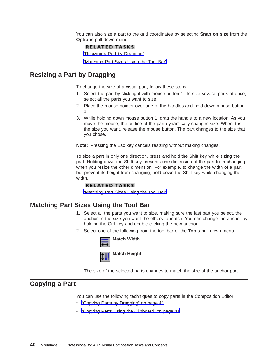You can also size a part to the grid coordinates by selecting **Snap on size** from the **Options** pull-down menu.

### **RELATED TASKS**

"Resizing a Part by Dragging"

"Matching Part Sizes Using the Tool Bar"

## <span id="page-47-0"></span>**Resizing a Part by Dragging**

To change the size of a visual part, follow these steps:

- 1. Select the part by clicking it with mouse button 1. To size several parts at once, select all the parts you want to size.
- 2. Place the mouse pointer over one of the handles and hold down mouse button 1.
- 3. While holding down mouse button 1, drag the handle to a new location. As you move the mouse, the outline of the part dynamically changes size. When it is the size you want, release the mouse button. The part changes to the size that you chose.

**Note:** Pressing the Esc key cancels resizing without making changes.

To size a part in only one direction, press and hold the Shift key while sizing the part. Holding down the Shift key prevents one dimension of the part from changing when you resize the other dimension. For example, to change the width of a part but prevent its height from changing, hold down the Shift key while changing the width.

### **RELATED TASKS**

"Matching Part Sizes Using the Tool Bar"

## **Matching Part Sizes Using the Tool Bar**

- 1. Select all the parts you want to size, making sure the last part you select, the anchor, is the size you want the others to match. You can change the anchor by holding the Ctrl key and double-clicking the new anchor.
- 2. Select one of the following from the tool bar or the **Tools** pull-down menu:



The size of the selected parts changes to match the size of the anchor part.

## **Copying a Part**

You can use the following techniques to copy parts in the Composition Editor:

- ["Copying Parts by Dragging" on page 41](#page-48-0)
- ["Copying Parts Using the Clipboard" on page 41](#page-48-0)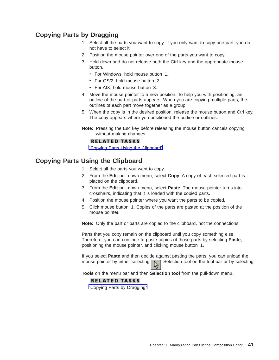# <span id="page-48-0"></span>**Copying Parts by Dragging**

- 1. Select all the parts you want to copy. If you only want to copy one part, you do not have to select it.
- 2. Position the mouse pointer over one of the parts you want to copy.
- 3. Hold down and do not release both the Ctrl key and the appropriate mouse button.
	- For Windows, hold mouse button 1.
	- For OS/2, hold mouse button 2.
	- For AIX, hold mouse button 3.
- 4. Move the mouse pointer to a new position. To help you with positioning, an outline of the part or parts appears. When you are copying multiple parts, the outlines of each part move together as a group.
- 5. When the copy is in the desired position, release the mouse button and Ctrl key. The copy appears where you positioned the outline or outlines.
- **Note:** Pressing the Esc key before releasing the mouse button cancels copying without making changes.

#### **RELATED TASKS**

"Copying Parts Using the Clipboard"

## **Copying Parts Using the Clipboard**

- 1. Select all the parts you want to copy.
- 2. From the **Edit** pull-down menu, select **Copy**. A copy of each selected part is placed on the clipboard.
- 3. From the **Edit** pull-down menu, select **Paste**. The mouse pointer turns into crosshairs, indicating that it is loaded with the copied parts.
- 4. Position the mouse pointer where you want the parts to be copied.
- 5. Click mouse button 1. Copies of the parts are pasted at the position of the mouse pointer.

**Note:** Only the part or parts are copied to the clipboard, not the connections.

Parts that you copy remain on the clipboard until you copy something else. Therefore, you can continue to paste copies of those parts by selecting **Paste**, positioning the mouse pointer, and clicking mouse button 1.

If you select **Paste** and then decide against pasting the parts, you can unload the mouse pointer by either selecting  $\sum$  Selection tool on the tool bar or by selecting

**Tools** on the menu bar and then **Selection tool** from the pull-down menu.

### **RELATED TASKS**

"Copying Parts by Dragging"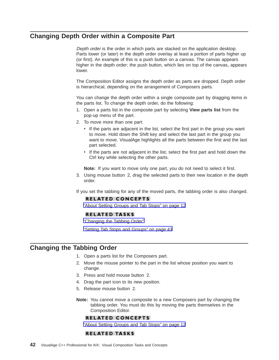# <span id="page-49-0"></span>**Changing Depth Order within a Composite Part**

Depth order is the order in which parts are stacked on the application desktop. Parts lower (or later) in the depth order overlay at least a portion of parts higher up (or first). An example of this is a push button on a canvas. The canvas appears higher in the depth order; the push button, which lies on top of the canvas, appears lower.

The Composition Editor assigns the depth order as parts are dropped. Depth order is hierarchical, depending on the arrangement of Composers parts.

You can change the depth order within a single composite part by dragging items in the parts list. To change the depth order, do the following:

- 1. Open a parts list in the composite part by selecting **View parts list** from the pop-up menu of the part.
- 2. To move more than one part:
	- If the parts are adjacent in the list, select the first part in the group you want to move. Hold down the Shift key and select the last part in the group you want to move. VisualAge highlights all the parts between the first and the last part selected.
	- If the parts are not adjacent in the list, select the first part and hold down the Ctrl key while selecting the other parts.

**Note:** If you want to move only one part, you do not need to select it first.

3. Using mouse button 2, drag the selected parts to their new location in the depth order.

If you set the tabbing for any of the moved parts, the tabbing order is also changed.

### **RELATED CONCEPTS**

["About Setting Groups and Tab Stops" on page 12](#page-19-0)

### **RELATED TASKS**

"Changing the Tabbing Order"

["Setting Tab Stops and Groups" on page 43](#page-50-0)

## **Changing the Tabbing Order**

- 1. Open a parts list for the Composers part.
- 2. Move the mouse pointer to the part in the list whose position you want to change.
- 3. Press and hold mouse button 2.
- 4. Drag the part icon to its new position.
- 5. Release mouse button 2.
- **Note:** You cannot move a composite to a new Composers part by changing the tabbing order. You must do this by moving the parts themselves in the Composition Editor.

### **RELATED CONCEPTS**

["About Setting Groups and Tab Stops" on page 12](#page-19-0)

### **RELATED TASKS**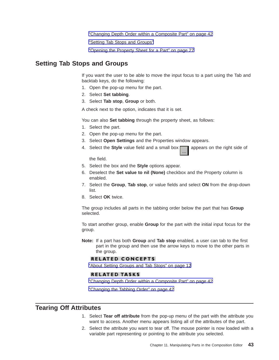["Changing Depth Order within a Composite Part" on page 42](#page-49-0)

"Setting Tab Stops and Groups"

["Opening the Property Sheet for a Part" on page 27](#page-34-0)

## <span id="page-50-0"></span>**Setting Tab Stops and Groups**

If you want the user to be able to move the input focus to a part using the Tab and backtab keys, do the following:

- 1. Open the pop-up menu for the part.
- 2. Select **Set tabbing**.
- 3. Select **Tab stop**, **Group** or both.

A check next to the option, indicates that it is set.

You can also **Set tabbing** through the property sheet, as follows:

- 1. Select the part.
- 2. Open the pop-up menu for the part.
- 3. Select **Open Settings** and the Properties window appears.
- 4. Select the **Style** value field and a small box **a** appears on the right side of

the field.

- 5. Select the box and the **Style** options appear.
- 6. Deselect the **Set value to nil (None)** checkbox and the Property column is enabled.
- 7. Select the **Group**, **Tab stop**, or value fields and select **ON** from the drop-down list.
- 8. Select **OK** twice.

The group includes all parts in the tabbing order below the part that has **Group** selected.

To start another group, enable **Group** for the part with the initial input focus for the group.

**Note:** If a part has both **Group** and **Tab stop** enabled, a user can tab to the first part in the group and then use the arrow keys to move to the other parts in the group.

### **RELATED CONCEPTS**

["About Setting Groups and Tab Stops" on page 12](#page-19-0)

#### **RELATED TASKS**

["Changing Depth Order within a Composite Part" on page 42](#page-49-0)

["Changing the Tabbing Order" on page 42](#page-49-0)

## **Tearing Off Attributes**

- 1. Select **Tear off attribute** from the pop-up menu of the part with the attribute you want to access. Another menu appears listing all of the attributes of the part.
- 2. Select the attribute you want to tear off. The mouse pointer is now loaded with a variable part representing or pointing to the attribute you selected.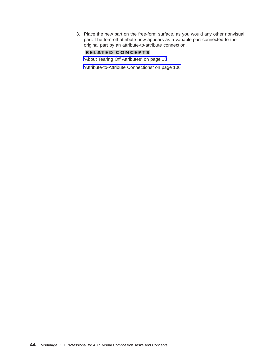3. Place the new part on the free-form surface, as you would any other nonvisual part. The torn-off attribute now appears as a variable part connected to the original part by an attribute-to-attribute connection.

## **RELATED CONCEPTS**

["About Tearing Off Attributes" on page 13](#page-20-0)

["Attribute-to-Attribute Connections" on page 106](#page-113-0)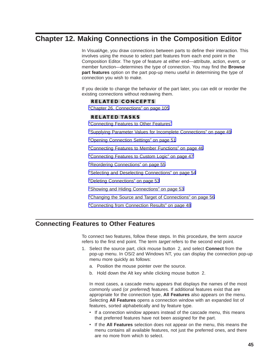# <span id="page-52-0"></span>**Chapter 12. Making Connections in the Composition Editor**

In VisualAge, you draw connections between parts to define their interaction. This involves using the mouse to select part features from each end point in the Composition Editor. The type of feature at either end—attribute, action, event, or member function—determines the type of connection. You may find the **Browse part features** option on the part pop-up menu useful in determining the type of connection you wish to make.

If you decide to change the behavior of the part later, you can edit or reorder the existing connections without redrawing them.

### **RELATED CONCEPTS**

["Chapter 26. Connections" on page 105](#page-112-0)

### **RELATED TASKS**

"Connecting Features to Other Features"

["Supplying Parameter Values for Incomplete Connections" on page 49](#page-56-0)

["Opening Connection Settings" on page 51](#page-58-0)

["Connecting Features to Member Functions" on page 46](#page-53-0)

["Connecting Features to Custom Logic" on page 47](#page-54-0)

["Reordering Connections" on page 55](#page-62-0)

["Selecting and Deselecting Connections" on page 54](#page-61-0)

["Deleting Connections" on page 53](#page-60-0)

["Showing and Hiding Connections" on page 53](#page-60-0)

["Changing the Source and Target of Connections" on page 56](#page-63-0)

["Connecting from Connection Results" on page 48](#page-55-0)

# **Connecting Features to Other Features**

To connect two features, follow these steps. In this procedure, the term source refers to the first end point. The term *target* refers to the second end point.

- 1. Select the source part, click mouse button 2, and select **Connect** from the pop-up menu. In OS/2 and Windows NT, you can display the connection pop-up menu more quickly as follows:
	- a. Position the mouse pointer over the source.
	- b. Hold down the Alt key while clicking mouse button 2.

In most cases, a cascade menu appears that displays the names of the most commonly used (or *preferred*) features. If additional features exist that are appropriate for the connection type, **All Features** also appears on the menu. Selecting **All Features** opens a connection window with an expanded list of features, sorted alphabetically and by feature type.

- If a connection window appears instead of the cascade menu, this means that preferred features have not been assigned for the part.
- v If the **All Features** selection does not appear on the menu, this means the menu contains all available features, not just the preferred ones, and there are no more from which to select.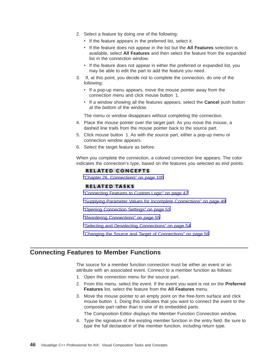- <span id="page-53-0"></span>2. Select a feature by doing one of the following:
	- If the feature appears in the preferred list, select it.
	- v If the feature does not appear in the list but the **All Features** selection is available, select **All Features** and then select the feature from the expanded list in the connection window.
	- If the feature does not appear in either the preferred or expanded list, you may be able to edit the part to add the feature you need.
- 3. If, at this point, you decide not to complete the connection, do one of the following:
	- If a pop-up menu appears, move the mouse pointer away from the connection menu and click mouse button 1.
	- v If a window showing all the features appears, select the **Cancel** push button at the bottom of the window.

The menu or window disappears without completing the connection.

- 4. Place the mouse pointer over the target part. As you move the mouse, a dashed line trails from the mouse pointer back to the source part.
- 5. Click mouse button 1. As with the source part, either a pop-up menu or connection window appears.
- 6. Select the target feature as before.

When you complete the connection, a colored connection line appears. The color indicates the connection's type, based on the features you selected as end points.

### **RELATED CONCEPTS**

["Chapter 26. Connections" on page 105](#page-112-0)

### **RELATED TASKS**

["Connecting Features to Custom Logic" on page 47](#page-54-0)

["Supplying Parameter Values for Incomplete Connections" on page 49](#page-56-0)

["Opening Connection Settings" on page 51](#page-58-0)

["Reordering Connections" on page 55](#page-62-0)

["Selecting and Deselecting Connections" on page 54](#page-61-0)

["Changing the Source and Target of Connections" on page 56](#page-63-0)

## **Connecting Features to Member Functions**

The source for a member function connection must be either an event or an attribute with an associated event. Connect to a member function as follows:

- 1. Open the connection menu for the source part.
- 2. From this menu, select the event. If the event you want is not on the **Preferred Features** list, select the feature from the **All Features** menu.
- 3. Move the mouse pointer to an empty point on the free-form surface and click mouse button 1. Doing this indicates that you want to connect the event to the composite part rather than to one of its embedded parts.

The Composition Editor displays the Member Function Connection window.

4. Type the signature of the existing member function in the entry field. Be sure to type the full declaration of the member function, including return type.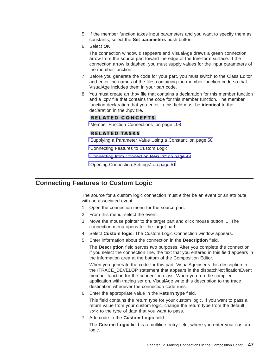- <span id="page-54-0"></span>5. If the member function takes input parameters and you want to specify them as constants, select the **Set parameters** push button.
- 6. Select **OK**.

The connection window disappears and VisualAge draws a green connection arrow from the source part toward the edge of the free-form surface. If the connection arrow is dashed, you must supply values for the input parameters of the member function.

- 7. Before you generate the code for your part, you must switch to the Class Editor and enter the names of the files containing the member function code so that VisualAge includes them in your part code.
- 8. You must create an .hpv file that contains a declaration for this member function and a .cpv file that contains the code for this member function. The member function declaration that you enter in this field must be **identical** to the declaration in the .hpv file.

### **RELATED CONCEPTS**

["Member Function Connections" on page 108](#page-115-0)

### **RELATED TASKS**

["Supplying a Parameter Value Using a Constant" on page 50](#page-57-0)

"Connecting Features to Custom Logic"

["Connecting from Connection Results" on page 48](#page-55-0)

["Opening Connection Settings" on page 51](#page-58-0)

## **Connecting Features to Custom Logic**

The source for a custom logic connection must either be an event or an attribute with an associated event.

- 1. Open the connection menu for the source part.
- 2. From this menu, select the event.
- 3. Move the mouse pointer to the target part and click mouse button 1. The connection menu opens for the target part.
- 4. Select **Custom logic**. The Custom Logic Connection window appears.
- 5. Enter information about the connection in the **Description** field.

The **Description** field serves two purposes. After you complete the connection, if you select the connection line, the text that you entered in this field appears in the information area at the bottom of the Composition Editor.

When you generate the code for this part, VisualAgeinserts this description in the ITRACE\_DEVELOP statement that appears in the dispatchNotificationEvent member function for the connection class. When you run the compiled application with tracing set on, VisualAge write this description to the trace destination whenever the connection code runs.

6. Enter the appropriate value in the **Return type** field.

This field contains the return type for your custom logic. If you want to pass a return value from your custom logic, change the return type from the default void to the type of data that you want to pass.

7. Add code to the **Custom Logic** field.

The **Custom Logic** field is a multiline entry field, where you enter your custom logic.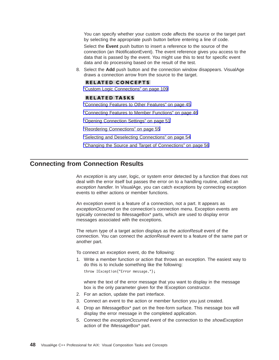<span id="page-55-0"></span>You can specify whether your custom code affects the source or the target part by selecting the appropriate push button before entering a line of code.

Select the **Event** push button to insert a reference to the source of the connection (an INotificationEvent). The event reference gives you access to the data that is passed by the event. You might use this to test for specific event data and do processing based on the result of the test.

8. Select the **Add** push button and the connection window disappears. VisualAge draws a connection arrow from the source to the target.

#### **RELATED CONCEPTS**

["Custom Logic Connections" on page 109](#page-116-0)

### **RELATED TASKS**

["Connecting Features to Other Features" on page 45](#page-52-0)

["Connecting Features to Member Functions" on page 46](#page-53-0)

["Opening Connection Settings" on page 51](#page-58-0)

["Reordering Connections" on page 55](#page-62-0)

["Selecting and Deselecting Connections" on page 54](#page-61-0)

["Changing the Source and Target of Connections" on page 56](#page-63-0)

## **Connecting from Connection Results**

An exception is any user, logic, or system error detected by a function that does not deal with the error itself but passes the error on to a handling routine, called an exception handler. In VisualAge, you can catch exceptions by connecting exception events to either actions or member functions.

An exception event is a feature of a connection, not a part. It appears as exceptionOccurred on the connection's connection menu. Exception events are typically connected to IMessageBox\* parts, which are used to display error messages associated with the exceptions.

The return type of a target action displays as the *actionResult* event of the connection. You can connect the actionResult event to a feature of the same part or another part.

To connect an exception event, do the following:

1. Write a member function or action that throws an exception. The easiest way to do this is to include something like the following:

throw IException("Error message.");

where the text of the error message that you want to display in the message box is the only parameter given for the IException constructor.

- 2. For an action, update the part interface.
- 3. Connect an event to the action or member function you just created.
- 4. Drop an IMessageBox\* part on the free-form surface. This message box will display the error message in the completed application.
- 5. Connect the exceptionOccurred event of the connection to the showException action of the IMessageBox\* part.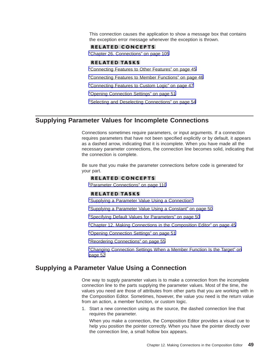<span id="page-56-0"></span>This connection causes the application to show a message box that contains the exception error message whenever the exception is thrown.

### **RELATED CONCEPTS**

["Chapter 26. Connections" on page 105](#page-112-0)

### **RELATED TASKS**

["Connecting Features to Other Features" on page 45](#page-52-0)

["Connecting Features to Member Functions" on page 46](#page-53-0)

["Connecting Features to Custom Logic" on page 47](#page-54-0)

["Opening Connection Settings" on page 51](#page-58-0)

["Selecting and Deselecting Connections" on page 54](#page-61-0)

## **Supplying Parameter Values for Incomplete Connections**

Connections sometimes require parameters, or input arguments. If a connection requires parameters that have not been specified explicitly or by default, it appears as a dashed arrow, indicating that it is incomplete. When you have made all the necessary parameter connections, the connection line becomes solid, indicating that the connection is complete.

Be sure that you make the parameter connections before code is generated for your part.

### **RELATED CONCEPTS**

["Parameter Connections" on page 110](#page-117-0)

### **RELATED TASKS**

"Supplying a Parameter Value Using a Connection"

["Supplying a Parameter Value Using a Constant" on page 50](#page-57-0)

["Specifying Default Values for Parameters" on page 50](#page-57-0)

["Chapter 12. Making Connections in the Composition Editor" on page 45](#page-52-0)

["Opening Connection Settings" on page 51](#page-58-0)

["Reordering Connections" on page 55](#page-62-0)

["Changing Connection Settings When a Member Function Is the Target" on](#page-59-0) [page 52](#page-59-0)

## **Supplying a Parameter Value Using a Connection**

One way to supply parameter values is to make a connection from the incomplete connection line to the parts supplying the parameter values. Most of the time, the values you need are those of attributes from other parts that you are working with in the Composition Editor. Sometimes, however, the value you need is the return value from an action, a member function, or custom logic.

1. Start a new connection using as the source, the dashed connection line that requires the parameter.

When you make a connection, the Composition Editor provides a visual cue to help you position the pointer correctly. When you have the pointer directly over the connection line, a small hollow box appears.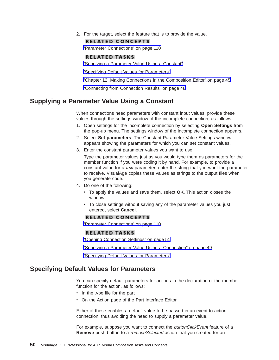<span id="page-57-0"></span>2. For the target, select the feature that is to provide the value.

#### **RELATED CONCEPTS**

["Parameter Connections" on page 110](#page-117-0)

#### **RELATED TASKS**

"Supplying a Parameter Value Using a Constant"

"Specifying Default Values for Parameters"

["Chapter 12. Making Connections in the Composition Editor" on page 45](#page-52-0)

["Connecting from Connection Results" on page 48](#page-55-0)

## **Supplying a Parameter Value Using a Constant**

When connections need parameters with constant input values, provide these values through the settings window of the incomplete connection, as follows:

- 1. Open settings for the incomplete connection by selecting **Open Settings** from the pop-up menu. The settings window of the incomplete connection appears.
- 2. Select **Set parameters**. The Constant Parameter Value Settings window appears showing the parameters for which you can set constant values.
- 3. Enter the constant parameter values you want to use.

Type the parameter values just as you would type them as parameters for the member function if you were coding it by hand. For example, to provide a constant value for a *text* parameter, enter the string that you want the parameter to receive. VisualAge copies these values as strings to the output files when you generate code.

- 4. Do one of the following:
	- v To apply the values and save them, select **OK**. This action closes the window.
	- To close settings without saving any of the parameter values you just entered, select **Cancel**.

#### **RELATED CONCEPTS**

["Parameter Connections" on page 110](#page-117-0)

### **RELATED TASKS**

["Opening Connection Settings" on page 51](#page-58-0)

["Supplying a Parameter Value Using a Connection" on page 49](#page-56-0)

"Specifying Default Values for Parameters"

## **Specifying Default Values for Parameters**

You can specify default parameters for actions in the declaration of the member function for the action, as follows:

- In the .vbe file for the part
- On the Action page of the Part Interface Editor

Either of these enables a default value to be passed in an event-to-action connection, thus avoiding the need to supply a parameter value.

For example, suppose you want to connect the buttonClickEvent feature of a **Remove** push button to a removeSelected action that you created for an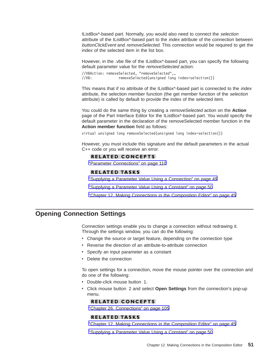<span id="page-58-0"></span>IListBox\*-based part. Normally, you would also need to connect the selection attribute of the IListBox\*-based part to the *index* attribute of the connection between buttonClickEvent and removeSelected. This connection would be required to get the index of the selected item in the list box.

However, in the .vbe file of the IListBox\*-based part, you can specify the following default parameter value for the removeSelected action:

//VBAction: removeSelected, "removeSelected",, //VB: removeSelected(unsigned long index=selection())

This means that if no attribute of the IListBox\*-based part is connected to the *index* attribute, the selection member function (the get member function of the selection attribute) is called by default to provide the index of the selected item.

You could do the same thing by creating a removeSelected action on the **Action** page of the Part Interface Editor for the IListBox\*-based part. You would specify the default parameter in the declaration of the removeSelected member function in the **Action member function** field as follows:

virtual unsigned long removeSelected(unsigned long index=selection())

However, you must include this signature and the default parameters in the actual C++ code or you will receive an error.

#### **RELATED CONCEPTS**

["Parameter Connections" on page 110](#page-117-0)

### **RELATED TASKS**

["Supplying a Parameter Value Using a Connection" on page 49](#page-56-0)

["Supplying a Parameter Value Using a Constant" on page 50](#page-57-0)

["Chapter 12. Making Connections in the Composition Editor" on page 45](#page-52-0)

## **Opening Connection Settings**

Connection settings enable you to change a connection without redrawing it. Through the settings window, you can do the following:

- Change the source or target feature, depending on the connection type
- Reverse the direction of an attribute-to-attribute connection
- Specify an input parameter as a constant
- Delete the connection

To open settings for a connection, move the mouse pointer over the connection and do one of the following:

- Double-click mouse button 1.
- v Click mouse button 2 and select **Open Settings** from the connection's pop-up menu.

### **RELATED CONCEPTS**

["Chapter 26. Connections" on page 105](#page-112-0)

### **RELATED TASKS**

["Chapter 12. Making Connections in the Composition Editor" on page 45](#page-52-0)

["Supplying a Parameter Value Using a Constant" on page 50](#page-57-0)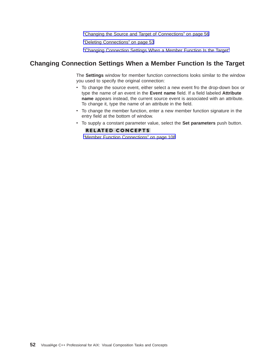["Changing the Source and Target of Connections" on page 56](#page-63-0)

["Deleting Connections" on page 53](#page-60-0)

"Changing Connection Settings When a Member Function Is the Target"

## <span id="page-59-0"></span>**Changing Connection Settings When a Member Function Is the Target**

The **Settings** window for member function connections looks similar to the window you used to specify the original connection:

- To change the source event, either select a new event fro the drop-down box or type the name of an event in the **Event name** field. If a field labeled **Attribute name** appears instead, the current source event is associated with an attribute. To change it, type the name of an attribute in the field.
- To change the member function, enter a new member function signature in the entry field at the bottom of window.
- v To supply a constant parameter value, select the **Set parameters** push button.

### **RELATED CONCEPTS**

["Member Function Connections" on page 108](#page-115-0)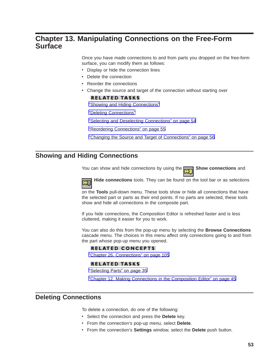# <span id="page-60-0"></span>**Chapter 13. Manipulating Connections on the Free-Form Surface**

Once you have made connections to and from parts you dropped on the free-form surface, you can modify them as follows:

- Display or hide the connection lines
- Delete the connection
- Reorder the connections
- Change the source and target of the connection without starting over

### **RELATED TASKS**

"Showing and Hiding Connections"

"Deleting Connections"

["Selecting and Deselecting Connections" on page 54](#page-61-0)

["Reordering Connections" on page 55](#page-62-0)

["Changing the Source and Target of Connections" on page 56](#page-63-0)

## **Showing and Hiding Connections**

You can show and hide connections by using the **RAPANET Show connections** and

**Hide connections** tools. They can be found on the tool bar or as selections

on the **Tools** pull-down menu. These tools show or hide all connections that have the selected part or parts as their end points. If no parts are selected, these tools show and hide all connections in the composite part.

If you hide connections, the Composition Editor is refreshed faster and is less cluttered, making it easier for you to work.

You can also do this from the pop-up menu by selecting the **Browse Connections** cascade menu. The choices in this menu affect only connections going to and from the part whose pop-up menu you opened.

### **RELATED CONCEPTS**

["Chapter 26. Connections" on page 105](#page-112-0)

#### **RELATED TASKS**

["Selecting Parts" on page 35](#page-42-0)

["Chapter 12. Making Connections in the Composition Editor" on page 45](#page-52-0)

## **Deleting Connections**

To delete a connection, do one of the following:

- v Select the connection and press the **Delete** key.
- v From the connection's pop-up menu, select **Delete**.
- v From the connection's **Settings** window, select the **Delete** push button.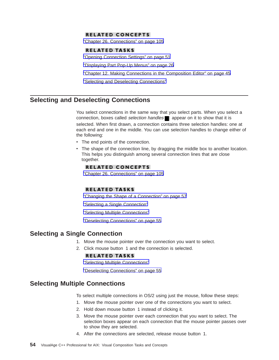### <span id="page-61-0"></span>**RELATED CONCEPTS**

["Chapter 26. Connections" on page 105](#page-112-0)

#### **RELATED TASKS**

["Opening Connection Settings" on page 51](#page-58-0)

["Displaying Part Pop-Up Menus" on page 26](#page-33-0)

["Chapter 12. Making Connections in the Composition Editor" on page 45](#page-52-0)

"Selecting and Deselecting Connections"

## **Selecting and Deselecting Connections**

You select connections in the same way that you select parts. When you select a connection, boxes called selection handles  $\Box$  appear on it to show that it is selected. When first drawn, a connection contains three selection handles: one at each end and one in the middle. You can use selection handles to change either of the following:

- The end points of the connection.
- The shape of the connection line, by dragging the middle box to another location. This helps you distinguish among several connection lines that are close together.

#### **RELATED CONCEPTS**

["Chapter 26. Connections" on page 105](#page-112-0)

### **RELATED TASKS**

["Changing the Shape of a Connection" on page 57](#page-64-0)

"Selecting a Single Connection"

"Selecting Multiple Connections"

["Deselecting Connections" on page 55](#page-62-0)

## **Selecting a Single Connection**

- 1. Move the mouse pointer over the connection you want to select.
- 2. Click mouse button 1 and the connection is selected.

### **RELATED TASKS**

"Selecting Multiple Connections"

["Deselecting Connections" on page 55](#page-62-0)

## **Selecting Multiple Connections**

To select multiple connections in OS/2 using just the mouse, follow these steps:

- 1. Move the mouse pointer over one of the connections you want to select.
- 2. Hold down mouse button 1 instead of clicking it.
- 3. Move the mouse pointer over each connection that you want to select. The selection boxes appear on each connection that the mouse pointer passes over to show they are selected.
- 4. After the connections are selected, release mouse button 1.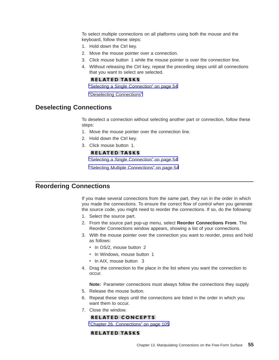<span id="page-62-0"></span>To select multiple connections on all platforms using both the mouse and the keyboard, follow these steps:

- 1. Hold down the Ctrl key.
- 2. Move the mouse pointer over a connection.
- 3. Click mouse button 1 while the mouse pointer is over the connection line.
- 4. Without releasing the Ctrl key, repeat the preceding steps until all connections that you want to select are selected.

### **RELATED TASKS**

["Selecting a Single Connection" on page 54](#page-61-0)

"Deselecting Connections"

# **Deselecting Connections**

To deselect a connection without selecting another part or connection, follow these steps:

- 1. Move the mouse pointer over the connection line.
- 2. Hold down the Ctrl key.
- 3. Click mouse button 1.

### **RELATED TASKS**

["Selecting a Single Connection" on page 54](#page-61-0)

["Selecting Multiple Connections" on page 54](#page-61-0)

## **Reordering Connections**

If you make several connections from the same part, they run in the order in which you made the connections. To ensure the correct flow of control when you generate the source code, you might need to reorder the connections. If so, do the following:

- 1. Select the source part.
- 2. From the source part pop-up menu, select **Reorder Connections From**. The Reorder Connections window appears, showing a list of your connections.
- 3. With the mouse pointer over the connection you want to reorder, press and hold as follows:
	- In OS/2, mouse button 2
	- In Windows, mouse button 1
	- In AIX, mouse button 3
- 4. Drag the connection to the place in the list where you want the connection to occur.

**Note:** Parameter connections must always follow the connections they supply.

- 5. Release the mouse button.
- 6. Repeat these steps until the connections are listed in the order in which you want them to occur.
- 7. Close the window.

### **RELATED CONCEPTS**

["Chapter 26. Connections" on page 105](#page-112-0)

#### **RELATED TASKS**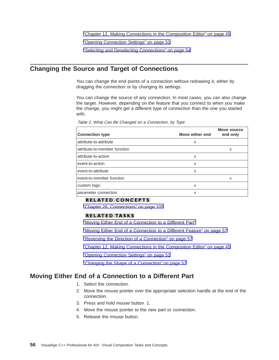["Chapter 12. Making Connections in the Composition Editor" on page 45](#page-52-0)

["Opening Connection Settings" on page 51](#page-58-0)

["Selecting and Deselecting Connections" on page 54](#page-61-0)

## <span id="page-63-0"></span>**Changing the Source and Target of Connections**

You can change the end points of a connection without redrawing it, either by dragging the connection or by changing its settings.

You can change the source of any connection. In most cases, you can also change the target. However, depending on the feature that you connect to when you make the change, you might get a different type of connection than the one you started with.

| <b>Connection type</b>       | Move either end | Move source<br>end only |
|------------------------------|-----------------|-------------------------|
| attribute-to-attribute       | x               |                         |
| attribute-to-member function |                 | x                       |
| attribute-to-action          | X               |                         |
| event-to-action              | X               |                         |
| event-to-attribute           | X               |                         |
| event-to-member function     |                 | x                       |
| custom logic                 | X               |                         |
| parameter connection         | x               |                         |

Table 2. What Can Be Changed on <sup>a</sup> Connection, by Type

### **RELATED CONCEPTS**

["Chapter 26. Connections" on page 105](#page-112-0)

#### **RELATED TASKS**

"Moving Either End of a Connection to a Different Part"

["Moving Either End of a Connection to a Different Feature" on page 57](#page-64-0)

["Reversing the Direction of a Connection" on page 57](#page-64-0)

["Chapter 12. Making Connections in the Composition Editor" on page 45](#page-52-0)

["Opening Connection Settings" on page 51](#page-58-0)

["Changing the Shape of a Connection" on page 57](#page-64-0)

## **Moving Either End of a Connection to a Different Part**

- 1. Select the connection.
- 2. Move the mouse pointer over the appropriate selection handle at the end of the connection.
- 3. Press and hold mouse button 1.
- 4. Move the mouse pointer to the new part or connection.
- 5. Release the mouse button.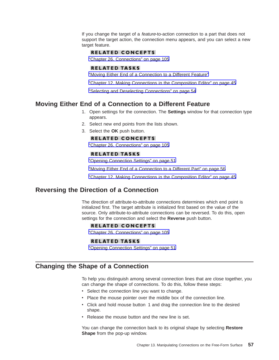<span id="page-64-0"></span>If you change the target of a *feature*-to-action connection to a part that does not support the target action, the connection menu appears, and you can select a new target feature.

#### **RELATED CONCEPTS**

["Chapter 26. Connections" on page 105](#page-112-0)

### **RELATED TASKS**

"Moving Either End of a Connection to a Different Feature"

["Chapter 12. Making Connections in the Composition Editor" on page 45](#page-52-0)

["Selecting and Deselecting Connections" on page 54](#page-61-0)

## **Moving Either End of a Connection to a Different Feature**

- 1. Open settings for the connection. The **Settings** window for that connection type appears.
- 2. Select new end points from the lists shown.
- 3. Select the **OK** push button.

#### **RELATED CONCEPTS**

["Chapter 26. Connections" on page 105](#page-112-0)

### **RELATED TASKS**

["Opening Connection Settings" on page 51](#page-58-0)

["Moving Either End of a Connection to a Different Part" on page 56](#page-63-0)

["Chapter 12. Making Connections in the Composition Editor" on page 45](#page-52-0)

## **Reversing the Direction of a Connection**

The direction of attribute-to-attribute connections determines which end point is initialized first. The target attribute is initialized first based on the value of the source. Only attribute-to-attribute connections can be reversed. To do this, open settings for the connection and select the **Reverse** push button.

#### **RELATED CONCEPTS**

["Chapter 26. Connections" on page 105](#page-112-0)

#### **RELATED TASKS**

["Opening Connection Settings" on page 51](#page-58-0)

## **Changing the Shape of a Connection**

To help you distinguish among several connection lines that are close together, you can change the shape of connections. To do this, follow these steps:

- Select the connection line you want to change.
- Place the mouse pointer over the middle box of the connection line.
- Click and hold mouse button 1 and drag the connection line to the desired shape.
- Release the mouse button and the new line is set.

You can change the connection back to its original shape by selecting **Restore Shape** from the pop-up window.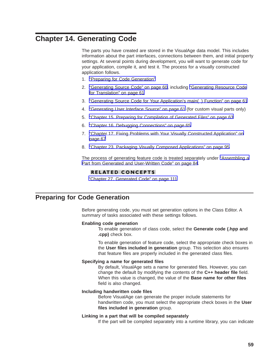# <span id="page-66-0"></span>**Chapter 14. Generating Code**

The parts you have created are stored in the VisualAge data model. This includes information about the part interfaces, connections between them, and initial property settings. At several points during development, you will want to generate code for your application, compile it, and test it. The process for a visually constructed application follows.

- 1. "Preparing for Code Generation"
- 2. ["Generating Source Code" on page 60,](#page-67-0) including ["Generating Resource Code](#page-68-0) [for Translation" on page 61](#page-68-0)
- 3. ["Generating Source Code for Your Application's main\( \) Function" on page 61](#page-68-0)
- 4. ["Generating User Interface Source" on page 61](#page-68-0) (for custom visual parts only)
- 5. ["Chapter 15. Preparing for Compilation of Generated Files" on page 63](#page-70-0)
- 6. ["Chapter 16. Debugging Connections" on page 65](#page-72-0)
- 7. ["Chapter 17. Fixing Problems with Your Visually Constructed Application" on](#page-74-0) [page 67](#page-74-0)
- 8. ["Chapter 23. Packaging Visually Composed Applications" on page 95](#page-102-0)

The process of generating feature code is treated separately under ["Assembling a](#page-91-0) [Part from Generated and User-Written Code" on page 84](#page-91-0).

#### **RELATED CONCEPTS**

["Chapter 27. Generated Code" on page 111](#page-118-0)

## **Preparing for Code Generation**

Before generating code, you must set generation options in the Class Editor. A summary of tasks associated with these settings follows.

#### **Enabling code generation**

To enable generation of class code, select the **Generate code (.hpp and .cpp)** check box.

To enable generation of feature code, select the appropriate check boxes in the **User files included in generation** group. This selection also ensures that feature files are properly included in the generated class files.

#### **Specifying a name for generated files**

By default, VisualAge sets a name for generated files. However, you can change the default by modifying the contents of the **C++ header file** field. When this value is changed, the value of the **Base name for other files** field is also changed.

#### **Including handwritten code files**

Before VisualAge can generate the proper include statements for handwritten code, you must select the appropriate check boxes in the **User files included in generation** group.

#### **Linking in a part that will be compiled separately**

If the part will be compiled separately into a runtime library, you can indicate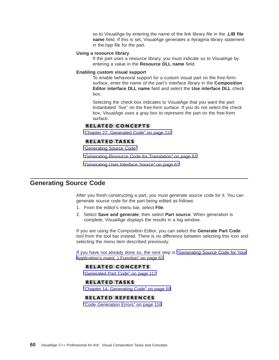so to VisualAge by entering the name of the link library file in the **.LIB file name** field. If this is set, VisualAge generates a #pragma library statement in the.hpp file for the part.

#### <span id="page-67-0"></span>**Using a resource library**

If the part uses a resource library, you must indicate so to VisualAge by entering a value in the **Resource DLL name** field.

### **Enabling custom visual support**

To enable behavioral support for a custom visual part on the free-form surface, enter the name of the part's interface library in the **Composition Editor interface DLL name** field and select the **Use interface DLL** check box.

Selecting the check box indicates to VisualAge that you want the part instantiated ″live″ on the free-form surface. If you do not select the check box, VisualAge uses a gray box to represent the part on the free-form surface.

#### **RELATED CONCEPTS**

["Chapter 27. Generated Code" on page 111](#page-118-0)

#### **RELATED TASKS**

"Generating Source Code"

["Generating Resource Code for Translation" on page 61](#page-68-0)

["Generating User Interface Source" on page 61](#page-68-0)

## **Generating Source Code**

After you finish constructing a part, you must generate source code for it. You can generate source code for the part being edited as follows:

- 1. From the editor's menu bar, select **File**.
- 2. Select **Save and generate**; then select **Part source**. When generation is complete, VisualAge displays the results in a log window.

If you are using the Composition Editor, you can select the **Generate Part Code** tool from the tool bar instead. There is no difference between selecting this icon and selecting the menu item described previously.

If you have not already done so, the next step is ["Generating Source Code for Your](#page-68-0) [Application's main\( \) Function" on page 61.](#page-68-0)

#### **RELATED CONCEPTS**

["Generated Part Code" on page 112](#page-119-0)

#### **RELATED TASKS**

["Chapter 14. Generating Code" on page 59](#page-66-0)

#### **RELATED REFERENCES**

["Code Generation Errors" on page 116](#page-123-0)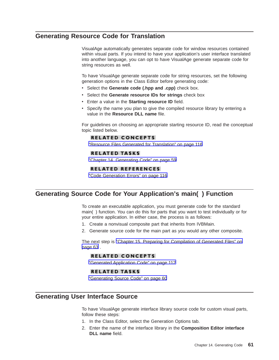## <span id="page-68-0"></span>**Generating Resource Code for Translation**

VisualAge automatically generates separate code for window resources contained within visual parts. If you intend to have your application's user interface translated into another language, you can opt to have VisualAge generate separate code for string resources as well.

To have VisualAge generate separate code for string resources, set the following generation options in the Class Editor before generating code:

- v Select the **Generate code (.hpp and .cpp)** check box.
- v Select the **Generate resource IDs for strings** check box
- **Enter a value in the Starting resource ID** field.
- Specify the name you plan to give the compiled resource library by entering a value in the **Resource DLL name** file.

For guidelines on choosing an appropriate starting resource ID, read the conceptual topic listed below.

### **RELATED CONCEPTS**

["Resource Files Generated for Translation" on page 116](#page-123-0)

### **RELATED TASKS**

["Chapter 14. Generating Code" on page 59](#page-66-0)

### **RELATED REFERENCES**

["Code Generation Errors" on page 116](#page-123-0)

## **Generating Source Code for Your Application's main( ) Function**

To create an executable application, you must generate code for the standard main( ) function. You can do this for parts that you want to test individually or for your entire application. In either case, the process is as follows:

- 1. Create a nonvisual composite part that inherits from IVBMain.
- 2. Generate source code for the main part as you would any other composite.

The next step is ["Chapter 15. Preparing for Compilation of Generated Files" on](#page-70-0) [page 63](#page-70-0) .

### **RELATED CONCEPTS**

["Generated Application Code" on page 112](#page-119-0)

#### **RELATED TASKS**

["Generating Source Code" on page 60](#page-67-0)

## **Generating User Interface Source**

To have VisualAge generate interface library source code for custom visual parts, follow these steps:

- 1. In the Class Editor, select the Generation Options tab.
- 2. Enter the name of the interface library in the **Composition Editor interface DLL name** field.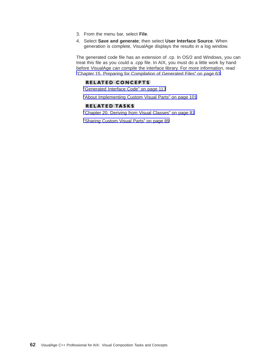- 3. From the menu bar, select **File**.
- 4. Select **Save and generate**; then select **User Interface Source**. When generation is complete, VisualAge displays the results in a log window.

The generated code file has an extension of .cp. In OS/2 and Windows, you can treat this file as you could a .cpp file. In AIX, you must do a little work by hand before VisualAge can compile the interface library. For more information, read ["Chapter 15. Preparing for Compilation of Generated Files" on page 63.](#page-70-0)

### **RELATED CONCEPTS**

["Generated Interface Code" on page 113](#page-120-0)

["About Implementing Custom Visual Parts" on page 101](#page-108-0)

### **RELATED TASKS**

["Chapter 20. Deriving from Visual Classes" on page 81](#page-88-0)

["Sharing Custom Visual Parts" on page 89](#page-96-0)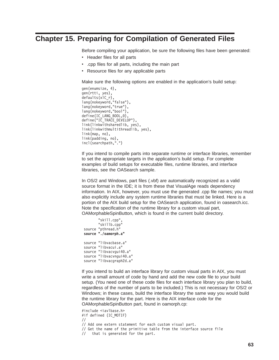# <span id="page-70-0"></span>**Chapter 15. Preparing for Compilation of Generated Files**

Before compiling your application, be sure the following files have been generated:

- Header files for all parts
- .cpp files for all parts, including the main part
- Resource files for any applicable parts

Make sure the following options are enabled in the application's build setup:

```
gen(enumsize, 4),
gen(rtti, yes),
defaults(xlC_r),
lang(nokeyword,"false"),
lang(nokeyword,"true"),
lang(nokeyword,"bool"),
define(IC LANG BOOL,0),
define("IC TRACE DEVELOP"),
link(linkwithsharedlib, yes),
link(linkwithmultithreadlib, yes),
link(map, no),
link(padding, no),
incl(searchpath,".")
```
If you intend to compile parts into separate runtime or interface libraries, remember to set the appropriate targets in the application's build setup. For complete examples of build setups for executable files, runtime libraries, and interface libraries, see the OASearch sample.

In OS/2 and Windows, part files (.vbf) are automatically recognized as a valid source format in the IDE; it is from these that VisualAge reads dependency information. In AIX, however, you must use the generated .cpp file names; you must also explicitly include any system runtime libraries that must be linked. Here is a portion of the AIX build setup for the OASearch application, found in oasearch.icc. Note the specification of the runtime library for a custom visual part, OAMorphableSpinButton, which is found in the current build directory.

```
"skill.cpp",
       "skillb.cpp"
source "pthread.h"
source "./oamorph.a"
source "libvacbase.a"
source "libvacui.a"
source "libvacvgui40.a"
source "libvacvngui40.a"
source "libvacgraph2d.a"
```
If you intend to build an interface library for custom visual parts in AIX, you must write a small amount of code by hand and add the new code file to your build setup. (You need one of these code files for each interface library you plan to build, regardless of the number of parts to be included.) This is not necessary for OS/2 or Windows; in these cases, build the interface library the same way you would build the runtime library for the part. Here is the AIX interface code for the OAMorphableSpinButton part, found in oamorph.cp:

#include <iavlbase.h> #if defined (IC\_MOTIF) // // Add one extern statement for each custom visual part. // Get the name of the primitive table from the interface source file // that is generated for the part.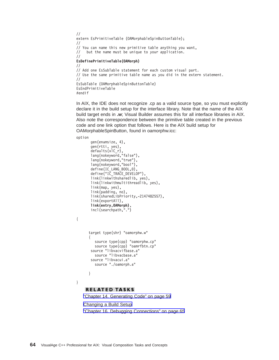```
//
extern EsPrimitiveTable (OAMorphableSpinButtonTable);
//
// You can name this new primitive table anything you want,
// but the name must be unique to your application.
//
EsDefinePrimitiveTable(OAMorph)
//
// Add one EsSubTable statement for each custom visual part.
// Use the same primitive table name as you did in the extern statement.
//
EsSubTable (OAMorphableSpinButtonTable)
EsEndPrimitiveTable
#endif
```
In AIX, the IDE does not recognize .cp as a valid source type, so you must explicitly declare it in the build setup for the interface library. Note that the name of the AIX build target ends in **.w**; Visual Builder assumes this for all interface libraries in AIX. Also note the correspondence between the primitive table created in the previous code and one link option that follows. Here is the AIX build setup for OAMorphableSpinButton, found in oamorphw.icc:

option

{

}

```
gen(enumsize, 4),
 gen(rtti, yes),
 defaults(xlC_r),
 lang(nokeyword,"false"),
 lang(nokeyword,"true"),
 lang(nokeyword,"bool"),
 define(IC LANG BOOL,0),
 define("IC TRACE DEVELOP"),
 link(linkwithsharedlib, yes),
 link(linkwithmultithreadlib, yes),
 link(map, yes),
 link(padding, no),
 link(sharedLibPriority,-2147482557),
 link(exportAll),
 link(entry,OAMorph),
 incl(searchpath,".")
target type(shr) "oamorphw.w"
{
   source type(cpp) "oamorphw.cp"
  source type(cpp) "oamrfbtn.cp"
 source "libvacvifbase.a"
   source "libvacbase.a"
 source "libvacui.a"
  source "./oamorph.a"
}
```
**RELATED TASKS** 

["Chapter 14. Generating Code" on page 59](#page-66-0) [Changing a Build Setup](../../ide/tasks/tibchgb.htm) ["Chapter 16. Debugging Connections" on page 65](#page-72-0)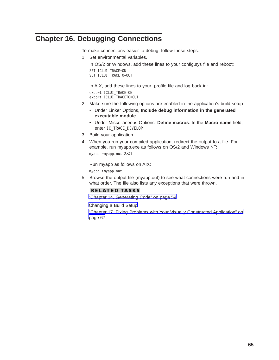# <span id="page-72-0"></span>**Chapter 16. Debugging Connections**

To make connections easier to debug, follow these steps:

1. Set environmental variables.

In OS/2 or Windows, add these lines to your config.sys file and reboot:

```
SET ICLUI TRACE=ON
SET ICLUI TRACETO=OUT
```
In AIX, add these lines to your .profile file and log back in:

export ICLUI\_TRACE=ON export ICLUI\_TRACETO=OUT

- 2. Make sure the following options are enabled in the application's build setup:
	- **Under Linker Options, Include debug information in the generated executable module**
	- v Under Miscellaneous Options, **Define macros**. In the **Macro name** field, enter IC\_TRACE\_DEVELOP
- 3. Build your application.
- 4. When you run your compiled application, redirect the output to a file. For example, run myapp.exe as follows on OS/2 and Windows NT:

myapp >myapp.out 2>&1

Run myapp as follows on AIX:

myapp >myapp.out

5. Browse the output file (myapp.out) to see what connections were run and in what order. The file also lists any exceptions that were thrown.

#### **RELATED TASKS**

["Chapter 14. Generating Code" on page 59](#page-66-0)

[Changing a Build Setup](../../ide/tasks/tibchgb.htm)

["Chapter 17. Fixing Problems with Your Visually Constructed Application" on](#page-74-0) [page 67](#page-74-0)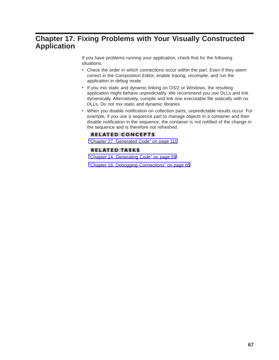## <span id="page-74-0"></span>**Chapter 17. Fixing Problems with Your Visually Constructed Application**

If you have problems running your application, check first for the following situations:

- Check the order in which connections occur within the part. Even if they seem correct in the Composition Editor, enable tracing, recompile, and run the application in debug mode.
- If you mix static and dynamic linking on OS/2 or Windows, the resulting application might behave unpredictably. We recommend you use DLLs and link dynamically. Alternatively, compile and link one executable file statically with no DLLs. Do not mix static and dynamic libraries.
- When you disable notification on collection parts, unpredictable results occur. For example, if you use a sequence part to manage objects in a container and then disable notification in the sequence, the container is not notified of the change in the sequence and is therefore not refreshed.

#### **RELATED CONCEPTS**

["Chapter 27. Generated Code" on page 111](#page-118-0)

#### **RELATED TASKS**

["Chapter 14. Generating Code" on page 59](#page-66-0)

["Chapter 16. Debugging Connections" on page 65](#page-72-0)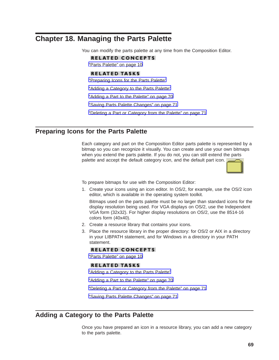## <span id="page-76-0"></span>**Chapter 18. Managing the Parts Palette**

You can modify the parts palette at any time from the Composition Editor.

#### **RELATED CONCEPTS**

["Parts Palette" on page 10](#page-17-0)

#### **RELATED TASKS**

"Preparing Icons for the Parts Palette"

"Adding a Category to the Parts Palette"

["Adding a Part to the Palette" on page 70](#page-77-0)

["Saving Parts Palette Changes" on page 71](#page-78-0)

["Deleting a Part or Category from the Palette" on page 71](#page-78-0)

## **Preparing Icons for the Parts Palette**

Each category and part on the Composition Editor parts palette is represented by a bitmap so you can recognize it visually. You can create and use your own bitmaps when you extend the parts palette. If you do not, you can still extend the parts palette and accept the default category icon, and the default part icon.

To prepare bitmaps for use with the Composition Editor:

1. Create your icons using an icon editor. In OS/2, for example, use the OS/2 icon editor, which is available in the operating system toolkit.

Bitmaps used on the parts palette must be no larger than standard icons for the display resolution being used. For VGA displays on OS/2, use the Independent VGA form (32x32). For higher display resolutions on OS/2, use the 8514-16 colors form (40x40).

- 2. Create a resource library that contains your icons.
- 3. Place the resource library in the proper directory: for OS/2 or AIX in a directory in your LIBPATH statement, and for Windows in a directory in your PATH statement.

#### **RELATED CONCEPTS**

["Parts Palette" on page 10](#page-17-0)

#### **RELATED TASKS**

"Adding a Category to the Parts Palette"

["Adding a Part to the Palette" on page 70](#page-77-0)

["Deleting a Part or Category from the Palette" on page 71](#page-78-0)

["Saving Parts Palette Changes" on page 71](#page-78-0)

# **Adding a Category to the Parts Palette**

Once you have prepared an icon in a resource library, you can add a new category to the parts palette.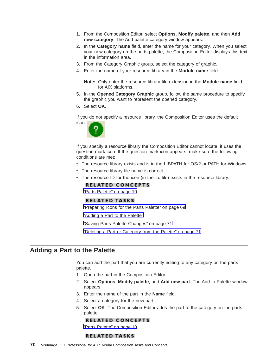- <span id="page-77-0"></span>1. From the Composition Editor, select **Options**, **Modify palette**, and then **Add new category**. The Add palette category window appears.
- 2. In the **Category name** field, enter the name for your category. When you select your new category on the parts palette, the Composition Editor displays this text in the information area.
- 3. From the Category Graphic group, select the category of graphic.
- 4. Enter the name of your resource library in the **Module name** field.

**Note:** Only enter the resource library file extension in the **Module name** field for AIX platforms.

- 5. In the **Opened Category Graphic** group, follow the same procedure to specify the graphic you want to represent the opened category.
- 6. Select **OK**.

If you do not specify a resource library, the Composition Editor uses the default icon.



If you specify a resource library the Composition Editor cannot locate, it uses the question mark icon. If the question mark icon appears, make sure the following conditions are met:

- The resource library exists and is in the LIBPATH for OS/2 or PATH for Windows.
- The resource library file name is correct.
- v The resource ID for the icon (in the .rc file) exists in the resource library.

#### **RELATED CONCEPTS**

["Parts Palette" on page 10](#page-17-0)

#### **RELATED TASKS**

["Preparing Icons for the Parts Palette" on page 69](#page-76-0)

"Adding a Part to the Palette"

["Saving Parts Palette Changes" on page 71](#page-78-0)

["Deleting a Part or Category from the Palette" on page 71](#page-78-0)

#### **Adding a Part to the Palette**

You can add the part that you are currently editing to any category on the parts palette.

- 1. Open the part in the Composition Editor.
- 2. Select **Options**, **Modify palette**, and **Add new part**. The Add to Palette window appears.
- 3. Enter the name of the part in the **Name** field.
- 4. Select a category for the new part.
- 5. Select **OK**. The Composition Editor adds the part to the category on the parts palette.

#### **RELATED CONCEPTS**

["Parts Palette" on page 10](#page-17-0)

#### **RELATED TASKS**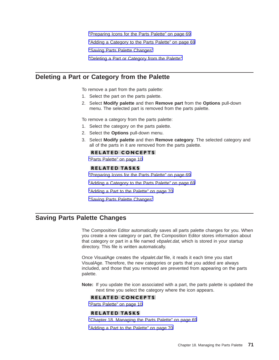["Preparing Icons for the Parts Palette" on page 69](#page-76-0)

["Adding a Category to the Parts Palette" on page 69](#page-76-0)

"Saving Parts Palette Changes"

"Deleting a Part or Category from the Palette"

### <span id="page-78-0"></span>**Deleting a Part or Category from the Palette**

To remove a part from the parts palette:

- 1. Select the part on the parts palette.
- 2. Select **Modify palette** and then **Remove part** from the **Options** pull-down menu. The selected part is removed from the parts palette.

To remove a category from the parts palette:

- 1. Select the category on the parts palette.
- 2. Select the **Options** pull-down menu.
- 3. Select **Modify palette** and then **Remove category**. The selected category and all of the parts in it are removed from the parts palette.

#### **RELATED CONCEPTS**

["Parts Palette" on page 10](#page-17-0)

#### **RELATED TASKS**

["Preparing Icons for the Parts Palette" on page 69](#page-76-0)

["Adding a Category to the Parts Palette" on page 69](#page-76-0)

["Adding a Part to the Palette" on page 70](#page-77-0)

"Saving Parts Palette Changes"

## **Saving Parts Palette Changes**

The Composition Editor automatically saves all parts palette changes for you. When you create a new category or part, the Composition Editor stores information about that category or part in a file named *vbpalet.dat*, which is stored in your startup directory. This file is written automatically.

Once VisualAge creates the vbpalet.dat file, it reads it each time you start VisualAge. Therefore, the new categories or parts that you added are always included, and those that you removed are prevented from appearing on the parts palette.

**Note:** If you update the icon associated with a part, the parts palette is updated the next time you select the category where the icon appears.

#### **RELATED CONCEPTS**

["Parts Palette" on page 10](#page-17-0)

#### **RELATED TASKS**

["Chapter 18. Managing the Parts Palette" on page 69](#page-76-0)

["Adding a Part to the Palette" on page 70](#page-77-0)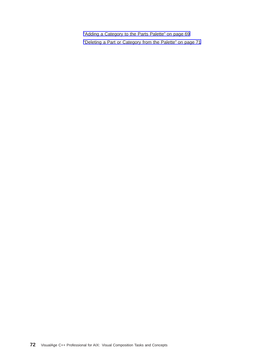["Adding a Category to the Parts Palette" on page 69](#page-76-0) ["Deleting a Part or Category from the Palette" on page 71](#page-78-0)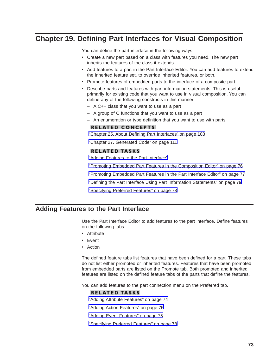# <span id="page-80-0"></span>**Chapter 19. Defining Part Interfaces for Visual Composition**

You can define the part interface in the following ways:

- Create a new part based on a class with features you need. The new part inherits the features of the class it extends.
- Add features to a part in the Part Interface Editor. You can add features to extend the inherited feature set, to override inherited features, or both.
- Promote features of embedded parts to the interface of a composite part.
- Describe parts and features with part information statements. This is useful primarily for existing code that you want to use in visual composition. You can define any of the following constructs in this manner:
	- A C++ class that you want to use as a part
	- A group of C functions that you want to use as a part
	- An enumeration or type definition that you want to use with parts

#### **RELATED CONCEPTS**

["Chapter 25. About Defining Part Interfaces" on page 103](#page-110-0)

["Chapter 27. Generated Code" on page 111](#page-118-0)

#### **RELATED TASKS**

"Adding Features to the Part Interface"

["Promoting Embedded Part Features in the Composition Editor" on page 76](#page-83-0)

["Promoting Embedded Part Features in the Part Interface Editor" on page 77](#page-84-0)

["Defining the Part Interface Using Part Information Statements" on page 79](#page-86-0)

["Specifying Preferred Features" on page 78](#page-85-0)

## **Adding Features to the Part Interface**

Use the Part Interface Editor to add features to the part interface. Define features on the following tabs:

- Attribute
- Event
- Action

The defined feature tabs list features that have been defined for a part. These tabs do not list either promoted or inherited features. Features that have been promoted from embedded parts are listed on the Promote tab. Both promoted and inherited features are listed on the defined feature tabs of the parts that define the features.

You can add features to the part connection menu on the Preferred tab.

#### **RELATED TASKS**

["Adding Attribute Features" on page 74](#page-81-0)

["Adding Action Features" on page 75](#page-82-0)

["Adding Event Features" on page 75](#page-82-0)

["Specifying Preferred Features" on page 78](#page-85-0)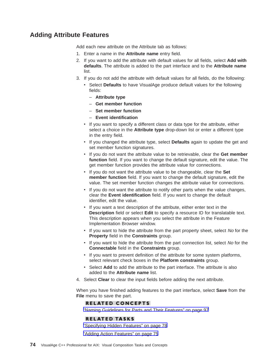## <span id="page-81-0"></span>**Adding Attribute Features**

Add each new attribute on the Attribute tab as follows:

- 1. Enter a name in the **Attribute name** entry field.
- 2. If you want to add the attribute with default values for all fields, select **Add with defaults**. The attribute is added to the part interface and to the **Attribute name** list.
- 3. If you do not add the attribute with default values for all fields, do the following:
	- Select Defaults to have VisualAge produce default values for the following fields:
		- **Attribute type**
		- **Get member function**
		- **Set member function**
		- **Event identification**
	- If you want to specify a different class or data type for the attribute, either select a choice in the **Attribute type** drop-down list or enter a different type in the entry field.
	- v If you changed the attribute type, select **Defaults** again to update the get and set member function signatures.
	- v If you do not want the attribute value to be retrievable, clear the **Get member function** field. If you want to change the default signature, edit the value. The get member function provides the attribute value for connections.
	- v If you do not want the attribute value to be changeable, clear the **Set member function** field. If you want to change the default signature, edit the value. The set member function changes the attribute value for connections.
	- If you do not want the attribute to notify other parts when the value changes, clear the **Event identification** field. If you want to change the default identifier, edit the value.
	- If you want a text description of the attribute, either enter text in the **Description** field or select **Edit** to specify a resource ID for translatable text. This description appears when you select the attribute in the Feature Implementation Browser window.
	- If you want to hide the attribute from the part property sheet, select No for the **Property** field in the **Constraints** group.
	- If you want to hide the attribute from the part connection list, select No for the **Connectable** field in the **Constraints** group.
	- If you want to prevent definition of the attribute for some system platforms, select relevant check boxes in the **Platform constraints** group.
	- Select Add to add the attribute to the part interface. The attribute is also added to the **Attribute name** list.
- 4. Select **Clear** to clear the input fields before adding the next attribute.

When you have finished adding features to the part interface, select **Save** from the **File** menu to save the part.

#### **RELATED CONCEPTS**

["Naming Guidelines for Parts and Their Features" on page 97](#page-104-0)

#### **RELATED TASKS**

["Specifying Hidden Features" on page 78](#page-85-0)

["Adding Action Features" on page 75](#page-82-0)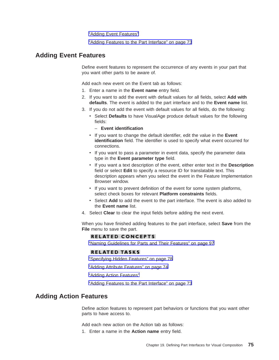"Adding Event Features"

["Adding Features to the Part Interface" on page 73](#page-80-0)

### <span id="page-82-0"></span>**Adding Event Features**

Define event features to represent the occurrence of any events in your part that you want other parts to be aware of.

Add each new event on the Event tab as follows:

- 1. Enter a name in the **Event name** entry field.
- 2. If you want to add the event with default values for all fields, select **Add with defaults**. The event is added to the part interface and to the **Event name** list.
- 3. If you do not add the event with default values for all fields, do the following:
	- Select **Defaults** to have VisualAge produce default values for the following fields:
		- **Event identification**
	- v If you want to change the default identifier, edit the value in the **Event identification** field. The identifier is used to specify what event occurred for connections.
	- If you want to pass a parameter in event data, specify the parameter data type in the **Event parameter type** field.
	- v If you want a text description of the event, either enter text in the **Description** field or select **Edit** to specify a resource ID for translatable text. This description appears when you select the event in the Feature Implementation Browser window.
	- If you want to prevent definition of the event for some system platforms, select check boxes for relevant **Platform constraints** fields.
	- v Select **Add** to add the event to the part interface. The event is also added to the **Event name** list.
- 4. Select **Clear** to clear the input fields before adding the next event.

When you have finished adding features to the part interface, select **Save** from the **File** menu to save the part.

#### **RELATED CONCEPTS**

["Naming Guidelines for Parts and Their Features" on page 97](#page-104-0)

#### **RELATED TASKS**

["Specifying Hidden Features" on page 78](#page-85-0)

["Adding Attribute Features" on page 74](#page-81-0)

"Adding Action Features"

["Adding Features to the Part Interface" on page 73](#page-80-0)

### **Adding Action Features**

Define action features to represent part behaviors or functions that you want other parts to have access to.

Add each new action on the Action tab as follows:

1. Enter a name in the **Action name** entry field.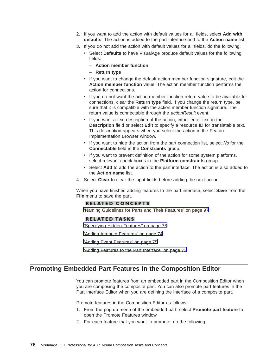- <span id="page-83-0"></span>2. If you want to add the action with default values for all fields, select **Add with defaults**. The action is added to the part interface and to the **Action name** list.
- 3. If you do not add the action with default values for all fields, do the following:
	- Select Defaults to have VisualAge produce default values for the following fields:
		- **Action member function**
		- **Return type**
	- If you want to change the default action member function signature, edit the **Action member function** value. The action member function performs the action for connections.
	- v If you do not want the action member function return value to be available for connections, clear the **Return type** field. If you change the return type, be sure that it is compatible with the action member function signature. The return value is connectable through the *actionResult* event.
	- If you want a text description of the action, either enter text in the **Description** field or select **Edit** to specify a resource ID for translatable text. This description appears when you select the action in the Feature Implementation Browser window.
	- If you want to hide the action from the part connection list, select No for the **Connectable** field in the **Constraints** group.
	- If you want to prevent definition of the action for some system platforms, select relevant check boxes in the **Platform constraints** group.
	- Select Add to add the action to the part interface. The action is also added to the **Action name** list.
- 4. Select **Clear** to clear the input fields before adding the next action.

When you have finished adding features to the part interface, select **Save** from the **File** menu to save the part.

#### **RELATED CONCEPTS**

["Naming Guidelines for Parts and Their Features" on page 97](#page-104-0)

#### **RELATED TASKS**

- ["Specifying Hidden Features" on page 78](#page-85-0)
- ["Adding Attribute Features" on page 74](#page-81-0)
- ["Adding Event Features" on page 75](#page-82-0)
- ["Adding Features to the Part Interface" on page 73](#page-80-0)

#### **Promoting Embedded Part Features in the Composition Editor**

You can promote features from an embedded part in the Composition Editor when you are composing the composite part. You can also promote part features in the Part Interface Editor when you are defining the interface of a composite part.

Promote features in the Composition Editor as follows:

- 1. From the pop-up menu of the embedded part, select **Promote part feature** to open the Promote Features window.
- 2. For each feature that you want to promote, do the following: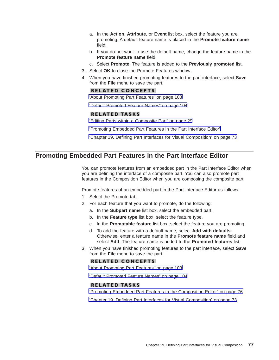- <span id="page-84-0"></span>a. In the **Action**, **Attribute**, or **Event** list box, select the feature you are promoting. A default feature name is placed in the **Promote feature name** field.
- b. If you do not want to use the default name, change the feature name in the **Promote feature name** field.
- c. Select **Promote**. The feature is added to the **Previously promoted** list.
- 3. Select **OK** to close the Promote Features window.
- 4. When you have finished promoting features to the part interface, select **Save** from the **File** menu to save the part.

#### **RELATED CONCEPTS**

["About Promoting Part Features" on page 103](#page-110-0)

["Default Promoted Feature Names" on page 104](#page-111-0)

#### **RELATED TASKS**

["Editing Parts within a Composite Part" on page 29](#page-36-0)

"Promoting Embedded Part Features in the Part Interface Editor"

["Chapter 19. Defining Part Interfaces for Visual Composition" on page 73](#page-80-0)

## **Promoting Embedded Part Features in the Part Interface Editor**

You can promote features from an embedded part in the Part Interface Editor when you are defining the interface of a composite part. You can also promote part features in the Composition Editor when you are composing the composite part.

Promote features of an embedded part in the Part Interface Editor as follows:

- 1. Select the Promote tab.
- 2. For each feature that you want to promote, do the following:
	- a. In the **Subpart name** list box, select the embedded part.
	- b. In the **Feature type** list box, select the feature type.
	- c. In the **Promotable feature** list box, select the feature you are promoting.
	- d. To add the feature with a default name, select **Add with defaults**. Otherwise, enter a feature name in the **Promote feature name** field and select **Add**. The feature name is added to the **Promoted features** list.
- 3. When you have finished promoting features to the part interface, select **Save** from the **File** menu to save the part.

#### **RELATED CONCEPTS**

["About Promoting Part Features" on page 103](#page-110-0)

["Default Promoted Feature Names" on page 104](#page-111-0)

#### **RELATED TASKS**

["Promoting Embedded Part Features in the Composition Editor" on page 76](#page-83-0)

["Chapter 19. Defining Part Interfaces for Visual Composition" on page 73](#page-80-0)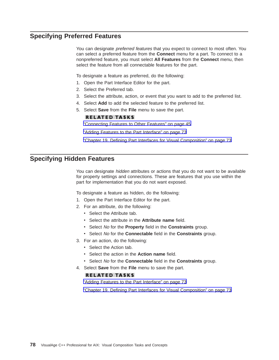## <span id="page-85-0"></span>**Specifying Preferred Features**

You can designate *preferred features* that you expect to connect to most often. You can select a preferred feature from the **Connect** menu for a part. To connect to a nonpreferred feature, you must select **All Features** from the **Connect** menu, then select the feature from all connectable features for the part.

To designate a feature as preferred, do the following:

- 1. Open the Part Interface Editor for the part.
- 2. Select the Preferred tab.
- 3. Select the attribute, action, or event that you want to add to the preferred list.
- 4. Select **Add** to add the selected feature to the preferred list.
- 5. Select **Save** from the **File** menu to save the part.

#### **RELATED TASKS**

["Connecting Features to Other Features" on page 45](#page-52-0)

["Adding Features to the Part Interface" on page 73](#page-80-0)

["Chapter 19. Defining Part Interfaces for Visual Composition" on page 73](#page-80-0)

## **Specifying Hidden Features**

You can designate hidden attributes or actions that you do not want to be available for property settings and connections. These are features that you use within the part for implementation that you do not want exposed.

To designate a feature as hidden, do the following:

- 1. Open the Part Interface Editor for the part.
- 2. For an attribute, do the following:
	- Select the Attribute tab.
	- v Select the attribute in the **Attribute name** field.
	- v Select No for the **Property** field in the **Constraints** group.
	- v Select No for the **Connectable** field in the **Constraints** group.
- 3. For an action, do the following:
	- Select the Action tab.
	- v Select the action in the **Action name** field.
	- v Select No for the **Connectable** field in the **Constraints** group.
- 4. Select **Save** from the **File** menu to save the part.

#### **RELATED TASKS**

["Adding Features to the Part Interface" on page 73](#page-80-0)

["Chapter 19. Defining Part Interfaces for Visual Composition" on page 73](#page-80-0)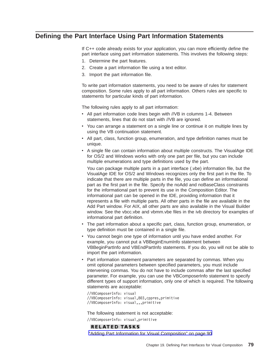## <span id="page-86-0"></span>**Defining the Part Interface Using Part Information Statements**

If C++ code already exists for your application, you can more efficiently define the part interface using part information statements. This involves the following steps:

- 1. Determine the part features.
- 2. Create a part information file using a text editor.
- 3. Import the part information file.

To write part information statements, you need to be aware of rules for statement composition. Some rules apply to all part information. Others rules are specific to statements for particular kinds of part information.

The following rules apply to all part information:

- All part information code lines begin with //VB in columns 1-4. Between statements, lines that do not start with //VB are ignored.
- You can arrange a statement on a single line or continue it on multiple lines by using the VB continuation statement.
- v All part, class, function group, enumeration, and type definition names must be unique.
- A single file can contain information about multiple constructs. The VisualAge IDE for OS/2 and Windows works with only one part per file, but you can include multiple enumerations and type definitions used by the part.

You can package multiple parts in a part interface (.vbe) information file, but the VisualAge IDE for OS/2 and Windows recognizes only the first part in the file. To indicate that there are multiple parts in the file, you can define an informational part as the first part in the file. Specify the noAdd and noBaseClass constraints for the informational part to prevent its use in the Composition Editor. The informational part can be opened in the IDE, providing information that it represents a file with multiple parts. All other parts in the file are available in the Add Part window. For AIX, all other parts are also available in the Visual Builder window. See the vbcc.vbe and vbmm.vbe files in the ivb directory for examples of informational part definition.

- The part information about a specific part, class, function group, enumeration, or type definition must be contained in a single file.
- You cannot begin one type of information until you have ended another. For example, you cannot put a VBBeginEnumInfo statement between VBBeginPartInfo and VBEndPartInfo statements. If you do, you will not be able to import the part information.
- Part information statement parameters are separated by commas. When you omit optional parameters between specified parameters, you must include intervening commas. You do not have to include commas after the last specified parameter. For example, you can use the VBComposerInfo statement to specify different types of support information, only one of which is required. The following statements are acceptable:

//VBComposerInfo: visual //VBComposerInfo: visual,803,cppres,primitive //VBComposerInfo: visual,,,primitive

The following statement is not acceptable:

//VBComposerInfo: visual,primitive

#### **RELATED TASKS**

["Adding Part Information for Visual Composition" on page 90](#page-97-0)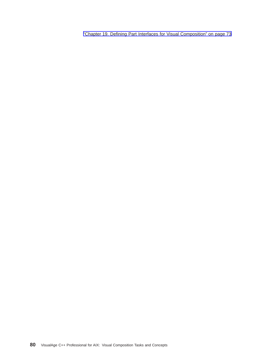["Chapter 19. Defining Part Interfaces for Visual Composition" on page 73](#page-80-0)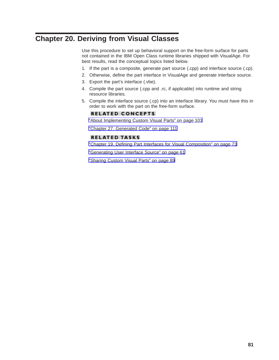# <span id="page-88-0"></span>**Chapter 20. Deriving from Visual Classes**

Use this procedure to set up behavioral support on the free-form surface for parts not contained in the IBM Open Class runtime libraries shipped with VisualAge. For best results, read the conceptual topics listed below.

- 1. If the part is a composite, generate part source (.cpp) and interface source (.cp).
- 2. Otherwise, define the part interface in VisualAge and generate interface source.
- 3. Export the part's interface (.vbe).
- 4. Compile the part source (.cpp and .rc, if applicable) into runtime and string resource libraries.
- 5. Compile the interface source (.cp) into an interface library. You must have this in order to work with the part on the free-form surface.

#### **RELATED CONCEPTS**

["About Implementing Custom Visual Parts" on page 101](#page-108-0)

["Chapter 27. Generated Code" on page 111](#page-118-0)

#### **RELATED TASKS**

["Chapter 19. Defining Part Interfaces for Visual Composition" on page 73](#page-80-0)

["Generating User Interface Source" on page 61](#page-68-0)

["Sharing Custom Visual Parts" on page 89](#page-96-0)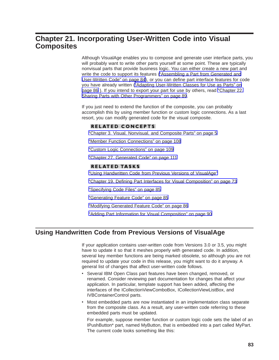## <span id="page-90-0"></span>**Chapter 21. Incorporating User-Written Code into Visual Composites**

Although VisualAge enables you to compose and generate user interface parts, you will probably want to write other parts yourself at some point. These are typically nonvisual parts that provide business logic. You can either create a new part and write the code to support its features [\("Assembling a Part from Generated and](#page-91-0) [User-Written Code" on page 84](#page-91-0)), or you can define part interface features for code you have already written [\("Adapting User-Written Classes for Use as Parts" on](#page-93-0) [page 86](#page-93-0) ). If you intend to export your part for use by others, read ["Chapter 22.](#page-96-0) [Sharing Parts with Other Programmers" on page 89](#page-96-0).

If you just need to extend the function of the composite, you can probably accomplish this by using member function or custom logic connections. As a last resort, you can modify generated code for the visual composite.

#### **RELATED CONCEPTS**

["Chapter 3. Visual, Nonvisual, and Composite Parts" on page 5](#page-12-0)

["Member Function Connections" on page 108](#page-115-0)

["Custom Logic Connections" on page 109](#page-116-0)

["Chapter 27. Generated Code" on page 111](#page-118-0)

#### **RELATED TASKS**

"Using Handwritten Code from Previous Versions of VisualAge"

["Chapter 19. Defining Part Interfaces for Visual Composition" on page 73](#page-80-0)

["Specifying Code Files" on page 85](#page-92-0)

["Generating Feature Code" on page 85](#page-92-0)

["Modifying Generated Feature Code" on page 86](#page-93-0)

["Adding Part Information for Visual Composition" on page 90](#page-97-0)

## **Using Handwritten Code from Previous Versions of VisualAge**

If your application contains user-written code from Versions 3.0 or 3.5, you might have to update it so that it meshes properly with generated code. In addition, several key member functions are being marked obsolete, so although you are not required to update your code in this release, you might want to do it anyway. A general list of changes that affect user-written code follows.

- Several IBM Open Class part features have been changed, removed, or renamed. Consider reviewing part documentation for changes that affect your application. In particular, template support has been added, affecting the interfaces of the ICollectionViewComboBox, ICollectionViewListBox, and IVBContainerControl parts.
- Most embedded parts are now instantiated in an implementation class separate from the composite class. As a result, any user-written code referring to these embedded parts must be updated.

For example, suppose member function or custom logic code sets the label of an IPushButton\* part, named MyButton, that is embedded into a part called MyPart. The current code looks something like this: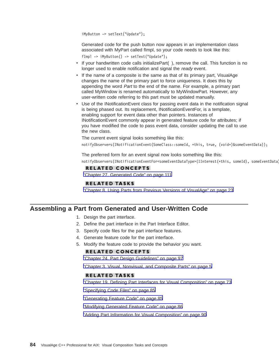<span id="page-91-0"></span>iMyButton -> setText("Update");

Generated code for the push button now appears in an implementation class associated with MyPart called fImpl, so your code needs to look like this: fImpl -> iMyButton() -> setText("Update");

- If your handwritten code calls initializePart(), remove the call. This function is no longer used to enable notification and signal the ready event.
- If the name of a composite is the same as that of its primary part, VisualAge changes the name of the primary part to force uniqueness. It does this by appending the word *Part* to the end of the name. For example, a primary part called MyWindow is renamed automatically to MyWindowPart. However, any user-written code referring to this part must be updated manually.
- Use of the INotificationEvent class for passing event data in the notification signal is being phased out. Its replacement, INotificationEventFor, is a template, enabling support for event data other than pointers. Instances of INotificationEvent commonly appear in generated feature code for attributes; if you have modified the code to pass event data, consider updating the call to use the new class.

The current event signal looks something like this:

notifyObservers(INotificationEvent(SomeClass::someId, \*this, true, (void\*)&someEventData));

The preferred form for an event signal now looks something like this:

notifyObservers(INotificationEventFor<someEventDataType>(IInterest(\*this, someId), someEventData

#### **RELATED CONCEPTS**

["Chapter 27. Generated Code" on page 111](#page-118-0)

#### **RELATED TASKS**

["Chapter 8. Using Parts from Previous Versions of VisualAge" on page 23](#page-30-0)

#### **Assembling a Part from Generated and User-Written Code**

- 1. Design the part interface.
- 2. Define the part interface in the Part Interface Editor.
- 3. Specify code files for the part interface features.
- 4. Generate feature code for the part interface.
- 5. Modify the feature code to provide the behavior you want.

#### **RELATED CONCEPTS**

["Chapter 24. Part Design Guidelines" on page 97](#page-104-0)

["Chapter 3. Visual, Nonvisual, and Composite Parts" on page 5](#page-12-0)

#### **RELATED TASKS**

["Chapter 19. Defining Part Interfaces for Visual Composition" on page 73](#page-80-0)

["Specifying Code Files" on page 85](#page-92-0)

["Generating Feature Code" on page 85](#page-92-0)

["Modifying Generated Feature Code" on page 86](#page-93-0)

["Adding Part Information for Visual Composition" on page 90](#page-97-0)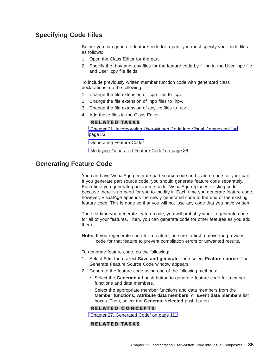## <span id="page-92-0"></span>**Specifying Code Files**

Before you can generate feature code for a part, you must specify your code files as follows:

- 1. Open the Class Editor for the part.
- 2. Specify the .hpv and .cpv files for the feature code by filling in the User .hpv file and User .cpv file fields.

To include previously written member function code with generated class declarations, do the following:

- 1. Change the file extension of .cpp files to .cpv.
- 2. Change the file extension of .hpp files to .hpv.
- 3. Change the file extension of any .rc files to .rcv.
- 4. Add these files in the Class Editor.

#### **RELATED TASKS**

["Chapter 21. Incorporating User-Written Code into Visual Composites" on](#page-90-0) [page 83](#page-90-0)

"Generating Feature Code"

["Modifying Generated Feature Code" on page 86](#page-93-0)

### **Generating Feature Code**

You can have VisualAge generate part source code and feature code for your part. If you generate part source code, you should generate feature code separately. Each time you generate part source code, VisualAge replaces existing code because there is no need for you to modify it. Each time you generate feature code, however, VisualAge appends the newly generated code to the end of the existing feature code. This is done so that you will not lose any code that you have written.

The first time you generate feature code, you will probably want to generate code for all of your features. Then, you can generate code for other features as you add them.

**Note:** If you regenerate code for a feature, be sure to first remove the previous code for that feature to prevent compilation errors or unwanted results.

To generate feature code, do the following:

- 1. Select **File**, then select **Save and generate**, then select **Feature source**. The Generate Feature Source Code window appears.
- 2. Generate the feature code using one of the following methods:
	- Select the **Generate all** push button to generate feature code for member functions and data members.
	- Select the appropriate member functions and data members from the **Member functions**, **Attribute data members**, or **Event data members** list boxes. Then, select the **Generate selected** push button.

#### **RELATED CONCEPTS**

["Chapter 27. Generated Code" on page 111](#page-118-0)

#### **RELATED TASKS**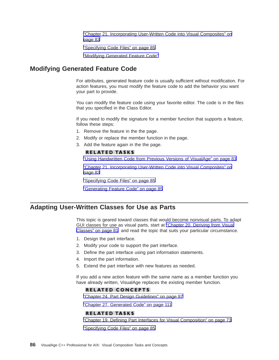["Chapter 21. Incorporating User-Written Code into Visual Composites" on](#page-90-0) [page 83](#page-90-0)

["Specifying Code Files" on page 85](#page-92-0)

"Modifying Generated Feature Code"

### <span id="page-93-0"></span>**Modifying Generated Feature Code**

For attributes, generated feature code is usually sufficient without modification. For action features, you must modify the feature code to add the behavior you want your part to provide.

You can modify the feature code using your favorite editor. The code is in the files that you specified in the Class Editor.

If you need to modify the signature for a member function that supports a feature, follow these steps:

- 1. Remove the feature in the the page.
- 2. Modify or replace the member function in the page.
- 3. Add the feature again in the the page.

#### **RELATED TASKS**

["Using Handwritten Code from Previous Versions of VisualAge" on page 83](#page-90-0)

["Chapter 21. Incorporating User-Written Code into Visual Composites" on](#page-90-0) [page 83](#page-90-0)

["Specifying Code Files" on page 85](#page-92-0)

["Generating Feature Code" on page 85](#page-92-0)

#### **Adapting User-Written Classes for Use as Parts**

This topic is geared toward classes that would become nonvisual parts. To adapt GUI classes for use as visual parts, start at ["Chapter 20. Deriving from Visual](#page-88-0) [Classes" on page 81](#page-88-0) and read the topic that suits your particular circumstance.

- 1. Design the part interface.
- 2. Modify your code to support the part interface.
- 3. Define the part interface using part information statements.
- 4. Import the part information.
- 5. Extend the part interface with new features as needed.

If you add a new action feature with the same name as a member function you have already written, VisualAge replaces the existing member function.

#### **RELATED CONCEPTS**

["Chapter 24. Part Design Guidelines" on page 97](#page-104-0)

["Chapter 27. Generated Code" on page 111](#page-118-0)

#### **RELATED TASKS**

["Chapter 19. Defining Part Interfaces for Visual Composition" on page 73](#page-80-0)

["Specifying Code Files" on page 85](#page-92-0)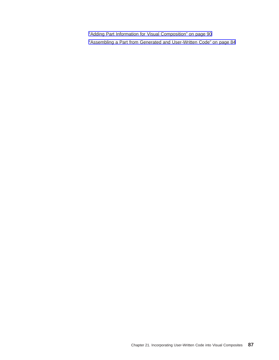["Adding Part Information for Visual Composition" on page 90](#page-97-0) ["Assembling a Part from Generated and User-Written Code" on page 84](#page-91-0)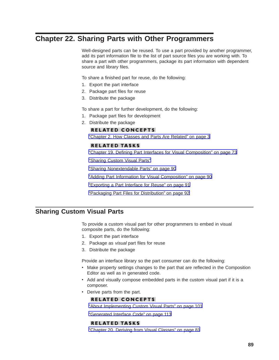# <span id="page-96-0"></span>**Chapter 22. Sharing Parts with Other Programmers**

Well-designed parts can be reused. To use a part provided by another programmer, add its part information file to the list of part source files you are working with. To share a part with other programmers, package its part information with dependent source and library files.

To share a finished part for reuse, do the following:

- 1. Export the part interface
- 2. Package part files for reuse
- 3. Distribute the package

To share a part for further development, do the following:

- 1. Package part files for development
- 2. Distribute the package

#### **RELATED CONCEPTS**

["Chapter 2. How Classes and Parts Are Related" on page 3](#page-10-0)

#### **RELATED TASKS**

["Chapter 19. Defining Part Interfaces for Visual Composition" on page 73](#page-80-0)

"Sharing Custom Visual Parts"

["Sharing Nonextendable Parts" on page 90](#page-97-0)

["Adding Part Information for Visual Composition" on page 90](#page-97-0)

["Exporting a Part Interface for Reuse" on page 91](#page-98-0)

["Packaging Part Files for Distribution" on page 92](#page-99-0)

## **Sharing Custom Visual Parts**

To provide a custom visual part for other programmers to embed in visual composite parts, do the following:

- 1. Export the part interface
- 2. Package as visual part files for reuse
- 3. Distribute the package

Provide an interface library so the part consumer can do the following:

- Make property settings changes to the part that are reflected in the Composition Editor as well as in generated code.
- Add and visually compose embedded parts in the custom visual part if it is a composer.
- Derive parts from the part.

#### **RELATED CONCEPTS**

["About Implementing Custom Visual Parts" on page 101](#page-108-0)

["Generated Interface Code" on page 113](#page-120-0)

### **RELATED TASKS**

["Chapter 20. Deriving from Visual Classes" on page 81](#page-88-0)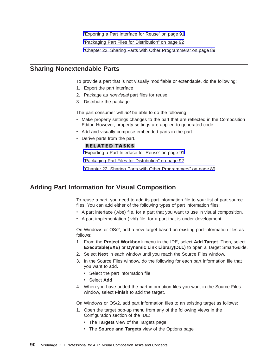["Exporting a Part Interface for Reuse" on page 91](#page-98-0)

["Packaging Part Files for Distribution" on page 92](#page-99-0)

["Chapter 22. Sharing Parts with Other Programmers" on page 89](#page-96-0)

## <span id="page-97-0"></span>**Sharing Nonextendable Parts**

To provide a part that is not visually modifiable or extendable, do the following:

- 1. Export the part interface
- 2. Package as nonvisual part files for reuse
- 3. Distribute the package

The part consumer will not be able to do the following:

- Make property settings changes to the part that are reflected in the Composition Editor. However, property settings are applied to generated code.
- Add and visually compose embedded parts in the part.
- Derive parts from the part.

#### **RELATED TASKS**

["Exporting a Part Interface for Reuse" on page 91](#page-98-0)

["Packaging Part Files for Distribution" on page 92](#page-99-0)

["Chapter 22. Sharing Parts with Other Programmers" on page 89](#page-96-0)

## **Adding Part Information for Visual Composition**

To reuse a part, you need to add its part information file to your list of part source files. You can add either of the following types of part information files:

- A part interface (.vbe) file, for a part that you want to use in visual composition.
- A part implementation (.vbf) file, for a part that is under development.

On Windows or OS/2, add a new target based on existing part information files as follows:

- 1. From the **Project Workbook** menu in the IDE, select **Add Target**. Then, select **Executable(EXE)** or **Dynamic Link Library(DLL)** to open a Target SmartGuide.
- 2. Select **Next** in each window until you reach the Source Files window.
- 3. In the Source Files window, do the following for each part information file that you want to add.
	- Select the part information file
	- Select Add
- 4. When you have added the part information files you want in the Source Files window, select **Finish** to add the target.

On Windows or OS/2, add part information files to an existing target as follows:

- 1. Open the target pop-up menu from any of the following views in the Configuration section of the IDE:
	- The Targets view of the Targets page
	- The **Source and Targets** view of the Options page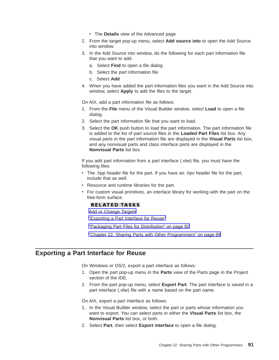- The **Details** view of the Advanced page
- <span id="page-98-0"></span>2. From the target pop-up menu, select **Add source into** to open the Add Source into window.
- 3. In the Add Source into window, do the following for each part information file that you want to add.
	- a. Select **Find** to open a file dialog
	- b. Select the part information file
	- c. Select **Add**
- 4. When you have added the part information files you want in the Add Source into window, select **Apply** to add the files to the target.

On AIX, add a part information file as follows:

- 1. From the **File** menu of the Visual Builder window, select **Load** to open a file dialog.
- 2. Select the part information file that you want to load.
- 3. Select the **OK** push button to load the part information. The part information file is added to the list of part source files in the **Loaded Part Files** list box. Any visual parts in the part information file are displayed in the **Visual Parts** list box, and any nonvisual parts and class interface parts are displayed in the **Nonvisual Parts** list box.

If you add part information from a part interface (.vbe) file, you must have the following files:

- The .hpp header file for the part. If you have an .hpv header file for the part, include that as well.
- Resource and runtime libraries for the part.
- For custom visual primitives, an interface library for working with the part on the free-form surface.

#### **RELATED TASKS**

[Add or Change Targets](../../ide/tasks/tibchgtg.htm)

"Exporting a Part Interface for Reuse"

["Packaging Part Files for Distribution" on page 92](#page-99-0)

["Chapter 22. Sharing Parts with Other Programmers" on page 89](#page-96-0)

## **Exporting a Part Interface for Reuse**

On Windows or OS/2, export a part interface as follows:

- 1. Open the part pop-up menu in the **Parts** view of the Parts page in the Project section of the IDE.
- 2. From the part pop-up menu, select **Export Part**. The part interface is saved in a part interface (.vbe) file with a name based on the part name.

On AIX, export a part interface as follows:

- 1. In the Visual Builder window, select the part or parts whose information you want to export. You can select parts in either the **Visual Parts** list box, the **Nonvisual Parts** list box, or both.
- 2. Select **Part**, then select **Export interface** to open a file dialog.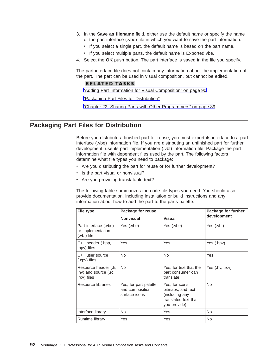- <span id="page-99-0"></span>3. In the **Save as filename** field, either use the default name or specify the name of the part interface (.vbe) file in which you want to save the part information.
	- If you select a single part, the default name is based on the part name.
	- If you select multiple parts, the default name is Exported.vbe.
- 4. Select the **OK** push button. The part interface is saved in the file you specify.

The part interface file does not contain any information about the implementation of the part. The part can be used in visual composition, but cannot be edited.

#### **RELATED TASKS**

["Adding Part Information for Visual Composition" on page 90](#page-97-0)

"Packaging Part Files for Distribution"

["Chapter 22. Sharing Parts with Other Programmers" on page 89](#page-96-0)

## **Packaging Part Files for Distribution**

Before you distribute a finished part for reuse, you must export its interface to a part interface (.vbe) information file. If you are distributing an unfinished part for further development, use its part implementation (.vbf) information file. Package the part information file with dependent files used by the part. The following factors determine what file types you need to package:

- Are you distributing the part for reuse or for further development?
- Is the part visual or nonvisual?
- Are you providing translatable text?

The following table summarizes the code file types you need. You should also provide documentation, including installation or build instructions and any information about how to add the part to the parts palette.

| <b>File type</b>                                             | Package for reuse                                         |                                                                                                | Package for further |
|--------------------------------------------------------------|-----------------------------------------------------------|------------------------------------------------------------------------------------------------|---------------------|
|                                                              | <b>Nonvisual</b>                                          | <b>Visual</b>                                                                                  | development         |
| Part interface (.vbe)<br>or implementation<br>(.vbf) file    | Yes (.vbe)                                                | Yes (.vbe)                                                                                     | Yes (.vbf)          |
| $C++$ header $(.\mathsf{hpp},$<br>hpv) files                 | Yes                                                       | Yes                                                                                            | Yes (.hpv)          |
| C++ user source<br>(.cpv) files                              | <b>No</b>                                                 | <b>No</b>                                                                                      | Yes                 |
| Resource header (.h,<br>.hv) and source (.rc,<br>.rcv) files | <b>No</b>                                                 | Yes, for text that the<br>part consumer can<br>translate                                       | Yes (.hv, .rcv)     |
| Resource libraries                                           | Yes, for part palette<br>and composition<br>surface icons | Yes, for icons,<br>bitmaps, and text<br>(including any<br>translated text that<br>you provide) | <b>No</b>           |
| Interface library                                            | No.                                                       | Yes                                                                                            | No.                 |
| Runtime library                                              | Yes                                                       | Yes                                                                                            | No                  |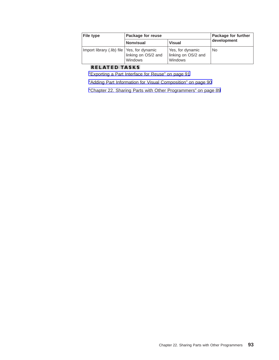| <b>File type</b>                              | Package for reuse              |                                                    | Package for further |
|-----------------------------------------------|--------------------------------|----------------------------------------------------|---------------------|
|                                               | <b>Nonvisual</b>               | <b>Visual</b>                                      | development         |
| Import library (.lib) file   Yes, for dynamic | linking on OS/2 and<br>Windows | Yes, for dynamic<br>linking on OS/2 and<br>Windows | No                  |

## **RELATED TASKS**

["Exporting a Part Interface for Reuse" on page 91](#page-98-0)

["Adding Part Information for Visual Composition" on page 90](#page-97-0)

["Chapter 22. Sharing Parts with Other Programmers" on page 89](#page-96-0)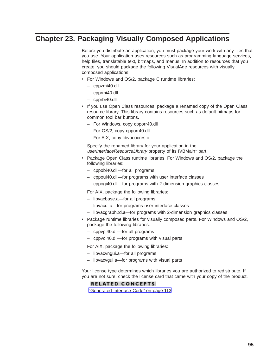# **Chapter 23. Packaging Visually Composed Applications**

Before you distribute an application, you must package your work with any files that you use. Your application uses resources such as programming language services, help files, translatable text, bitmaps, and menus. In addition to resources that you create, you should package the following VisualAge resources with visually composed applications:

- For Windows and OS/2, package C runtime libraries:
	- cppzmi40.dll
	- cpprmi40.dll
	- cpprbi40.dll
- If you use Open Class resources, package a renamed copy of the Open Class resource library. This library contains resources such as default bitmaps for common tool bar buttons.
	- For Windows, copy cpporr40.dll
	- For OS/2, copy cpporr40.dll
	- For AIX, copy libvacocres.o

Specify the renamed library for your application in the userInterfaceResourceLibrary property of its IVBMain\* part.

- Package Open Class runtime libraries. For Windows and OS/2, package the following libraries:
	- cppobi40.dll—for all programs
	- cppoui40.dll—for programs with user interface classes
	- cppogi40.dll—for programs with 2-dimension graphics classes

For AIX, package the following libraries:

- libvacbase.a—for all programs
- libvacui.a—for programs user interface classes
- libvacgraph2d.a—for programs with 2-dimension graphics classes
- Package runtime libraries for visually composed parts. For Windows and OS/2, package the following libraries:
	- cppvpi40.dll—for all programs
	- cppvoi40.dll—for programs with visual parts

For AIX, package the following libraries:

- libvacvngui.a—for all programs
- libvacvgui.a—for programs with visual parts

Your license type determines which libraries you are authorized to redistribute. If you are not sure, check the license card that came with your copy of the product.

#### **RELATED CONCEPTS**

["Generated Interface Code" on page 113](#page-120-0)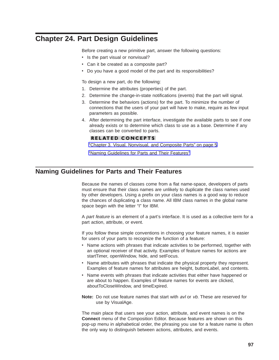# <span id="page-104-0"></span>**Chapter 24. Part Design Guidelines**

Before creating a new primitive part, answer the following questions:

- Is the part visual or nonvisual?
- Can it be created as a composite part?
- Do you have a good model of the part and its responsibilities?

To design a new part, do the following:

- 1. Determine the attributes (properties) of the part.
- 2. Determine the change-in-state notifications (events) that the part will signal.
- 3. Determine the behaviors (actions) for the part. To minimize the number of connections that the users of your part will have to make, require as few input parameters as possible.
- 4. After determining the part interface, investigate the available parts to see if one already exists or to determine which class to use as a base. Determine if any classes can be converted to parts.

#### **RELATED CONCEPTS**

["Chapter 3. Visual, Nonvisual, and Composite Parts" on page 5](#page-12-0)

"Naming Guidelines for Parts and Their Features"

## **Naming Guidelines for Parts and Their Features**

Because the names of classes come from a flat name-space, developers of parts must ensure that their class names are unlikely to duplicate the class names used by other developers. Using a prefix on your class names is a good way to reduce the chances of duplicating a class name. All IBM class names in the global name space begin with the letter "I" for IBM.

A part feature is an element of a part's interface. It is used as a collective term for a part action, attribute, or event.

If you follow these simple conventions in choosing your feature names, it is easier for users of your parts to recognize the function of a feature:

- Name actions with phrases that indicate activities to be performed, together with an optional receiver of that activity. Examples of feature names for actions are startTimer, openWindow, hide, and setFocus.
- Name attributes with phrases that indicate the physical property they represent. Examples of feature names for attributes are height, buttonLabel, and contents.
- Name events with phrases that indicate activities that either have happened or are about to happen. Examples of feature names for events are clicked, aboutToCloseWindow, and timeExpired.
- **Note:** Do not use feature names that start with avl or vb. These are reserved for use by VisualAge.

The main place that users see your action, attribute, and event names is on the **Connect** menu of the Composition Editor. Because features are shown on this pop-up menu in alphabetical order, the phrasing you use for a feature name is often the only way to distinguish between actions, attributes, and events.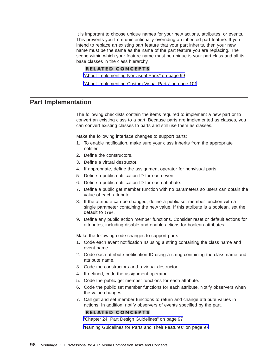It is important to choose unique names for your new actions, attributes, or events. This prevents you from unintentionally overriding an inherited part feature. If you intend to replace an existing part feature that your part inherits, then your new name must be the same as the name of the part feature you are replacing. The scope within which your feature name must be unique is your part class and all its base classes in the class hierarchy.

#### **RELATED CONCEPTS**

["About Implementing Nonvisual Parts" on page 99](#page-106-0)

["About Implementing Custom Visual Parts" on page 101](#page-108-0)

### **Part Implementation**

The following checklists contain the items required to implement a new part or to convert an existing class to a part. Because parts are implemented as classes, you can convert existing classes to parts and still use them as classes.

Make the following interface changes to support parts:

- 1. To enable notification, make sure your class inherits from the appropriate notifier.
- 2. Define the constructors.
- 3. Define a virtual destructor.
- 4. If appropriate, define the assignment operator for nonvisual parts.
- 5. Define a public notification ID for each event.
- 6. Define a public notification ID for each attribute.
- 7. Define a public get member function with no parameters so users can obtain the value of each attribute.
- 8. If the attribute can be changed, define a public set member function with a single parameter containing the new value. If this attribute is a boolean, set the default to true.
- 9. Define any public action member functions. Consider reset or default actions for attributes, including disable and enable actions for boolean attributes.

Make the following code changes to support parts:

- 1. Code each event notification ID using a string containing the class name and event name.
- 2. Code each attribute notification ID using a string containing the class name and attribute name.
- 3. Code the constructors and a virtual destructor.
- 4. If defined, code the assignment operator.
- 5. Code the public get member functions for each attribute.
- 6. Code the public set member functions for each attribute. Notify observers when the value changes.
- 7. Call get and set member functions to return and change attribute values in actions. In addition, notify observers of events specified by the part.

#### **RELATED CONCEPTS**

["Chapter 24. Part Design Guidelines" on page 97](#page-104-0)

["Naming Guidelines for Parts and Their Features" on page 97](#page-104-0)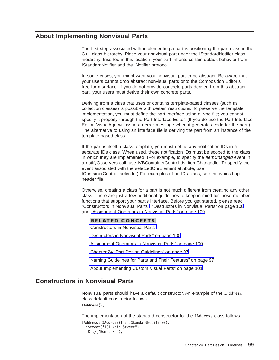## <span id="page-106-0"></span>**About Implementing Nonvisual Parts**

The first step associated with implementing a part is positioning the part class in the C++ class hierarchy. Place your nonvisual part under the IStandardNotifier class hierarchy. Inserted in this location, your part inherits certain default behavior from IStandardNotifier and the INotifier protocol.

In some cases, you might want your nonvisual part to be abstract. Be aware that your users cannot drop abstract nonvisual parts onto the Composition Editor's free-form surface. If you do not provide concrete parts derived from this abstract part, your users must derive their own concrete parts.

Deriving from a class that uses or contains template-based classes (such as collection classes) is possible with certain restrictions. To preserve the template implementation, you must define the part interface using a .vbe file; you cannot specify it properly through the Part Interface Editor. (If you do use the Part Interface Editor, VisualAge will issue an error message when it generates code for the part.) The alternative to using an interface file is deriving the part from an instance of the template-based class.

If the part is itself a class template, you must define any notification IDs in a separate IDs class. When used, these notification IDs must be scoped to the class in which they are implemented. (For example, to specify the *itemChanged* event in a notifyObservers call, use IVBContainerControlIds::itemChangedId. To specify the event associated with the selectedCnrElement attribute, use IContainerControl::selectId.) For examples of an IDs class, see the ivbids.hpp header file.

Otherwise, creating a class for a part is not much different from creating any other class. There are just a few additional guidelines to keep in mind for those member functions that support your part's interface. Before you get started, please read "Constructors in Nonvisual Parts", ["Destructors in Nonvisual Parts" on page 100](#page-107-0) , and ["Assignment Operators in Nonvisual Parts" on page 100.](#page-107-0)

#### **RELATED CONCEPTS**

"Constructors in Nonvisual Parts"

["Destructors in Nonvisual Parts" on page 100](#page-107-0)

["Assignment Operators in Nonvisual Parts" on page 100](#page-107-0)

["Chapter 24. Part Design Guidelines" on page 97](#page-104-0)

["Naming Guidelines for Parts and Their Features" on page 97](#page-104-0)

["About Implementing Custom Visual Parts" on page 101](#page-108-0)

## **Constructors in Nonvisual Parts**

Nonvisual parts should have a default constructor. An example of the IAddress class default constructor follows: **IAddress()**;

The implementation of the standard constructor for the IAddress class follows:

```
IAddress::IAddress() : IStandardNotifier(),
  iStreet("101 Main Street"),
  iCity("Hometown"),
```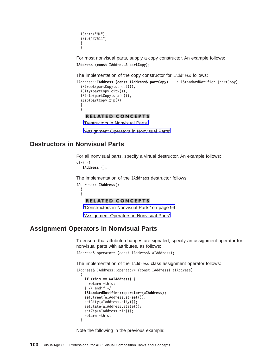<span id="page-107-0"></span>iState("NC"), iZip("27511") { }

For most nonvisual parts, supply a copy constructor. An example follows: **IAddress (const IAddress& partCopy)**;

The implementation of the copy constructor for IAddress follows:

```
IAddress::IAddress (const IAddress& partCopy) : IStandardNotifier (partCopy),
 iStreet(partCopy.street()),
 iCity(partCopy.city()),
 iState(partCopy.state()),
 iZip(partCopy.zip())
  {
 }
```
**RELATED CONCEPTS** 

"Destructors in Nonvisual Parts"

"Assignment Operators in Nonvisual Parts"

## **Destructors in Nonvisual Parts**

{ }

For all nonvisual parts, specify a virtual destructor. An example follows: virtual

**IAddress** ();

The implementation of the IAddress destructor follows:

```
IAddress:: IAddress()
```
#### **RELATED CONCEPTS**

["Constructors in Nonvisual Parts" on page 99](#page-106-0)

"Assignment Operators in Nonvisual Parts"

## **Assignment Operators in Nonvisual Parts**

To ensure that attribute changes are signaled, specify an assignment operator for nonvisual parts with attributes, as follows:

IAddress& operator= (const IAddress& aIAddress);

The implementation of the IAddress class assignment operator follows:

```
IAddress& IAddress::operator= (const IAddress& aIAddress)
  {
```

```
if (this == &aIAddress) {
 return *this;
\} /* endif */
IStandardNotifier::operator=(aIAddress);
setStreet(aIAddress.street());
setCity(aIAddress.city());
setState(aIAddress.state());
setZip(aIAddress.zip());
return *this;
```
Note the following in the previous example:

}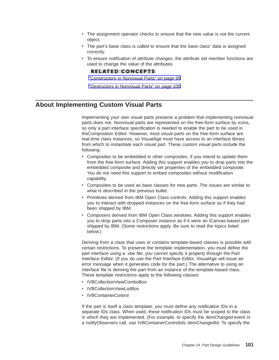- <span id="page-108-0"></span>• The assignment operator checks to ensure that the new value is not the current object.
- The part's base class is called to ensure that the base class' data is assigned correctly.
- To ensure notification of attribute changes, the attribute set member functions are used to change the value of the attributes.

### **RELATED CONCEPTS**

["Constructors in Nonvisual Parts" on page 99](#page-106-0)

["Destructors in Nonvisual Parts" on page 100](#page-107-0)

# **About Implementing Custom Visual Parts**

Implementing your own visual parts presents a problem that implementing nonvisual parts does not. Nonvisual parts are represented on the free-form surface by icons, so only a part interface specification is needed to enable the part to be used in theComposition Editor. However, most visual parts on the free-form surface are real-time class instances, so VisualAge must have access to an interface library from which to instantiate each visual part. These *custom visual* parts include the following:

- Composites to be embedded in other composites, if you intend to update them from the free-form surface. Adding this support enables you to drop parts into the embedded composite and directly set properties of the embedded composite. You do not need this support to embed composites without modification capability.
- Composites to be used as base classes for new parts. The issues are similar to what is described in the previous bullet.
- Primitives derived from IBM Open Class controls. Adding this support enables you to interact with dropped instances on the free-form surface as if they had been shipped by IBM.
- Composers derived from IBM Open Class windows. Adding this support enables you to drop parts into a Composer instance as if it were an ICanvas-based part shipped by IBM. (Some restrictions apply. Be sure to read the topics listed below.)

Deriving from a class that uses or contains template-based classes is possible with certain restrictions. To preserve the template implementation, you must define the part interface using a .vbe file; you cannot specify it properly through the Part Interface Editor. (If you do use the Part Interface Editor, VisualAge will issue an error message when it generates code for the part.) The alternative to using an interface file is deriving the part from an instance of the template-based class. These template restrictions apply to the following classes:

- IVBCollectionViewComboBox
- IVBCollectionViewListBox
- IVBContainerControl

If the part is itself a class template, you must define any notification IDs in a separate IDs class. When used, these notification IDs must be scoped to the class in which they are implemented. (For example, to specify the *itemChanged* event in a notifyObservers call, use IVBContainerControlIds::itemChangedId. To specify the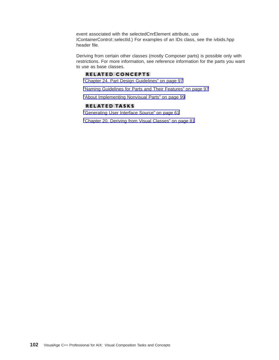event associated with the selectedCnrElement attribute, use IContainerControl::selectId.) For examples of an IDs class, see the ivbids.hpp header file.

Deriving from certain other classes (mostly Composer parts) is possible only with restrictions. For more information, see reference information for the parts you want to use as base classes.

### **RELATED CONCEPTS**

["Chapter 24. Part Design Guidelines" on page 97](#page-104-0)

["Naming Guidelines for Parts and Their Features" on page 97](#page-104-0)

["About Implementing Nonvisual Parts" on page 99](#page-106-0)

### **RELATED TASKS**

["Generating User Interface Source" on page 61](#page-68-0)

["Chapter 20. Deriving from Visual Classes" on page 81](#page-88-0)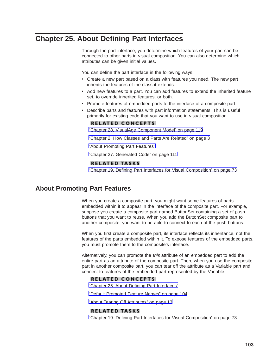# <span id="page-110-0"></span>**Chapter 25. About Defining Part Interfaces**

Through the part interface, you determine which features of your part can be connected to other parts in visual composition. You can also determine which attributes can be given initial values.

You can define the part interface in the following ways:

- Create a new part based on a class with features you need. The new part inherits the features of the class it extends.
- Add new features to a part. You can add features to extend the inherited feature set, to override inherited features, or both.
- Promote features of embedded parts to the interface of a composite part.
- Describe parts and features with part information statements. This is useful primarily for existing code that you want to use in visual composition.

### **RELATED CONCEPTS**

["Chapter 28. VisualAge Component Model" on page 119](#page-126-0)

["Chapter 2. How Classes and Parts Are Related" on page 3](#page-10-0)

"About Promoting Part Features"

["Chapter 27. Generated Code" on page 111](#page-118-0)

### **RELATED TASKS**

["Chapter 19. Defining Part Interfaces for Visual Composition" on page 73](#page-80-0)

# **About Promoting Part Features**

When you create a composite part, you might want some features of parts embedded within it to appear in the interface of the composite part. For example, suppose you create a composite part named ButtonSet containing a set of push buttons that you want to reuse. When you add the ButtonSet composite part to another composite, you want to be able to connect to each of the push buttons.

When you first create a composite part, its interface reflects its inheritance, not the features of the parts embedded within it. To expose features of the embedded parts, you must promote them to the composite's interface.

Alternatively, you can promote the this attribute of an embedded part to add the entire part as an attribute of the composite part. Then, when you use the composite part in another composite part, you can tear off the attribute as a Variable part and connect to features of the embedded part represented by the Variable.

### **RELATED CONCEPTS**

"Chapter 25. About Defining Part Interfaces"

["Default Promoted Feature Names" on page 104](#page-111-0)

["About Tearing Off Attributes" on page 13](#page-20-0)

### **RELATED TASKS**

["Chapter 19. Defining Part Interfaces for Visual Composition" on page 73](#page-80-0)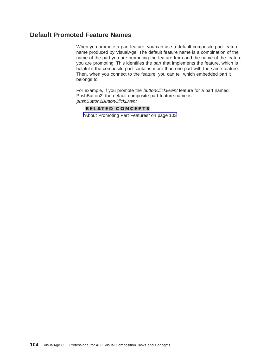# <span id="page-111-0"></span>**Default Promoted Feature Names**

When you promote a part feature, you can use a default composite part feature name produced by VisualAge. The default feature name is a combination of the name of the part you are promoting the feature from and the name of the feature you are promoting. This identifies the part that implements the feature, which is helpful if the composite part contains more than one part with the same feature. Then, when you connect to the feature, you can tell which embedded part it belongs to.

For example, if you promote the buttonClickEvent feature for a part named PushButton2, the default composite part feature name is pushButton2ButtonClickEvent.

### **RELATED CONCEPTS**

["About Promoting Part Features" on page 103](#page-110-0)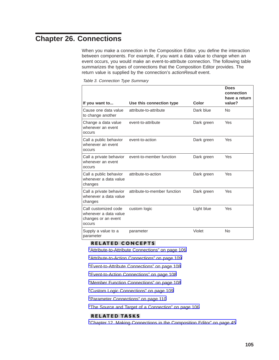# <span id="page-112-0"></span>**Chapter 26. Connections**

When you make a connection in the Composition Editor, you define the interaction between components. For example, if you want a data value to change when an event occurs, you would make an event-to-attribute connection. The following table summarizes the types of connections that the Composition Editor provides. The return value is supplied by the connection's actionResult event.

Table 3. Connection Type Summary

| If you want to                                                                 | Use this connection type     | Color      | <b>Does</b><br>connection<br>have a return<br>value? |
|--------------------------------------------------------------------------------|------------------------------|------------|------------------------------------------------------|
| Cause one data value<br>to change another                                      | attribute-to-attribute       | Dark blue  | No                                                   |
| Change a data value<br>whenever an event<br>occurs                             | event-to-attribute           | Dark green | Yes                                                  |
| Call a public behavior<br>whenever an event<br>occurs                          | event-to-action              | Dark green | Yes                                                  |
| Call a private behavior<br>whenever an event<br><b>OCCUIS</b>                  | event-to-member function     | Dark green | Yes                                                  |
| Call a public behavior<br>whenever a data value<br>changes                     | attribute-to-action          | Dark green | Yes                                                  |
| Call a private behavior<br>whenever a data value<br>changes                    | attribute-to-member function | Dark green | Yes                                                  |
| Call customized code<br>whenever a data value<br>changes or an event<br>occurs | custom logic                 | Light blue | Yes                                                  |
| Supply a value to a<br>parameter                                               | parameter                    | Violet     | No                                                   |

### **RELATED CONCEPTS**

["Attribute-to-Attribute Connections" on page 106](#page-113-0)

["Attribute-to-Action Connections" on page 109](#page-116-0)

["Event-to-Attribute Connections" on page 108](#page-115-0)

["Event-to-Action Connections" on page 108](#page-115-0)

["Member Function Connections" on page 108](#page-115-0)

["Custom Logic Connections" on page 109](#page-116-0)

["Parameter Connections" on page 110](#page-117-0)

["The Source and Target of a Connection" on page 106](#page-113-0)

### **RELATED TASKS**

["Chapter 12. Making Connections in the Composition Editor" on page 45](#page-52-0)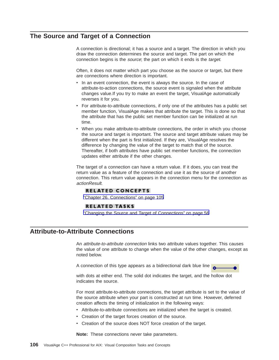# <span id="page-113-0"></span>**The Source and Target of a Connection**

A connection is directional; it has a source and a target. The direction in which you draw the connection determines the source and target. The part on which the connection begins is the *source*; the part on which it ends is the *target*.

Often, it does not matter which part you choose as the source or target, but there are connections where direction is important.

- In an event connection, the event is always the source. In the case of attribute-to-action connections, the source event is signaled when the attribute changes value.If you try to make an event the target, VisualAge automatically reverses it for you.
- For attribute-to-attribute connections, if only one of the attributes has a public set member function, VisualAge makes that attribute the target. This is done so that the attribute that has the public set member function can be initialized at run time.
- When you make attribute-to-attribute connections, the order in which you choose the source and target is important. The source and target attribute values may be different when the part is first initialized. If they are, VisualAge resolves the difference by changing the value of the target to match that of the source. Thereafter, if both attributes have public set member functions, the connection updates either attribute if the other changes.

The target of a connection can have a return value. If it does, you can treat the return value as a feature of the connection and use it as the source of another connection. This return value appears in the connection menu for the connection as actionResult.

### **RELATED CONCEPTS**

["Chapter 26. Connections" on page 105](#page-112-0)

### **RELATED TASKS**

["Changing the Source and Target of Connections" on page 56](#page-63-0)

### **Attribute-to-Attribute Connections**

An attribute-to-attribute connection links two attribute values together. This causes the value of one attribute to change when the value of the other changes, except as noted below.

A connection of this type appears as a bidirectional dark blue line



with dots at either end. The solid dot indicates the target, and the hollow dot indicates the source.

For most attribute-to-attribute connections, the target attribute is set to the value of the source attribute when your part is constructed at run time. However, deferred creation affects the timing of initialization in the following ways:

- Attribute-to-attribute connections are initialized when the target is created.
- Creation of the target forces creation of the source.
- Creation of the source does NOT force creation of the target.

**Note:** These connections never take parameters.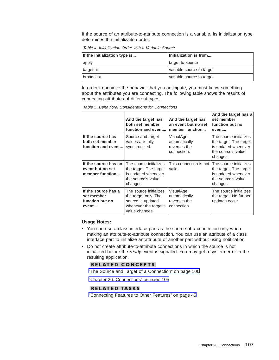If the source of an attribute-to-attribute connection is a variable, its initialization type determines the initializaiton order.

Table 4. Initialization Order with a Variable Source

| If the initialization type is | Initialization is from    |  |
|-------------------------------|---------------------------|--|
| apply                         | target to source          |  |
| targetInit                    | variable source to target |  |
| broadcast                     | variable source to target |  |

In order to achieve the behavior that you anticipate, you must know something about the attributes you are connecting. The following table shows the results of connecting attributes of different types.

|                                                               | And the target has<br>both set member<br>function and event                                                    | And the target has<br>an event but no set<br>member function | And the target has a<br>set member<br>function but no<br>event                                            |
|---------------------------------------------------------------|----------------------------------------------------------------------------------------------------------------|--------------------------------------------------------------|-----------------------------------------------------------------------------------------------------------|
| If the source has<br>both set member<br>function and event    | Source and target<br>values are fully<br>synchronized.                                                         | VisualAge<br>automatically<br>reverses the<br>connection.    | The source initializes<br>the target. The target<br>is updated whenever<br>the source's value<br>changes. |
| If the source has an<br>event but no set<br>member function   | The source initializes<br>the target. The target<br>is updated whenever<br>the source's value<br>changes.      | This connection is not<br>valid.                             | The source initializes<br>the target. The target<br>is updated whenever<br>the source's value<br>changes. |
| If the source has a<br>set member<br>function but no<br>event | The source initializes<br>the target only. The<br>source is updated<br>whenever the target's<br>value changes. | VisualAge<br>automatically<br>reverses the<br>connection.    | The source initializes<br>the target. No further<br>updates occur.                                        |

Table 5. Behavioral Considerations for Connections

### **Usage Notes:**

- You can use a class interface part as the source of a connection only when making an attribute-to-attribute connection. You can use an attribute of a class interface part to initialize an attribute of another part without using notification.
- Do not create attribute-to-attribute connections in which the source is not initialized before the ready event is signaled. You may get a system error in the resulting application.

### **RELATED CONCEPTS**

["The Source and Target of a Connection" on page 106](#page-113-0)

["Chapter 26. Connections" on page 105](#page-112-0)

### **RELATED TASKS**

["Connecting Features to Other Features" on page 45](#page-52-0)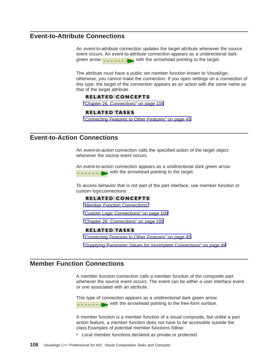# <span id="page-115-0"></span>**Event-to-Attribute Connections**

An event-to-attribute connection updates the target attribute whenever the source event occurs. An event-to-attribute connection appears as a unidirectional dark green arrow  $\frac{1}{2}$  =  $\frac{1}{2}$  =  $\frac{1}{2}$  with the arrowhead pointing to the target.

The attribute must have a public set member function known to VisualAge; otherwise, you cannot make the connection. If you open settings on a connection of this type, the target of the connection appears as an action with the same name as that of the target attribute.

### **RELATED CONCEPTS**

["Chapter 26. Connections" on page 105](#page-112-0)

### **RELATED TASKS**

["Connecting Features to Other Features" on page 45](#page-52-0)

### **Event-to-Action Connections**

An event-to-action connection calls the specified action of the target object whenever the source event occurs.

An event-to-action connection appears as a unidirectional dark green arrow  $\frac{1}{2}$  =  $\frac{1}{2}$  =  $\frac{1}{2}$  with the arrowhead pointing to the target.

To access behavior that is not part of the part interface, use member function or custom logicconnections.

### **RELATED CONCEPTS**

"Member Function Connections"

["Custom Logic Connections" on page 109](#page-116-0)

["Chapter 26. Connections" on page 105](#page-112-0)

### **RELATED TASKS**

["Connecting Features to Other Features" on page 45](#page-52-0)

["Supplying Parameter Values for Incomplete Connections" on page 49](#page-56-0)

### **Member Function Connections**

A member function connection calls a member function of the composite part whenever the source event occurs. The event can be either a user interface event or one associated with an attribute.

This type of connection appears as a unidirectional dark green arrow  $-$  with the arrowhead pointing to the free-form surface.

A member function is a member function of a visual composite, but unlike a part action feature, a member function does not have to be accessible outside the class.Examples of potential member functions follow:

• Local member functions declared as private or protected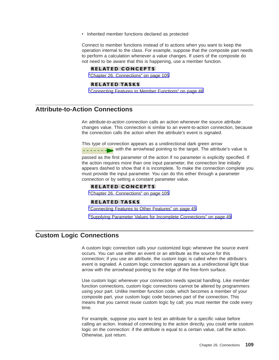<span id="page-116-0"></span>• Inherited member functions declared as protected

Connect to member functions instead of to actions when you want to keep the operation internal to the class. For example, suppose that the composite part needs to perform a calculation whenever a value changes. If users of the composite do not need to be aware that this is happening, use a member function.

### **RELATED CONCEPTS**

["Chapter 26. Connections" on page 105](#page-112-0)

#### **RELATED TASKS**

["Connecting Features to Member Functions" on page 46](#page-53-0)

# **Attribute-to-Action Connections**

An attribute-to-action connection calls an action whenever the source attribute changes value. This connection is similar to an event-to-action connection, because the connection calls the action when the attribute's event is signaled.

This type of connection appears as a unidirectional dark green arrow  $\frac{1}{2}$  =  $\frac{1}{2}$  =  $\frac{1}{2}$  with the arrowhead pointing to the target. The attribute's value is

passed as the first parameter of the action if no parameter is explicitly specified. If the action requires more than one input parameter, the connection line initially appears dashed to show that it is incomplete. To make the connection complete you must provide the input parameter. You can do this either through a parameter connection or by setting a constant parameter value.

### **RELATED CONCEPTS**

["Chapter 26. Connections" on page 105](#page-112-0)

### **RELATED TASKS**

["Connecting Features to Other Features" on page 45](#page-52-0)

["Supplying Parameter Values for Incomplete Connections" on page 49](#page-56-0)

## **Custom Logic Connections**

A custom logic connection calls your customized logic whenever the source event occurs. You can use either an event or an attribute as the source for this connection; if you use an attribute, the custom logic is called when the attribute's event is signaled. A custom logic connection appears as a unidirectional light blue arrow with the arrowhead pointing to the edge of the free-form surface.

Use custom logic whenever your connection needs special handling. Like member function connections, custom logic connections cannot be altered by programmers using your part. Unlike member function code, which becomes a member of your composite part, your custom logic code becomes part of the connection. This means that you cannot reuse custom logic by call; you must reenter the code every time.

For example, suppose you want to test an attribute for a specific value before calling an action. Instead of connecting to the action directly, you could write custom logic on the connection: if the attribute is equal to a certain value, call the action. Otherwise, just return.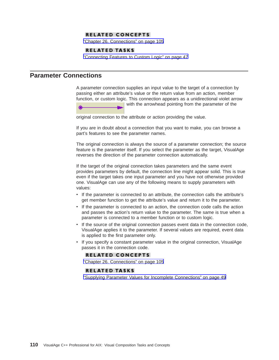### **RELATED CONCEPTS**

["Chapter 26. Connections" on page 105](#page-112-0)

#### **RELATED TASKS**

["Connecting Features to Custom Logic" on page 47](#page-54-0)

# <span id="page-117-0"></span>**Parameter Connections**

A parameter connection supplies an input value to the target of a connection by passing either an attribute's value or the return value from an action, member function, or custom logic. This connection appears as a unidirectional violet arrow with the arrowhead pointing from the parameter of the

original connection to the attribute or action providing the value.

If you are in doubt about a connection that you want to make, you can browse a part's features to see the parameter names.

The original connection is always the source of a parameter connection; the source feature is the parameter itself. If you select the parameter as the target, VisualAge reverses the direction of the parameter connection automatically.

If the target of the original connection takes parameters and the same event provides parameters by default, the connection line might appear solid. This is true even if the target takes one input parameter and you have not otherwise provided one. VisualAge can use any of the following means to supply parameters with values:

- If the parameter is connected to an attribute, the connection calls the attribute's get member function to get the attribute's value and return it to the parameter.
- v If the parameter is connected to an action, the connection code calls the action and passes the action's return value to the parameter. The same is true when a parameter is connected to a member function or to custom logic.
- If the source of the original connection passes event data in the connection code, VisualAge applies it to the parameter. If several values are required, event data is applied to the first parameter only.
- If you specify a constant parameter value in the original connection, VisualAge passes it in the connection code.

### **RELATED CONCEPTS**

["Chapter 26. Connections" on page 105](#page-112-0)

### **RELATED TASKS**

["Supplying Parameter Values for Incomplete Connections" on page 49](#page-56-0)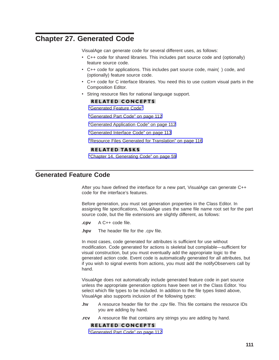# <span id="page-118-0"></span>**Chapter 27. Generated Code**

VisualAge can generate code for several different uses, as follows:

- C++ code for shared libraries. This includes part source code and (optionally) feature source code.
- C++ code for applications. This includes part source code, main() code, and (optionally) feature source code.
- C++ code for C interface libraries. You need this to use custom visual parts in the Composition Editor.
- String resource files for national language support.

### **RELATED CONCEPTS**

"Generated Feature Code"

["Generated Part Code" on page 112](#page-119-0)

["Generated Application Code" on page 112](#page-119-0)

["Generated Interface Code" on page 113](#page-120-0)

["Resource Files Generated for Translation" on page 116](#page-123-0)

### **RELATED TASKS**

["Chapter 14. Generating Code" on page 59](#page-66-0)

### **Generated Feature Code**

After you have defined the interface for a new part, VisualAge can generate C++ code for the interface's features.

Before generation, you must set generation properties in the Class Editor. In assigning file specifications, VisualAge uses the same file name root set for the part source code, but the file extensions are slightly different, as follows:

- **.cpv** A C++ code file.
- **.hpv** The header file for the .cpv file.

In most cases, code generated for attributes is sufficient for use without modification. Code generated for actions is skeletal but compilable—sufficient for visual construction, but you must eventually add the appropriate logic to the generated action code. Event code is automatically generated for all attributes, but if you wish to signal events from actions, you must add the notifyObservers call by hand.

VisualAge does not automatically include generated feature code in part source unless the appropriate generation options have been set in the Class Editor. You select which file types to be included. In addition to the file types listed above, VisualAge also supports inclusion of the following types:

- **.hv** A resource header file for the .cpv file. This file contains the resource IDs you are adding by hand.
- **.rcv** A resource file that contains any strings you are adding by hand.

### **RELATED CONCEPTS**

["Generated Part Code" on page 112](#page-119-0)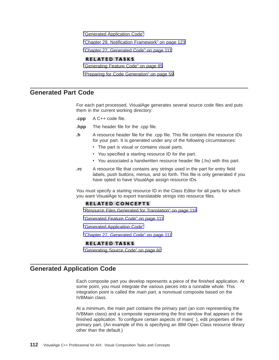<span id="page-119-0"></span>"Generated Application Code"

["Chapter 29. Notification Framework" on page 123](#page-130-0)

["Chapter 27. Generated Code" on page 111](#page-118-0)

### **RELATED TASKS**

["Generating Feature Code" on page 85](#page-92-0)

["Preparing for Code Generation" on page 59](#page-66-0)

### **Generated Part Code**

For each part processed, VisualAge generates several source code files and puts them in the current working directory:

- **.cpp** A C++ code file.
- **.hpp** The header file for the .cpp file.
- **.h** A resource header file for the .cpp file. This file contains the resource IDs for your part. It is generated under any of the following circumstances:
	- The part is visual or contains visual parts.
	- You specified a starting resource ID for the part.
	- You associated a handwritten resource header file (.hv) with this part.
- **.rc** A resource file that contains any strings used in the part for entry field labels, push buttons, menus, and so forth. This file is only generated if you have opted to have VisualAge assign resource IDs.

You must specify a starting resource ID in the Class Editor for all parts for which you want VisualAge to export translatable strings into resource files.

### **RELATED CONCEPTS**

["Resource Files Generated for Translation" on page 116](#page-123-0)

- ["Generated Feature Code" on page 111](#page-118-0)
- "Generated Application Code"
- ["Chapter 27. Generated Code" on page 111](#page-118-0)

#### **RELATED TASKS**

["Generating Source Code" on page 60](#page-67-0)

### **Generated Application Code**

Each composite part you develop represents a piece of the finished application. At some point, you must integrate the various pieces into a runnable whole. This integration point is called the main part, a nonvisual composite based on the IVBMain class.

At a minimum, the main part contains the primary part (an icon representing the IVBMain class) and a composite representing the first window that appears in the finished application. To configure certain aspects of main( ), edit properties of the primary part. (An example of this is specifying an IBM Open Class resource library other than the default.)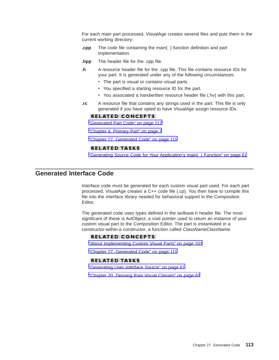<span id="page-120-0"></span>For each main part processed, VisualAge creates several files and puts them in the current working directory:

- **.cpp** The code file containing the main( ) function definition and part implementation.
- **.hpp** The header file for the .cpp file.
- **.h** A resource header file for the .cpp file. This file contains resource IDs for your part. It is generated under any of the following circumstances:
	- The part is visual or contains visual parts.
	- You specified a starting resource ID for the part.
	- You associated a handwritten resource header file (.hv) with this part.
- **.rc** A resource file that contains any strings used in the part. This file is only generated if you have opted to have VisualAge assign resource IDs.

### **RELATED CONCEPTS**

["Generated Part Code" on page 112](#page-119-0)

["Chapter 4. Primary Part" on page 7](#page-14-0)

["Chapter 27. Generated Code" on page 111](#page-118-0)

### **RELATED TASKS**

["Generating Source Code for Your Application's main\( \) Function" on page 61](#page-68-0)

# **Generated Interface Code**

Interface code must be generated for each custom visual part used. For each part processed, VisualAge creates a C++ code file (.cp). You then have to compile this file into the interface library needed for behavioral support in the Composition Editor.

The generated code uses types defined in the iavlbase.h header file. The most significant of these is AvlObject, a void pointer used to return an instance of your custom visual part to the Composition Editor. The part is instantiated in a constructor-within-a constructor, a function called *ClassNameClassName*.

### **RELATED CONCEPTS**

["About Implementing Custom Visual Parts" on page 101](#page-108-0)

["Chapter 27. Generated Code" on page 111](#page-118-0)

### **RELATED TASKS**

["Generating User Interface Source" on page 61](#page-68-0)

["Chapter 20. Deriving from Visual Classes" on page 81](#page-88-0)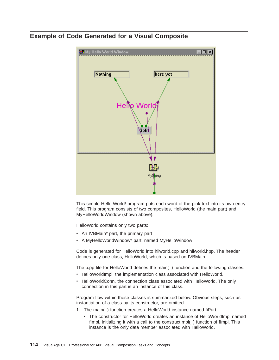# **Example of Code Generated for a Visual Composite**



This simple Hello World! program puts each word of the pink text into its own entry field. This program consists of two composites, HelloWorld (the main part) and MyHelloWorldWindow (shown above).

HelloWorld contains only two parts:

- An IVBMain\* part, the primary part
- A MyHelloWorldWindow\* part, named MyHelloWindow

Code is generated for HelloWorld into hllworld.cpp and hllworld.hpp. The header defines only one class, HelloWorld, which is based on IVBMain.

The .cpp file for HelloWorld defines the main( ) function and the following classes:

- HelloWorldImpl, the implementation class associated with HelloWorld.
- HelloWorldConn, the connection class associated with HelloWorld. The only connection in this part is an instance of this class.

Program flow within these classes is summarized below. Obvious steps, such as instantiation of a class by its constructor, are omitted.

- 1. The main( ) function creates a HelloWorld instance named fiPart.
	- The constructor for HelloWorld creates an instance of HelloWorldImpl named fimpl, initializing it with a call to the constructimpl() function of fimpl. This instance is the only data member associated with HelloWorld.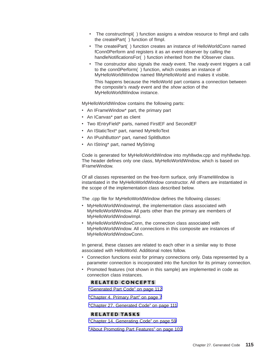- The constructImpl() function assigns a window resource to fimpl and calls the createiPart( ) function of fImpl.
- The createiPart() function creates an instance of HelloWorldConn named fConn0Perform and registers it as an event observer by calling the handleNotificationsFor( ) function inherited from the IObserver class.
- The constructor also signals the ready event. The ready event triggers a call to the conn0Perform( ) function, which creates an instance of MyHelloWorldWindow named fiMyHelloWorld and makes it visible. This happens because the HelloWorld part contains a connection between the composite's ready event and the show action of the MyHelloWorldWindow instance.

MyHelloWorldWindow contains the following parts:

- An IFrameWindow\* part, the primary part
- An ICanvas\* part as client
- Two IEntryField\* parts, named FirstEF and SecondEF
- An IStaticText\* part, named MyHelloText
- An IPushButton\* part, named SplitButton
- An IString\* part, named MyString

Code is generated for MyHelloWorldWindow into myhllwdw.cpp and myhllwdw.hpp. The header defines only one class, MyHelloWorldWindow, which is based on IFrameWindow.

Of all classes represented on the free-form surface, only IFrameWindow is instantiated in the MyHelloWorldWindow constructor. All others are instantiated in the scope of the implementation class described below.

The .cpp file for MyHelloWorldWindow defines the following classes:

- MyHelloWorldWindowImpl, the implementation class associated with MyHelloWorldWindow. All parts other than the primary are members of MyHelloWorldWindowImpl.
- MyHelloWorldWindowConn, the connection class associated with MyHelloWorldWindow. All connections in this composite are instances of MyHelloWorldWindowConn.

In general, these classes are related to each other in a similar way to those associated with HelloWorld. Additional notes follow.

- Connection functions exist for primary connections only. Data represented by a parameter connection is incorporated into the function for its primary connection.
- Promoted features (not shown in this sample) are implemented in code as connection class instances.

#### **RELATED CONCEPTS**

["Generated Part Code" on page 112](#page-119-0)

["Chapter 4. Primary Part" on page 7](#page-14-0)

["Chapter 27. Generated Code" on page 111](#page-118-0)

### **RELATED TASKS**

["Chapter 14. Generating Code" on page 59](#page-66-0)

["About Promoting Part Features" on page 103](#page-110-0)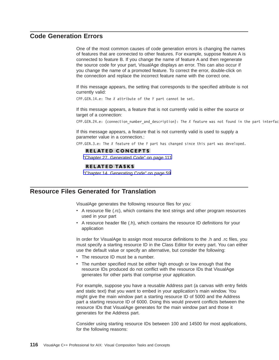# <span id="page-123-0"></span>**Code Generation Errors**

One of the most common causes of code generation errors is changing the names of features that are connected to other features. For example, suppose feature A is connected to feature B. If you change the name of feature A and then regenerate the source code for your part, VisualAge displays an error. This can also occur if you change the name of a promoted feature. To correct the error, double-click on the connection and replace the incorrect feature name with the correct one.

If this message appears, the setting that corresponds to the specified attribute is not currently valid:

CPP.GEN.14.e: The *X* attribute of the *Y* part cannot be set.

If this message appears, a feature that is not currently valid is either the source or target of a connection:

CPP.GEN.24.e: (connection\_number\_and\_description): The *X* feature was not found in the part interfac

If this message appears, a feature that is not currently valid is used to supply a parameter value in a connection.:

CPP.GEN.3.e: The *X* feature of the *Y* part has changed since this part was developed.

### **RELATED CONCEPTS**

["Chapter 27. Generated Code" on page 111](#page-118-0)

### **RELATED TASKS**

["Chapter 14. Generating Code" on page 59](#page-66-0)

# **Resource Files Generated for Translation**

VisualAge generates the following resource files for you:

- A resource file (.rc), which contains the text strings and other program resources used in your part
- v A resource header file (.h), which contains the resource ID definitions for your application

In order for VisualAge to assign most resource definitions to the .h and .rc files, you must specify a starting resource ID in the Class Editor for every part. You can either use the default value or specify an alternative, but consider the following:

- The resource ID must be a number.
- The number specified must be either high enough or low enough that the resource IDs produced do not conflict with the resource IDs that VisualAge generates for other parts that comprise your application.

For example, suppose you have a reusable Address part (a canvas with entry fields and static text) that you want to embed in your application's main window. You might give the main window part a starting resource ID of 5000 and the Address part a starting resource ID of 6000. Doing this would prevent conflicts between the resource IDs that VisualAge generates for the main window part and those it generates for the Address part.

Consider using starting resource IDs between 100 and 14500 for most applications, for the following reasons: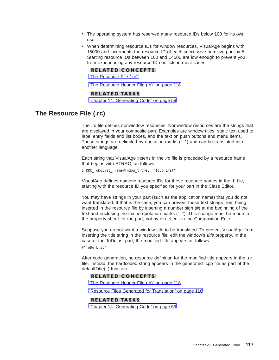- <span id="page-124-0"></span>• The operating system has reserved many resource IDs below 100 for its own use.
- When determining resource IDs for window resources, VisualAge begins with 15000 and increments the resource ID of each successive primitive part by 5. Starting resource IDs between 100 and 14500 are low enough to prevent you from experiencing any resource ID conflicts in most cases.

### **RELATED CONCEPTS**

"The Resource File (.rc)"

["The Resource Header File \(.h\)" on page 118](#page-125-0)

### **RELATED TASKS**

["Chapter 14. Generating Code" on page 59](#page-66-0)

### **The Resource File (.rc)**

The .rc file defines nonwindow resources. Nonwindow resources are the strings that are displayed in your composite part. Examples are window titles, static text used to label entry fields and list boxes, and the text on push buttons and menu items. These strings are delimited by quotation marks (″ ″) and can be translated into another language.

Each string that VisualAge inserts in the .rc file is preceded by a resource hame that begins with STRRC, as follows:

STRRC\_ToDoList\_FrameWindow\_title, "ToDo List"

VisualAge defines numeric resource IDs for these resource names in the .h file, starting with the resource ID you specified for your part in the Class Editor.

You may have strings in your part (such as the application name) that you do not want translated. If that is the case, you can prevent those text strings from being inserted in the resource file by inserting a number sign (#) at the beginning of the text and enclosing the text in quotation marks (" "). This change must be made in the property sheet for the part, not by direct edit in the Composition Editor.

Suppose you do not want a window title to be translated. To prevent VisualAge from inserting the title string in the resource file, edit the window's title property. In the case of the ToDoList part, the modified title appears as follows:

#"ToDo List"

After code generation, no resource definition for the modified title appears in the .rc file. Instead, the hardcoded string appears in the generated .cpp file as part of the defaultTitle( ) function.

### **RELATED CONCEPTS**

["The Resource Header File \(.h\)" on page 118](#page-125-0)

["Resource Files Generated for Translation" on page 116](#page-123-0)

### **RELATED TASKS**

["Chapter 14. Generating Code" on page 59](#page-66-0)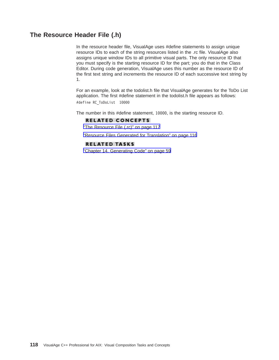# <span id="page-125-0"></span>**The Resource Header File (.h)**

In the resource header file, VisualAge uses #define statements to assign unique resource IDs to each of the string resources listed in the .rc file. VisualAge also assigns unique window IDs to all primitive visual parts. The only resource ID that you must specify is the starting resource ID for the part; you do that in the Class Editor. During code generation, VisualAge uses this number as the resource ID of the first text string and increments the resource ID of each successive text string by 1.

For an example, look at the todolist.h file that VisualAge generates for the ToDo List application. The first #define statement in the todolist.h file appears as follows: #define RC\_ToDoList 10000

The number in this #define statement, 10000, is the starting resource ID.

### **RELATED CONCEPTS**

["The Resource File \(.rc\)" on page 117](#page-124-0)

["Resource Files Generated for Translation" on page 116](#page-123-0)

### **RELATED TASKS**

["Chapter 14. Generating Code" on page 59](#page-66-0)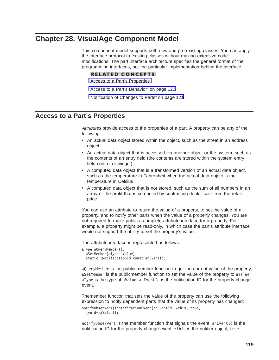# <span id="page-126-0"></span>**Chapter 28. VisualAge Component Model**

This component model supports both new and pre-existing classes. You can apply the interface protocol to existing classes without making extensive code modifications. The part interface architecture specifies the general format of the programming interfaces, not the particular implementation behind the interface.

#### **RELATED CONCEPTS**

"Access to a Part's Properties"

["Access to a Part's Behavior" on page 120](#page-127-0)

["Notification of Changes to Parts" on page 121](#page-128-0)

## **Access to a Part's Properties**

Attributes provide access to the properties of a part. A property can be any of the following:

- An actual data object stored within the object, such as the street in an address object
- An actual data object that is accessed via another object or the system, such as the contents of an entry field (the contents are stored within the system entry field control or widget)
- A computed data object that is a transformed version of an actual data object, such as the temperature in Fahrenheit when the actual data object is the temperature in Celsius
- A computed data object that is not stored, such as the sum of all numbers in an array or the profit that is computed by subtracting dealer cost from the retail price.

You can use an attribute to return the value of a property, to set the value of a property, and to notify other parts when the value of a property changes. You are not required to make public a complete attribute interface for a property. For example, a property might be read-only, in which case the part's attribute interface would not support the ability to set the property's value.

The attribute interface is represented as follows:

```
aType aQueryMember();
 aSetMember(aType aValue);
 static INotificationId const anEventId;
```
aQueryMember is the public member function to get the current value of the property; aSetMember is the publicmember function to set the value of the property to aValue; aType is the type of aValue; anEventId is the notification ID for the property change event.

Themember function that sets the value of the property can use the following expression to notify dependent parts that the value of its property has changed:

```
notifyObservers(INotificationEvent(anEventId, *this, true,
  (void*)aValue));
```
notifyObservers is the member function that signals the event; anEventId is the notification ID for the property change event; \*this is the notifier object; true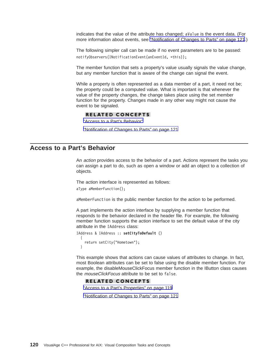<span id="page-127-0"></span>indicates that the value of the attribute has changed; aValue is the event data. (For more information about events, see ["Notification of Changes to Parts" on page 121](#page-128-0).)

The following simpler call can be made if no event parameters are to be passed: notifyObservers(INotificationEvent(anEventId, \*this));

The member function that sets a property's value usually signals the value change, but any member function that is aware of the change can signal the event.

While a property is often represented as a data member of a part, it need not be; the property could be a computed value. What is important is that whenever the value of the property changes, the change takes place using the set member function for the property. Changes made in any other way might not cause the event to be signaled.

### **RELATED CONCEPTS**

"Access to a Part's Behavior"

["Notification of Changes to Parts" on page 121](#page-128-0)

## **Access to a Part's Behavior**

An action provides access to the behavior of a part. Actions represent the tasks you can assign a part to do, such as open a window or add an object to a collection of objects.

The action interface is represented as follows:

aType aMemberFunction();

aMemberFunction is the public member function for the action to be performed.

A part implements the action interface by supplying a member function that responds to the behavior declared in the header file. For example, the following member function supports the action interface to set the default value of the city attribute in the IAddress class:

```
IAddress & IAddress :: setCityToDefault ()
 {
    return setCity("Hometown");
 }
```
This example shows that actions can cause values of attributes to change. In fact, most Boolean attributes can be set to false using the disable member function. For example, the disableMouseClickFocus member function in the IButton class causes the *mouseClickFocus* attribute to be set to false.

#### **RELATED CONCEPTS**

["Access to a Part's Properties" on page 119](#page-126-0)

["Notification of Changes to Parts" on page 121](#page-128-0)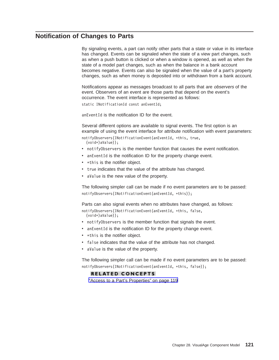# <span id="page-128-0"></span>**Notification of Changes to Parts**

By signaling events, a part can notify other parts that a state or value in its interface has changed. Events can be signaled when the state of a view part changes, such as when a push button is clicked or when a window is opened, as well as when the state of a model part changes, such as when the balance in a bank account becomes negative. Events can also be signaled when the value of a part's property changes, such as when money is deposited into or withdrawn from a bank account.

Notifications appear as messages broadcast to all parts that are observers of the event. Observers of an event are those parts that depend on the event's occurrence. The event interface is represented as follows:

static INotificationId const anEventId;

anEventId is the notification ID for the event.

Several different options are available to signal events. The first option is an example of using the event interface for attribute notification with event parameters:

notifyObservers(INotificationEvent(anEventId, \*this, true,

(void\*)aValue));

- notifyObservers is the member function that causes the event notification.
- anEventId is the notification ID for the property change event.
- $\cdot$  \*this is the notifier object.
- true indicates that the value of the attribute has changed.
- aValue is the new value of the property.

The following simpler call can be made if no event parameters are to be passed: notifyObservers(INotificationEvent(anEventId, \*this));

Parts can also signal events when no attributes have changed, as follows: notifyObservers(INotificationEvent(anEventId, \*this, false, (void\*)aValue));

- notifyObservers is the member function that signals the event.
- anEventId is the notification ID for the property change event.
- $\cdot$  \*this is the notifier object.
- false indicates that the value of the attribute has not changed.
- aValue is the value of the property.

The following simpler call can be made if no event parameters are to be passed: notifyObservers(INotificationEvent(anEventId, \*this, false));

### **RELATED CONCEPTS**

["Access to a Part's Properties" on page 119](#page-126-0)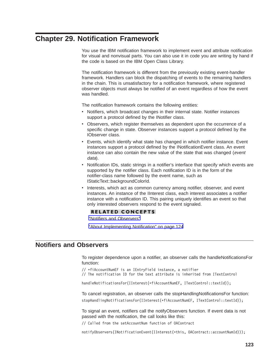# <span id="page-130-0"></span>**Chapter 29. Notification Framework**

You use the IBM notification framework to implement event and attribute notification for visual and nonvisual parts. You can also use it in code you are writing by hand if the code is based on the IBM Open Class Library.

The notification framework is different from the previously existing event-handler framework. Handlers can block the dispatching of events to the remaining handlers in the chain. This is unsatisfactory for a notification framework, where registered observer objects must always be notified of an event regardless of how the event was handled.

The notification framework contains the following entities:

- Notifiers, which broadcast changes in their internal state. Notifier instances support a protocol defined by the INotifier class.
- Observers, which register themselves as dependent upon the occurrence of a specific change in state. Observer instances support a protocol defined by the IObserver class.
- Events, which identify what state has changed in which notifier instance. Event instances support a protocol defined by the INotificationEvent class. An event instance can also contain the new value of the state that was changed (event data).
- Notification IDs, static strings in a notifier's interface that specify which events are supported by the notifier class. Each notification ID is in the form of the notifier-class name followed by the event name, such as IStaticText::backgroundColorId.
- Interests, which act as common currency among notifier, observer, and event instances. An instance of the IInterest class, each interest associates a notifier instance with a notification ID. This pairing uniquely identifies an event so that only interested observers respond to the event signaled.

### **RELATED CONCEPTS**

"Notifiers and Observers"

["About Implementing Notification" on page 124](#page-131-0)

# **Notifiers and Observers**

To register dependence upon a notifier, an observer calls the handleNotificationsFor function:

// \*fiAccountNumEF is an IEntryField instance, a notifier

// The notification ID for the text attribute is inherited from ITextControl

handleNotificationsFor(IInterest(\*fiAccountNumEF, ITextControl::textId));

To cancel registration, an observer calls the stopHandlingNotificationsFor function: stopHandlingNotificationsFor(IInterest(\*fiAccountNumEF, ITextControl::textId));

To signal an event, notifiers call the notifyObservers function. If event data is not passed with the notification, the call looks like this:

// Called from the setAccountNum function of OAContract

notifyObservers(INotificationEvent(IInterest(\*this, OAContract::accountNumId)));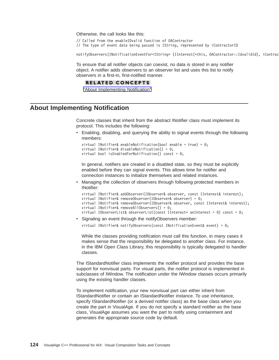<span id="page-131-0"></span>Otherwise, the call looks like this:

// Called from the enableIDvalid function of OAContractor // The type of event data being passed is IString, represented by iContractorID

notifyObservers(INotificationEventFor<IString> (IInterest(\*this, OAContractor::IdvalidId), iContrac

To ensure that all notifier objects can coexist, no data is stored in any notifier object. A notifier adds observers to an observer list and uses this list to notify observers in a first-in, first-notified manner.

#### **RELATED CONCEPTS**

"About Implementing Notification"

# **About Implementing Notification**

Concrete classes that inherit from the abstract INotifier class must implement its protocol. This includes the following:

• Enabling, disabling, and querying the ability to signal events through the following members:

```
virtual INotifier& enableNotification(bool enable = true) = 0;
virtual INotifier& disableNotification() = 0;
virtual bool is Enabled For Notification () const = 0;
```
In general, notifiers are created in a disabled state, so they must be explicitly enabled before they can signal events. This allows time for notifier and connection instances to initialize themselves and related instances.

Managing the collection of observers through following protected members in INotifier:

```
virtual INotifier& addObserver(IObserver& observer, const IInterest& interest);
virtual INotifier& removeObserver(IObserver& observer) = 0;
virtual INotifier& removeObserver(IObserver& observer, const IInterest& interest);
virtual INotifier& removeAllObservers() = 0;
virtual IObserverList& observerList(const IInterest* anInterest = 0) const = 0;
```
• Signaling an event through the notifyObservers member:

virtual INotifier& notifyObservers(const INotificationEvent& event) = 0;

While the classes providing notification must call this function, in many cases it makes sense that the responsibility be delegated to another class. For instance, in the IBM Open Class Library, this responsibility is typically delegated to handler classes.

The IStandardNotifier class implements the notifier protocol and provides the base support for nonvisual parts. For visual parts, the notifier protocol is implemented in subclasses of IWindow. The notification under the IWindow classes occurs primarily using the existing handler classes.

To implement notification, your new nonvisual part can either inherit from IStandardNotifier or contain an IStandardNotifier instance. To use inheritance, specify IStandardNotifier (or a derived notifier class) as the base class when you create the part in VisualAge. If you do not specify a standard notifier as the base class, VisualAge assumes you want the part to notify using containment and generates the appropriate source code by default.